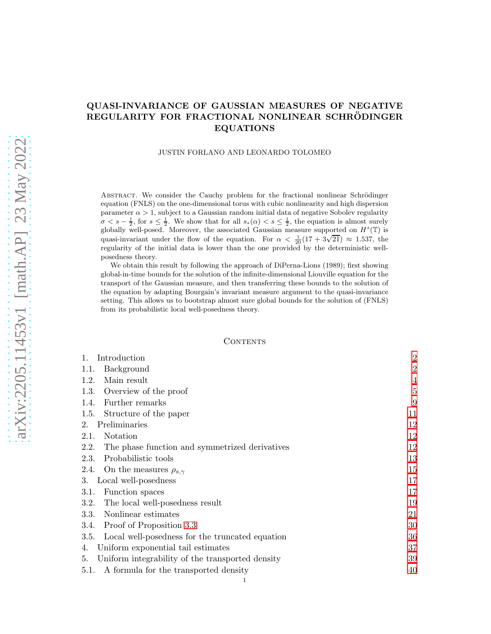# arXiv:2205.11453v1 [math.AP] 23 May 2022 [arXiv:2205.11453v1 \[math.AP\] 23 May 2022](http://arxiv.org/abs/2205.11453v1)

# QUASI-INVARIANCE OF GAUSSIAN MEASURES OF NEGATIVE REGULARITY FOR FRACTIONAL NONLINEAR SCHRÖDINGER EQUATIONS

### JUSTIN FORLANO AND LEONARDO TOLOMEO

ABSTRACT. We consider the Cauchy problem for the fractional nonlinear Schrödinger equation (FNLS) on the one-dimensional torus with cubic nonlinearity and high dispersion parameter  $\alpha > 1$ , subject to a Gaussian random initial data of negative Sobolev regularity  $\sigma < s - \frac{1}{2}$ , for  $s \leq \frac{1}{2}$ . We show that for all  $s_*(\alpha) < s \leq \frac{1}{2}$ , the equation is almost surely globally well-posed. Moreover, the associated Gaussian measure supported on  $H<sup>s</sup>(\mathbb{T})$  is quasi-invariant under the flow of the equation. For  $\alpha < \frac{1}{20}(17 + 3\sqrt{21}) \approx 1.537$ , the regularity of the initial data is lower than the one provided by the deterministic wellposedness theory.

We obtain this result by following the approach of DiPerna-Lions (1989); first showing global-in-time bounds for the solution of the infinite-dimensional Liouville equation for the transport of the Gaussian measure, and then transferring these bounds to the solution of the equation by adapting Bourgain's invariant measure argument to the quasi-invariance setting. This allows us to bootstrap almost sure global bounds for the solution of (FNLS) from its probabilistic local well-posedness theory.

### CONTENTS

| Introduction                                            | $\overline{2}$ |
|---------------------------------------------------------|----------------|
| Background<br>1.1.                                      | $\overline{2}$ |
| Main result<br>1.2.                                     | 4              |
| Overview of the proof<br>1.3.                           | $\overline{5}$ |
| Further remarks<br>1.4.                                 | 9              |
| 1.5.<br>Structure of the paper                          | 11             |
| Preliminaries<br>2.                                     | 12             |
| Notation<br>2.1.                                        | 12             |
| 2.2.<br>The phase function and symmetrized derivatives  | 12             |
| Probabilistic tools<br>2.3.                             | 13             |
| On the measures $\rho_{s,\gamma}$<br>2.4.               | 15             |
| Local well-posedness<br>3.                              | 17             |
| Function spaces<br>3.1.                                 | 17             |
| 3.2.<br>The local well-posedness result                 | 19             |
| Nonlinear estimates<br>3.3.                             | 21             |
| Proof of Proposition 3.3<br>3.4.                        | 30             |
| Local well-posedness for the truncated equation<br>3.5. | 36             |
| Uniform exponential tail estimates<br>4.                | 37             |
| Uniform integrability of the transported density<br>5.  | 39             |
| A formula for the transported density<br>5.1.           | 40             |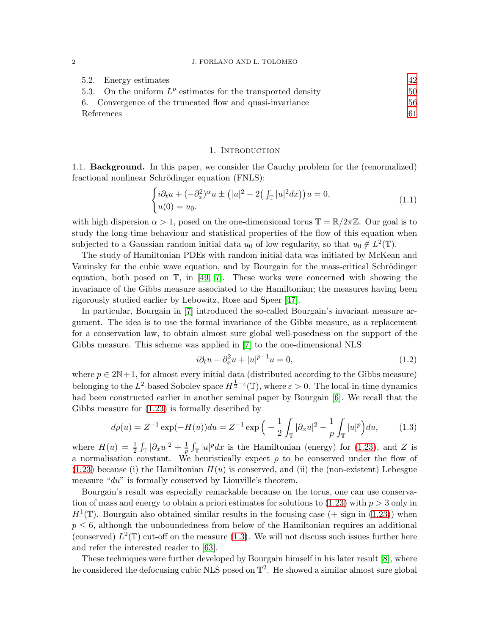# 2 J. FORLANO AND L. TOLOMEO

| 5.2. Energy estimates                                           | 42 |
|-----------------------------------------------------------------|----|
| 5.3. On the uniform $L^p$ estimates for the transported density | 50 |
| 6. Convergence of the truncated flow and quasi-invariance       | 56 |
| References                                                      | 61 |

### 1. Introduction

<span id="page-1-1"></span><span id="page-1-0"></span>1.1. Background. In this paper, we consider the Cauchy problem for the (renormalized) fractional nonlinear Schrödinger equation (FNLS):

<span id="page-1-3"></span>
$$
\begin{cases}\ni\partial_t u + (-\partial_x^2)^{\alpha} u \pm (|u|^2 - 2(\int_{\mathbb{T}} |u|^2 dx)) u = 0, \\
u(0) = u_0.\n\end{cases} (1.1)
$$

with high dispersion  $\alpha > 1$ , posed on the one-dimensional torus  $\mathbb{T} = \mathbb{R}/2\pi\mathbb{Z}$ . Our goal is to study the long-time behaviour and statistical properties of the flow of this equation when subjected to a Gaussian random initial data  $u_0$  of low regularity, so that  $u_0 \notin L^2(\mathbb{T})$ .

The study of Hamiltonian PDEs with random initial data was initiated by McKean and Vaninsky for the cubic wave equation, and by Bourgain for the mass-critical Schrödinger equation, both posed on  $\mathbb{T}$ , in [\[49,](#page-62-0) [7\]](#page-60-1). These works were concerned with showing the invariance of the Gibbs measure associated to the Hamiltonian; the measures having been rigorously studied earlier by Lebowitz, Rose and Speer [\[47\]](#page-62-1).

In particular, Bourgain in [\[7\]](#page-60-1) introduced the so-called Bourgain's invariant measure argument. The idea is to use the formal invariance of the Gibbs measure, as a replacement for a conservation law, to obtain almost sure global well-posedness on the support of the Gibbs measure. This scheme was applied in [\[7\]](#page-60-1) to the one-dimensional NLS

<span id="page-1-2"></span>
$$
i\partial_t u - \partial_x^2 u + |u|^{p-1} u = 0,\t\t(1.2)
$$

where  $p \in 2\mathbb{N}+1$ , for almost every initial data (distributed according to the Gibbs measure) belonging to the  $L^2$ -based Sobolev space  $H^{\frac{1}{2}-\epsilon}(\mathbb{T})$ , where  $\varepsilon > 0$ . The local-in-time dynamics had been constructed earlier in another seminal paper by Bourgain [\[6\]](#page-60-2). We recall that the Gibbs measure for [\(1.23\)](#page-9-0) is formally described by

$$
d\rho(u) = Z^{-1} \exp(-H(u)) du = Z^{-1} \exp\left(-\frac{1}{2} \int_{\mathbb{T}} |\partial_x u|^2 - \frac{1}{p} \int_{\mathbb{T}} |u|^p\right) du,\tag{1.3}
$$

where  $H(u) = \frac{1}{2} \int_{\mathbb{T}} |\partial_x u|^2 + \frac{1}{p}$  $\frac{1}{p}\int_{\mathbb{T}}|u|^p dx$  is the Hamiltonian (energy) for [\(1.23\)](#page-9-0), and Z is a normalisation constant. We heuristically expect  $\rho$  to be conserved under the flow of  $(1.23)$  because (i) the Hamiltonian  $H(u)$  is conserved, and (ii) the (non-existent) Lebesgue measure "du" is formally conserved by Liouville's theorem.

Bourgain's result was especially remarkable because on the torus, one can use conservation of mass and energy to obtain a priori estimates for solutions to  $(1.23)$  with  $p > 3$  only in  $H^1(\mathbb{T})$ . Bourgain also obtained similar results in the focusing case (+ sign in [\(1.23\)](#page-9-0)) when  $p \leq 6$ , although the unboundedness from below of the Hamiltonian requires an additional (conserved)  $L^2(\mathbb{T})$  cut-off on the measure [\(1.3\)](#page-1-2). We will not discuss such issues further here and refer the interested reader to [\[63\]](#page-62-2).

These techniques were further developed by Bourgain himself in his later result [\[8\]](#page-60-3), where he considered the defocusing cubic NLS posed on  $\mathbb{T}^2$ . He showed a similar almost sure global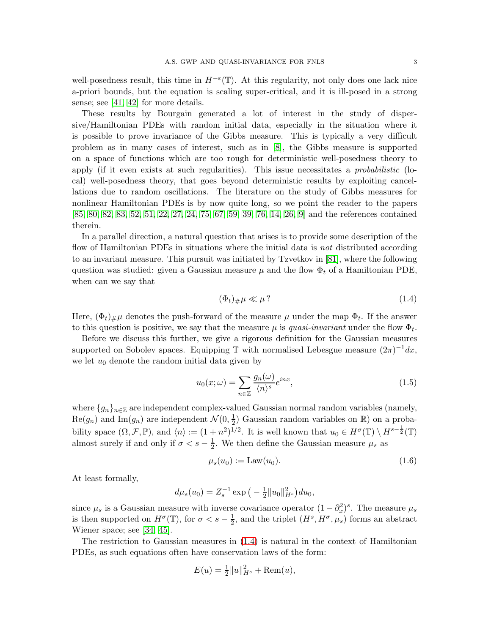well-posedness result, this time in  $H^{-\varepsilon}(\mathbb{T})$ . At this regularity, not only does one lack nice a-priori bounds, but the equation is scaling super-critical, and it is ill-posed in a strong sense; see [\[41,](#page-62-3) [42\]](#page-62-4) for more details.

These results by Bourgain generated a lot of interest in the study of dispersive/Hamiltonian PDEs with random initial data, especially in the situation where it is possible to prove invariance of the Gibbs measure. This is typically a very difficult problem as in many cases of interest, such as in [\[8\]](#page-60-3), the Gibbs measure is supported on a space of functions which are too rough for deterministic well-posedness theory to apply (if it even exists at such regularities). This issue necessitates a *probabilistic* (local) well-posedness theory, that goes beyond deterministic results by exploiting cancellations due to random oscillations. The literature on the study of Gibbs measures for nonlinear Hamiltonian PDEs is by now quite long, so we point the reader to the papers [\[85,](#page-63-0) [80,](#page-63-1) [82,](#page-63-2) [83,](#page-63-3) [52,](#page-62-5) [51,](#page-62-6) [22,](#page-61-0) [27,](#page-61-1) [24,](#page-61-2) [75,](#page-63-4) [67,](#page-63-5) [59,](#page-62-7) [39,](#page-62-8) [76,](#page-63-6) [14,](#page-61-3) [26,](#page-61-4) [9\]](#page-60-4) and the references contained therein.

In a parallel direction, a natural question that arises is to provide some description of the flow of Hamiltonian PDEs in situations where the initial data is not distributed according to an invariant measure. This pursuit was initiated by Tzvetkov in [\[81\]](#page-63-7), where the following question was studied: given a Gaussian measure  $\mu$  and the flow  $\Phi_t$  of a Hamiltonian PDE, when can we say that

<span id="page-2-0"></span>
$$
(\Phi_t)_{\#}\mu \ll \mu
$$
 (1.4)

Here,  $(\Phi_t)_{\#}\mu$  denotes the push-forward of the measure  $\mu$  under the map  $\Phi_t$ . If the answer to this question is positive, we say that the measure  $\mu$  is *quasi-invariant* under the flow  $\Phi_t$ .

Before we discuss this further, we give a rigorous definition for the Gaussian measures supported on Sobolev spaces. Equipping  $\mathbb T$  with normalised Lebesgue measure  $(2\pi)^{-1}dx$ , we let  $u_0$  denote the random initial data given by

<span id="page-2-1"></span>
$$
u_0(x; \omega) = \sum_{n \in \mathbb{Z}} \frac{g_n(\omega)}{\langle n \rangle^s} e^{inx}, \tag{1.5}
$$

where  $\{g_n\}_{n\in\mathbb{Z}}$  are independent complex-valued Gaussian normal random variables (namely,  $\text{Re}(g_n)$  and  $\text{Im}(g_n)$  are independent  $\mathcal{N}(0, \frac{1}{2})$  $\frac{1}{2}$ ) Gaussian random variables on  $\mathbb{R}$ ) on a probability space  $(\Omega, \mathcal{F}, \mathbb{P})$ , and  $\langle n \rangle := (1 + n^2)^{1/2}$ . It is well known that  $u_0 \in H^{\sigma}(\mathbb{T}) \setminus H^{s-\frac{1}{2}}(\mathbb{T})$ almost surely if and only if  $\sigma < s - \frac{1}{2}$  $\frac{1}{2}$ . We then define the Gaussian measure  $\mu_s$  as

<span id="page-2-2"></span>
$$
\mu_s(u_0) := \text{Law}(u_0). \tag{1.6}
$$

At least formally,

$$
d\mu_s(u_0) = Z_s^{-1} \exp\left(-\frac{1}{2}||u_0||_{H^s}^2\right) du_0,
$$

since  $\mu_s$  is a Gaussian measure with inverse covariance operator  $(1 - \partial_x^2)^s$ . The measure  $\mu_s$ is then supported on  $H^{\sigma}(\mathbb{T})$ , for  $\sigma < s - \frac{1}{2}$  $\frac{1}{2}$ , and the triplet  $(H^s, H^{\sigma}, \mu_s)$  forms an abstract Wiener space; see [\[34,](#page-61-5) [45\]](#page-62-9).

The restriction to Gaussian measures in [\(1.4\)](#page-2-0) is natural in the context of Hamiltonian PDEs, as such equations often have conservation laws of the form:

$$
E(u) = \frac{1}{2} ||u||_{H^s}^2 + \text{Rem}(u),
$$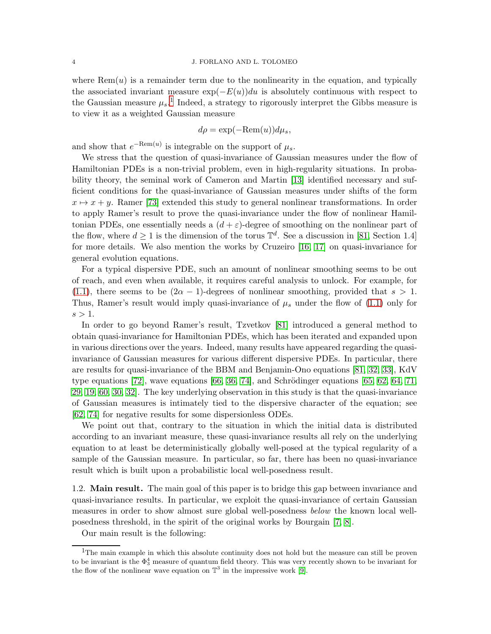where  $Rem(u)$  is a remainder term due to the nonlinearity in the equation, and typically the associated invariant measure  $exp(-E(u))du$  is absolutely continuous with respect to the Gaussian measure  $\mu_s$ .<sup>[1](#page-3-1)</sup> Indeed, a strategy to rigorously interpret the Gibbs measure is to view it as a weighted Gaussian measure

$$
d\rho = \exp(-\text{Rem}(u))d\mu_s,
$$

and show that  $e^{-\text{Rem}(u)}$  is integrable on the support of  $\mu_s$ .

We stress that the question of quasi-invariance of Gaussian measures under the flow of Hamiltonian PDEs is a non-trivial problem, even in high-regularity situations. In probability theory, the seminal work of Cameron and Martin [\[13\]](#page-61-6) identified necessary and sufficient conditions for the quasi-invariance of Gaussian measures under shifts of the form  $x \mapsto x + y$ . Ramer [\[73\]](#page-63-8) extended this study to general nonlinear transformations. In order to apply Ramer's result to prove the quasi-invariance under the flow of nonlinear Hamiltonian PDEs, one essentially needs a  $(d + \varepsilon)$ -degree of smoothing on the nonlinear part of the flow, where  $d \geq 1$  is the dimension of the torus  $\mathbb{T}^d$ . See a discussion in [\[81,](#page-63-7) Section 1.4] for more details. We also mention the works by Cruzeiro [\[16,](#page-61-7) [17\]](#page-61-8) on quasi-invariance for general evolution equations.

For a typical dispersive PDE, such an amount of nonlinear smoothing seems to be out of reach, and even when available, it requires careful analysis to unlock. For example, for [\(1.1\)](#page-1-3), there seems to be  $(2\alpha - 1)$ -degrees of nonlinear smoothing, provided that  $s > 1$ . Thus, Ramer's result would imply quasi-invariance of  $\mu_s$  under the flow of [\(1.1\)](#page-1-3) only for  $s > 1$ .

In order to go beyond Ramer's result, Tzvetkov [\[81\]](#page-63-7) introduced a general method to obtain quasi-invariance for Hamiltonian PDEs, which has been iterated and expanded upon in various directions over the years. Indeed, many results have appeared regarding the quasiinvariance of Gaussian measures for various different dispersive PDEs. In particular, there are results for quasi-invariance of the BBM and Benjamin-Ono equations [\[81,](#page-63-7) [32,](#page-61-9) [33\]](#page-61-10), KdV type equations  $[72]$ , wave equations  $[66, 36, 74]$  $[66, 36, 74]$  $[66, 36, 74]$ , and Schrödinger equations  $[65, 62, 64, 71]$  $[65, 62, 64, 71]$  $[65, 62, 64, 71]$  $[65, 62, 64, 71]$ , [29,](#page-61-12) [19,](#page-61-13) [60,](#page-62-12) [30,](#page-61-14) [32\]](#page-61-9). The key underlying observation in this study is that the quasi-invariance of Gaussian measures is intimately tied to the dispersive character of the equation; see [\[62,](#page-62-10) [74\]](#page-63-11) for negative results for some dispersionless ODEs.

We point out that, contrary to the situation in which the initial data is distributed according to an invariant measure, these quasi-invariance results all rely on the underlying equation to at least be deterministically globally well-posed at the typical regularity of a sample of the Gaussian measure. In particular, so far, there has been no quasi-invariance result which is built upon a probabilistic local well-posedness result.

<span id="page-3-0"></span>1.2. Main result. The main goal of this paper is to bridge this gap between invariance and quasi-invariance results. In particular, we exploit the quasi-invariance of certain Gaussian measures in order to show almost sure global well-posedness *below* the known local wellposedness threshold, in the spirit of the original works by Bourgain [\[7,](#page-60-1) [8\]](#page-60-3).

Our main result is the following:

<span id="page-3-1"></span><sup>&</sup>lt;sup>1</sup>The main example in which this absolute continuity does not hold but the measure can still be proven to be invariant is the  $\Phi_3^4$  measure of quantum field theory. This was very recently shown to be invariant for the flow of the nonlinear wave equation on  $\mathbb{T}^3$  in the impressive work [\[9\]](#page-60-4).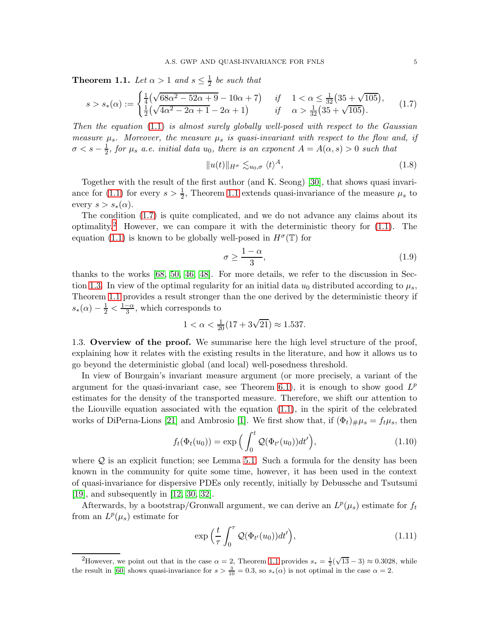<span id="page-4-1"></span>**Theorem 1.1.** Let  $\alpha > 1$  and  $s \leq \frac{1}{2}$  $rac{1}{2}$  be such that

<span id="page-4-2"></span>
$$
s > s_*(\alpha) := \begin{cases} \frac{1}{4}(\sqrt{68\alpha^2 - 52\alpha + 9} - 10\alpha + 7) & \text{if } 1 < \alpha \le \frac{1}{32}(35 + \sqrt{105}), \\ \frac{1}{2}(\sqrt{4\alpha^2 - 2\alpha + 1} - 2\alpha + 1) & \text{if } \alpha > \frac{1}{32}(35 + \sqrt{105}). \end{cases}
$$
(1.7)

Then the equation  $(1.1)$  is almost surely globally well-posed with respect to the Gaussian measure  $\mu_s$ . Moreover, the measure  $\mu_s$  is quasi-invariant with respect to the flow and, if  $\sigma < s - \frac{1}{2}$  $\frac{1}{2}$ , for  $\mu_s$  a.e. initial data  $u_0$ , there is an exponent  $A = A(\alpha, s) > 0$  such that

<span id="page-4-7"></span>
$$
||u(t)||_{H^{\sigma}} \lesssim_{u_0, \sigma} \langle t \rangle^A,\tag{1.8}
$$

Together with the result of the first author (and K. Seong) [\[30\]](#page-61-14), that shows quasi invari-ance for [\(1.1\)](#page-1-3) for every  $s > \frac{1}{2}$ , Theorem [1.1](#page-4-1) extends quasi-invariance of the measure  $\mu_s$  to every  $s > s_*(\alpha)$ .

The condition [\(1.7\)](#page-4-2) is quite complicated, and we do not advance any claims about its optimality.<sup>[2](#page-4-3)</sup> However, we can compare it with the deterministic theory for  $(1.1)$ . The equation [\(1.1\)](#page-1-3) is known to be globally well-posed in  $H^{\sigma}(\mathbb{T})$  for

<span id="page-4-5"></span>
$$
\sigma \ge \frac{1-\alpha}{3},\tag{1.9}
$$

thanks to the works [\[68,](#page-63-14) [50,](#page-62-13) [46,](#page-62-14) [48\]](#page-62-15). For more details, we refer to the discussion in Sec-tion [1.3.](#page-4-0) In view of the optimal regularity for an initial data  $u_0$  distributed according to  $\mu_s$ , Theorem [1.1](#page-4-1) provides a result stronger than the one derived by the deterministic theory if  $s_*(\alpha) - \frac{1}{2} < \frac{1-\alpha}{3}$  $\frac{-\alpha}{3}$ , which corresponds to

$$
1 < \alpha < \frac{1}{20}(17 + 3\sqrt{21}) \approx 1.537.
$$

<span id="page-4-0"></span>1.3. Overview of the proof. We summarise here the high level structure of the proof, explaining how it relates with the existing results in the literature, and how it allows us to go beyond the deterministic global (and local) well-posedness threshold.

In view of Bourgain's invariant measure argument (or more precisely, a variant of the argument for the quasi-invariant case, see Theorem [6.1\)](#page-55-1), it is enough to show good  $L^p$ estimates for the density of the transported measure. Therefore, we shift our attention to the Liouville equation associated with the equation [\(1.1\)](#page-1-3), in the spirit of the celebrated works of DiPerna-Lions [\[21\]](#page-61-15) and Ambrosio [\[1\]](#page-60-5). We first show that, if  $(\Phi_t)_{\#}\mu_s = f_t\mu_s$ , then

<span id="page-4-6"></span>
$$
f_t(\Phi_t(u_0)) = \exp\Big(\int_0^t \mathcal{Q}(\Phi_{t'}(u_0))dt'\Big),\tag{1.10}
$$

where  $\mathcal Q$  is an explicit function; see Lemma [5.1.](#page-39-1) Such a formula for the density has been known in the community for quite some time, however, it has been used in the context of quasi-invariance for dispersive PDEs only recently, initially by Debussche and Tsutsumi [\[19\]](#page-61-13), and subsequently in [\[12,](#page-61-16) [30,](#page-61-14) [32\]](#page-61-9).

Afterwards, by a bootstrap/Gronwall argument, we can derive an  $L^p(\mu_s)$  estimate for  $f_t$ from an  $L^p(\mu_s)$  estimate for

<span id="page-4-4"></span>
$$
\exp\left(\frac{t}{\tau}\int_0^\tau \mathcal{Q}(\Phi_{t'}(u_0))dt'\right),\tag{1.11}
$$

<span id="page-4-3"></span><sup>&</sup>lt;sup>2</sup>However, we point out that in the case  $\alpha = 2$ , Theorem [1.1](#page-4-1) provides  $s_* = \frac{1}{2}(\sqrt{13} - 3) \approx 0.3028$ , while the result in [\[60\]](#page-62-12) shows quasi-invariance for  $s > \frac{3}{10} = 0.3$ , so  $s_*(\alpha)$  is not optimal in the case  $\alpha = 2$ .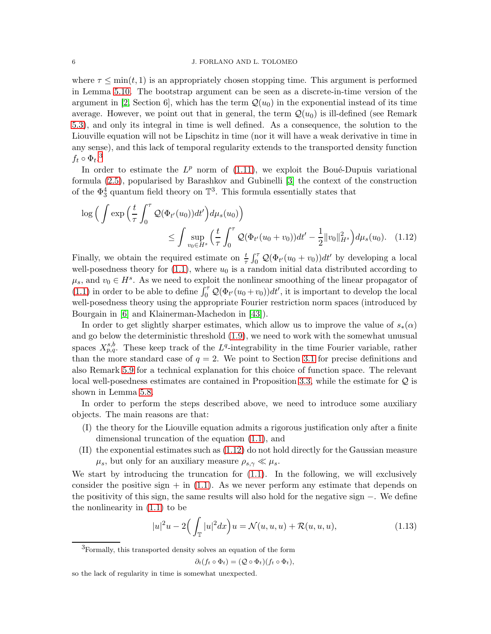where  $\tau \leq \min(t, 1)$  is an appropriately chosen stopping time. This argument is performed in Lemma [5.10.](#page-52-0) The bootstrap argument can be seen as a discrete-in-time version of the argument in [\[2,](#page-60-6) Section 6], which has the term  $\mathcal{Q}(u_0)$  in the exponential instead of its time average. However, we point out that in general, the term  $\mathcal{Q}(u_0)$  is ill-defined (see Remark [5.3\)](#page-40-0), and only its integral in time is well defined. As a consequence, the solution to the Liouville equation will not be Lipschitz in time (nor it will have a weak derivative in time in any sense), and this lack of temporal regularity extends to the transported density function  $f_t \circ \Phi_t$ <sup>[3](#page-5-0)</sup>

In order to estimate the  $L^p$  norm of [\(1.11\)](#page-4-4), we exploit the Boué-Dupuis variational formula [\(2.5\)](#page-13-0), popularised by Barashkov and Gubinelli [\[3\]](#page-60-7) the context of the construction of the  $\Phi_3^4$  quantum field theory on  $\mathbb{T}^3$ . This formula essentially states that

<span id="page-5-1"></span>
$$
\log \left( \int \exp \left( \frac{t}{\tau} \int_0^\tau \mathcal{Q}(\Phi_{t'}(u_0)) dt' \right) d\mu_s(u_0) \right) \le \int \sup_{v_0 \in H^s} \left( \frac{t}{\tau} \int_0^\tau \mathcal{Q}(\Phi_{t'}(u_0 + v_0)) dt' - \frac{1}{2} ||v_0||_{H^s}^2 \right) d\mu_s(u_0). \tag{1.12}
$$

Finally, we obtain the required estimate on  $\frac{t}{\tau} \int_0^{\tau} Q(\Phi_{t'}(u_0 + v_0)) dt'$  by developing a local well-posedness theory for  $(1.1)$ , where  $u_0$  is a random initial data distributed according to  $\mu_s$ , and  $v_0 \in H^s$ . As we need to exploit the nonlinear smoothing of the linear propagator of [\(1.1\)](#page-1-3) in order to be able to define  $\int_0^{\tau} Q(\Phi_{t'}(u_0+v_0))dt'$ , it is important to develop the local well-posedness theory using the appropriate Fourier restriction norm spaces (introduced by Bourgain in [\[6\]](#page-60-2) and Klainerman-Machedon in [\[43\]](#page-62-16)).

In order to get slightly sharper estimates, which allow us to improve the value of  $s_*(\alpha)$ and go below the deterministic threshold [\(1.9\)](#page-4-5), we need to work with the somewhat unusual spaces  $X^{s,b}_{p,q}$ . These keep track of the L<sup>q</sup>-integrability in the time Fourier variable, rather than the more standard case of  $q = 2$ . We point to Section [3.1](#page-16-1) for precise definitions and also Remark [5.9](#page-51-0) for a technical explanation for this choice of function space. The relevant local well-posedness estimates are contained in Proposition [3.3,](#page-18-1) while the estimate for Q is shown in Lemma [5.8.](#page-49-1)

In order to perform the steps described above, we need to introduce some auxiliary objects. The main reasons are that:

- (I) the theory for the Liouville equation admits a rigorous justification only after a finite dimensional truncation of the equation [\(1.1\)](#page-1-3), and
- (II) the exponential estimates such as [\(1.12\)](#page-5-1) do not hold directly for the Gaussian measure  $\mu_s$ , but only for an auxiliary measure  $\rho_{s,\gamma} \ll \mu_s$ .

We start by introducing the truncation for [\(1.1\)](#page-1-3). In the following, we will exclusively consider the positive sign  $+$  in [\(1.1\)](#page-1-3). As we never perform any estimate that depends on the positivity of this sign, the same results will also hold for the negative sign −. We define the nonlinearity in [\(1.1\)](#page-1-3) to be

<span id="page-5-2"></span>
$$
|u|^2u - 2\Big(\int_{\mathbb{T}}|u|^2dx\Big)u = \mathcal{N}(u, u, u) + \mathcal{R}(u, u, u),\tag{1.13}
$$

<span id="page-5-0"></span><sup>3</sup>Formally, this transported density solves an equation of the form

$$
\partial_t(f_t \circ \Phi_t) = (Q \circ \Phi_t)(f_t \circ \Phi_t),
$$

so the lack of regularity in time is somewhat unexpected.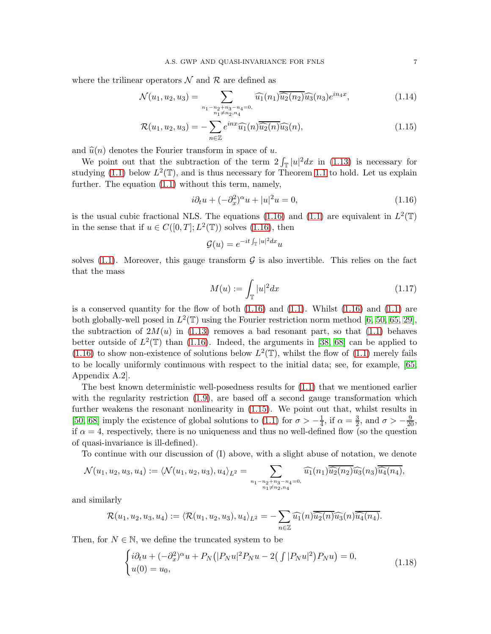where the trilinear operators  $\mathcal N$  and  $\mathcal R$  are defined as

$$
\mathcal{N}(u_1, u_2, u_3) = \sum_{\substack{n_1 - n_2 + n_3 - n_4 = 0, \\ n_1 \neq n_2, n_4}} \widehat{u_1}(n_1) \overline{\widehat{u_2}(n_2)} \widehat{u_3}(n_3) e^{in_4 x}, \tag{1.14}
$$

$$
\mathcal{R}(u_1, u_2, u_3) = -\sum_{n \in \mathbb{Z}} e^{inx} \widehat{u_1}(n) \overline{\widehat{u_2}(n)} \widehat{u_3}(n), \tag{1.15}
$$

and  $\hat{u}(n)$  denotes the Fourier transform in space of u.

We point out that the subtraction of the term  $2 \int_{\mathbb{T}} |u|^2 dx$  in [\(1.13\)](#page-5-2) is necessary for studying [\(1.1\)](#page-1-3) below  $L^2(\mathbb{T})$ , and is thus necessary for Theorem [1.1](#page-4-1) to hold. Let us explain further. The equation  $(1.1)$  without this term, namely,

<span id="page-6-4"></span><span id="page-6-1"></span>
$$
i\partial_t u + (-\partial_x^2)^\alpha u + |u|^2 u = 0,
$$
\n(1.16)

is the usual cubic fractional NLS. The equations [\(1.16\)](#page-6-0) and [\(1.1\)](#page-1-3) are equivalent in  $L^2(\mathbb{T})$ in the sense that if  $u \in C([0, T]; L^2(\mathbb{T}))$  solves [\(1.16\)](#page-6-0), then

<span id="page-6-0"></span>
$$
\mathcal{G}(u) = e^{-it \int_{\mathbb{T}} |u|^2 dx} u
$$

solves [\(1.1\)](#page-1-3). Moreover, this gauge transform  $\mathcal G$  is also invertible. This relies on the fact that the mass

<span id="page-6-2"></span>
$$
M(u) := \int_{\mathbb{T}} |u|^2 dx \tag{1.17}
$$

is a conserved quantity for the flow of both  $(1.16)$  and  $(1.1)$ . Whilst  $(1.16)$  and  $(1.1)$  are both globally-well posed in  $L^2(\mathbb{T})$  using the Fourier restriction norm method [\[6,](#page-60-2) [50,](#page-62-13) [65,](#page-63-12) [29\]](#page-61-12), the subtraction of  $2M(u)$  in [\(1.13\)](#page-5-2) removes a bad resonant part, so that [\(1.1\)](#page-1-3) behaves better outside of  $L^2(\mathbb{T})$  than [\(1.16\)](#page-6-0). Indeed, the arguments in [\[38,](#page-62-17) [68\]](#page-63-14) can be applied to  $(1.16)$  to show non-existence of solutions below  $L^2(\mathbb{T})$ , whilst the flow of  $(1.1)$  merely fails to be locally uniformly continuous with respect to the initial data; see, for example, [\[65,](#page-63-12) Appendix A.2].

The best known deterministic well-posedness results for [\(1.1\)](#page-1-3) that we mentioned earlier with the regularity restriction  $(1.9)$ , are based off a second gauge transformation which further weakens the resonant nonlinearity in [\(1.15\)](#page-6-1). We point out that, whilst results in [\[50,](#page-62-13) [68\]](#page-63-14) imply the existence of global solutions to [\(1.1\)](#page-1-3) for  $\sigma > -\frac{1}{4}$ , if  $\alpha = \frac{3}{2}$ , and  $\sigma > -\frac{9}{20}$ , if  $\alpha = 4$ , respectively, there is no uniqueness and thus no well-defined flow (so the question of quasi-invariance is ill-defined).

To continue with our discussion of (I) above, with a slight abuse of notation, we denote

$$
\mathcal{N}(u_1, u_2, u_3, u_4) := \langle \mathcal{N}(u_1, u_2, u_3), u_4 \rangle_{L^2} = \sum_{\substack{n_1 - n_2 + n_3 - n_4 = 0, \\ n_1 \neq n_2, n_4}} \widehat{u_1}(n_1) \overline{\widehat{u_2}(n_2)} \widehat{u_3}(n_3) \overline{\widehat{u_4}(n_4)},
$$

and similarly

$$
\mathcal{R}(u_1, u_2, u_3, u_4) := \langle \mathcal{R}(u_1, u_2, u_3), u_4 \rangle_{L^2} = -\sum_{n \in \mathbb{Z}} \widehat{u_1}(n) \overline{\widehat{u_2}(n)} \widehat{u_3}(n) \overline{\widehat{u_4}(n_4)}.
$$

Then, for  $N \in \mathbb{N}$ , we define the truncated system to be

<span id="page-6-3"></span>
$$
\begin{cases}\ni\partial_t u + (-\partial_x^2)^{\alpha} u + P_N(|P_N u|^2 P_N u - 2\left(\int |P_N u|^2\right) P_N u\right) = 0, \\
u(0) = u_0,\n\end{cases} \tag{1.18}
$$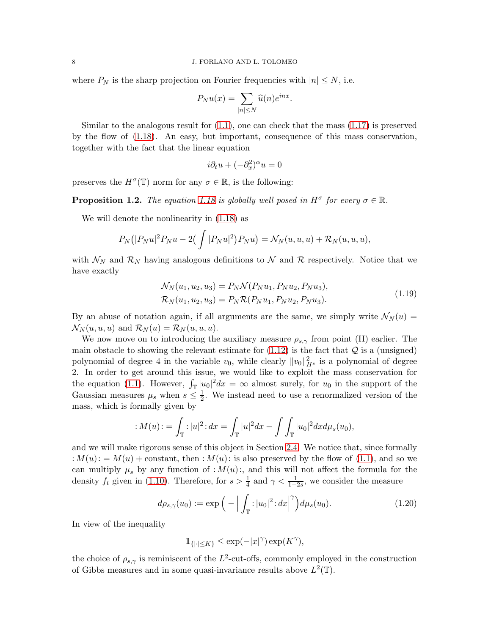where  $P_N$  is the sharp projection on Fourier frequencies with  $|n| \leq N$ , i.e.

$$
P_N u(x) = \sum_{|n| \le N} \widehat{u}(n) e^{inx}
$$

Similar to the analogous result for  $(1.1)$ , one can check that the mass  $(1.17)$  is preserved by the flow of [\(1.18\)](#page-6-3). An easy, but important, consequence of this mass conservation, together with the fact that the linear equation

$$
i\partial_t u + (-\partial_x^2)^\alpha u = 0
$$

preserves the  $H^{\sigma}(\mathbb{T})$  norm for any  $\sigma \in \mathbb{R}$ , is the following:

<span id="page-7-2"></span>**Proposition 1.2.** The equation [1.18](#page-6-3) is globally well posed in  $H^{\sigma}$  for every  $\sigma \in \mathbb{R}$ .

We will denote the nonlinearity in [\(1.18\)](#page-6-3) as

$$
P_N(|P_N u|^2 P_N u - 2\left(\int |P_N u|^2\right) P_N u\right) = \mathcal{N}_N(u, u, u) + \mathcal{R}_N(u, u, u),
$$

with  $\mathcal{N}_N$  and  $\mathcal{R}_N$  having analogous definitions to  $\mathcal N$  and  $\mathcal R$  respectively. Notice that we have exactly

$$
\mathcal{N}_N(u_1, u_2, u_3) = P_N \mathcal{N}(P_N u_1, P_N u_2, P_N u_3),
$$
  
\n
$$
\mathcal{R}_N(u_1, u_2, u_3) = P_N \mathcal{R}(P_N u_1, P_N u_2, P_N u_3).
$$
\n(1.19)

.

<span id="page-7-1"></span>By an abuse of notation again, if all arguments are the same, we simply write  $\mathcal{N}_N(u) =$  $\mathcal{N}_N(u, u, u)$  and  $\mathcal{R}_N(u) = \mathcal{R}_N(u, u, u)$ .

We now move on to introducing the auxiliary measure  $\rho_{s,\gamma}$  from point (II) earlier. The main obstacle to showing the relevant estimate for  $(1.12)$  is the fact that  $\mathcal Q$  is a (unsigned) polynomial of degree 4 in the variable  $v_0$ , while clearly  $||v_0||_{H^s}^2$  is a polynomial of degree 2. In order to get around this issue, we would like to exploit the mass conservation for the equation [\(1.1\)](#page-1-3). However,  $\int_{\mathbb{T}} |u_0|^2 dx = \infty$  almost surely, for  $u_0$  in the support of the Gaussian measures  $\mu_s$  when  $s \leq \frac{1}{2}$  $\frac{1}{2}$ . We instead need to use a renormalized version of the mass, which is formally given by

$$
: M(u) : = \int_{\mathbb{T}} :|u|^2 : dx = \int_{\mathbb{T}} |u|^2 dx - \int \int_{\mathbb{T}} |u_0|^2 dx d\mu_s(u_0),
$$

and we will make rigorous sense of this object in Section [2.4.](#page-14-0) We notice that, since formally :  $M(u)$ : =  $M(u)$  + constant, then :  $M(u)$ : is also preserved by the flow of [\(1.1\)](#page-1-3), and so we can multiply  $\mu_s$  by any function of :  $M(u)$ :, and this will not affect the formula for the density  $f_t$  given in [\(1.10\)](#page-4-6). Therefore, for  $s > \frac{1}{4}$  and  $\gamma < \frac{1}{1-2s}$ , we consider the measure

<span id="page-7-0"></span>
$$
d\rho_{s,\gamma}(u_0) := \exp\Big(-\Big|\int_{\mathbb{T}} :|u_0|^2 \cdot dx\Big|^{\gamma}\Big) d\mu_s(u_0). \tag{1.20}
$$

In view of the inequality

$$
\mathbb{1}_{\{|\cdot|\leq K\}}\leq \exp(-|x|^\gamma)\exp(K^\gamma),
$$

the choice of  $\rho_{s,\gamma}$  is reminiscent of the L<sup>2</sup>-cut-offs, commonly employed in the construction of Gibbs measures and in some quasi-invariance results above  $L^2(\mathbb{T})$ .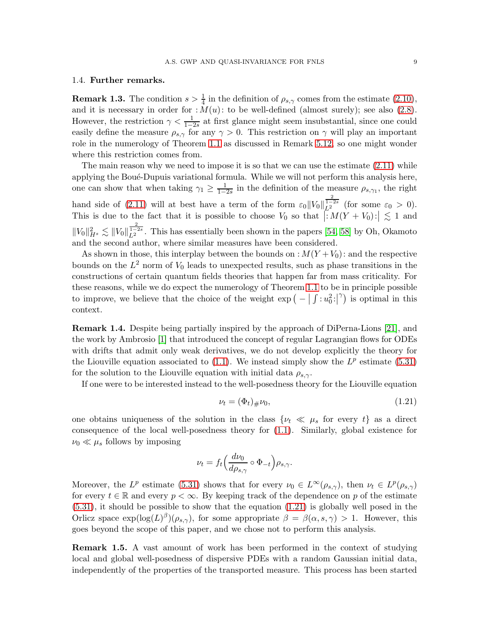### <span id="page-8-0"></span>1.4. Further remarks.

<span id="page-8-2"></span>**Remark 1.3.** The condition  $s > \frac{1}{4}$  in the definition of  $\rho_{s,\gamma}$  comes from the estimate [\(2.10\)](#page-15-0), and it is necessary in order for  $:M(u)$ : to be well-defined (almost surely); see also [\(2.8\)](#page-14-1). However, the restriction  $\gamma < \frac{1}{1-2s}$  at first glance might seem insubstantial, since one could easily define the measure  $\rho_{s,\gamma}$  for any  $\gamma > 0$ . This restriction on  $\gamma$  will play an important role in the numerology of Theorem [1.1](#page-4-1) as discussed in Remark [5.12,](#page-55-2) so one might wonder where this restriction comes from.

The main reason why we need to impose it is so that we can use the estimate  $(2.11)$  while applying the Boué-Dupuis variational formula. While we will not perform this analysis here, one can show that when taking  $\gamma_1 \geq \frac{1}{1-2s}$  in the definition of the measure  $\rho_{s,\gamma_1}$ , the right hand side of [\(2.11\)](#page-15-1) will at best have a term of the form  $\varepsilon_0 ||V_0||_{L^2}^{\frac{2}{1-2s}}$  (for some  $\varepsilon_0 > 0$ ). This is due to the fact that it is possible to choose  $V_0$  so that  $\left| \cdot M(Y+V_0): \right| \lesssim 1$  and  $||V_0||_{H^s}^2 \lesssim ||V_0||_{L^2}^{\frac{2}{1-2s}}$ . This has essentially been shown in the papers [\[54,](#page-62-18) [58\]](#page-62-19) by Oh, Okamoto and the second author, where similar measures have been considered.

As shown in those, this interplay between the bounds on :  $M(Y+V_0)$ : and the respective bounds on the  $L^2$  norm of  $V_0$  leads to unexpected results, such as phase transitions in the constructions of certain quantum fields theories that happen far from mass criticality. For these reasons, while we do expect the numerology of Theorem [1.1](#page-4-1) to be in principle possible to improve, we believe that the choice of the weight  $\exp(-\left| \int : u_0^2 : \right|^{\gamma})$  is optimal in this context.

Remark 1.4. Despite being partially inspired by the approach of DiPerna-Lions [\[21\]](#page-61-15), and the work by Ambrosio [\[1\]](#page-60-5) that introduced the concept of regular Lagrangian flows for ODEs with drifts that admit only weak derivatives, we do not develop explicitly the theory for the Liouville equation associated to  $(1.1)$ . We instead simply show the  $L^p$  estimate  $(5.31)$ for the solution to the Liouville equation with initial data  $\rho_{s,\gamma}$ .

If one were to be interested instead to the well-posedness theory for the Liouville equation

<span id="page-8-1"></span>
$$
\nu_t = (\Phi_t)_{\#} \nu_0,\tag{1.21}
$$

one obtains uniqueness of the solution in the class  $\{\nu_t \ll \mu_s \text{ for every } t\}$  as a direct consequence of the local well-posedness theory for [\(1.1\)](#page-1-3). Similarly, global existence for  $\nu_0 \ll \mu_s$  follows by imposing

$$
\nu_t = f_t \Big( \frac{d\nu_0}{d\rho_{s,\gamma}} \circ \Phi_{-t} \Big) \rho_{s,\gamma}.
$$

Moreover, the  $L^p$  estimate [\(5.31\)](#page-53-0) shows that for every  $\nu_0 \in L^{\infty}(\rho_{s,\gamma})$ , then  $\nu_t \in L^p(\rho_{s,\gamma})$ for every  $t \in \mathbb{R}$  and every  $p < \infty$ . By keeping track of the dependence on p of the estimate  $(5.31)$ , it should be possible to show that the equation  $(1.21)$  is globally well posed in the Orlicz space  $\exp(\log(L)^{\beta})(\rho_{s,\gamma})$ , for some appropriate  $\beta = \beta(\alpha, s, \gamma) > 1$ . However, this goes beyond the scope of this paper, and we chose not to perform this analysis.

Remark 1.5. A vast amount of work has been performed in the context of studying local and global well-posedness of dispersive PDEs with a random Gaussian initial data, independently of the properties of the transported measure. This process has been started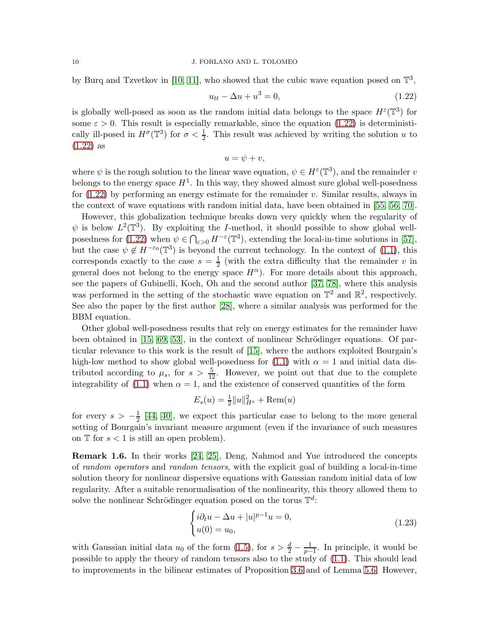### 10 J. FORLANO AND L. TOLOMEO

by Burq and Tzvetkov in [\[10,](#page-61-17) [11\]](#page-61-18), who showed that the cubic wave equation posed on  $\mathbb{T}^3$ ,

<span id="page-9-1"></span>
$$
u_{tt} - \Delta u + u^3 = 0,\t\t(1.22)
$$

is globally well-posed as soon as the random initial data belongs to the space  $H^{\varepsilon}(\mathbb{T}^3)$  for some  $\varepsilon > 0$ . This result is especially remarkable, since the equation [\(1.22\)](#page-9-1) is deterministically ill-posed in  $H^{\sigma}(\mathbb{T}^3)$  for  $\sigma < \frac{1}{2}$ . This result was achieved by writing the solution u to [\(1.22\)](#page-9-1) as

$$
u = \psi + v,
$$

where  $\psi$  is the rough solution to the linear wave equation,  $\psi \in H^{\varepsilon}(\mathbb{T}^3)$ , and the remainder v belongs to the energy space  $H^1$ . In this way, they showed almost sure global well-posedness for  $(1.22)$  by performing an energy estimate for the remainder v. Similar results, always in the context of wave equations with random initial data, have been obtained in [\[55,](#page-62-20) [56,](#page-62-21) [70\]](#page-63-15).

However, this globalization technique breaks down very quickly when the regularity of  $\psi$  is below  $L^2(\mathbb{T}^3)$ . By exploiting the *I*-method, it should possible to show global well-posedness for [\(1.22\)](#page-9-1) when  $\psi \in \bigcap_{\varepsilon > 0} H^{-\varepsilon}(\mathbb{T}^3)$ , extending the local-in-time solutions in [\[57\]](#page-62-22), but the case  $\psi \notin H^{-\epsilon_0}(\mathbb{T}^3)$  is beyond the current technology. In the context of [\(1.1\)](#page-1-3), this corresponds exactly to the case  $s=\frac{1}{2}$  $\frac{1}{2}$  (with the extra difficulty that the remainder v in general does not belong to the energy space  $H^{\alpha}$ ). For more details about this approach, see the papers of Gubinelli, Koch, Oh and the second author [\[37,](#page-62-23) [78\]](#page-63-16), where this analysis was performed in the setting of the stochastic wave equation on  $\mathbb{T}^2$  and  $\mathbb{R}^2$ , respectively. See also the paper by the first author [\[28\]](#page-61-19), where a similar analysis was performed for the BBM equation.

Other global well-posedness results that rely on energy estimates for the remainder have been obtained in  $[15, 69, 53]$  $[15, 69, 53]$  $[15, 69, 53]$ , in the context of nonlinear Schrödinger equations. Of particular relevance to this work is the result of [\[15\]](#page-61-20), where the authors exploited Bourgain's high-low method to show global well-posedness for  $(1.1)$  with  $\alpha = 1$  and initial data distributed according to  $\mu_s$ , for  $s > \frac{5}{12}$ . However, we point out that due to the complete integrability of [\(1.1\)](#page-1-3) when  $\alpha = 1$ , and the existence of conserved quantities of the form

$$
E_s(u) = \frac{1}{2} ||u||_{H^s}^2 + \text{Rem}(u)
$$

for every  $s > -\frac{1}{2}$  [\[44,](#page-62-25) [40\]](#page-62-26), we expect this particular case to belong to the more general setting of Bourgain's invariant measure argument (even if the invariance of such measures on  $\mathbb T$  for  $s < 1$  is still an open problem).

Remark 1.6. In their works [\[24,](#page-61-2) [25\]](#page-61-21), Deng, Nahmod and Yue introduced the concepts of random operators and random tensors, with the explicit goal of building a local-in-time solution theory for nonlinear dispersive equations with Gaussian random initial data of low regularity. After a suitable renormalisation of the nonlinearity, this theory allowed them to solve the nonlinear Schrödinger equation posed on the torus  $\mathbb{T}^d$ :

<span id="page-9-0"></span>
$$
\begin{cases}\ni\partial_t u - \Delta u + |u|^{p-1}u = 0, \\
u(0) = u_0,\n\end{cases}
$$
\n(1.23)

with Gaussian initial data  $u_0$  of the form [\(1.5\)](#page-2-1), for  $s > \frac{d}{2} - \frac{1}{p-1}$  $\frac{1}{p-1}$ . In principle, it would be possible to apply the theory of random tensors also to the study of [\(1.1\)](#page-1-3). This should lead to improvements in the bilinear estimates of Proposition [3.6](#page-23-0) and of Lemma [5.6.](#page-44-0) However,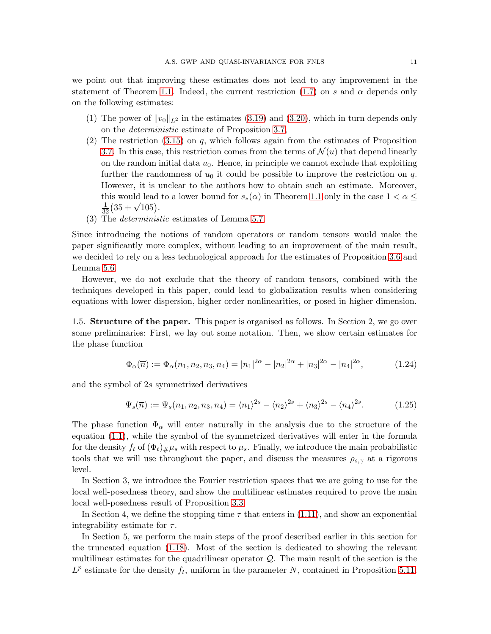we point out that improving these estimates does not lead to any improvement in the statement of Theorem [1.1.](#page-4-1) Indeed, the current restriction [\(1.7\)](#page-4-2) on s and  $\alpha$  depends only on the following estimates:

- (1) The power of  $||v_0||_{L^2}$  in the estimates [\(3.19\)](#page-19-0) and [\(3.20\)](#page-19-1), which in turn depends only on the deterministic estimate of Proposition [3.7,](#page-26-0)
- (2) The restriction  $(3.15)$  on q, which follows again from the estimates of Proposition [3.7.](#page-26-0) In this case, this restriction comes from the terms of  $\mathcal{N}(u)$  that depend linearly on the random initial data  $u_0$ . Hence, in principle we cannot exclude that exploiting further the randomness of  $u_0$  it could be possible to improve the restriction on q. However, it is unclear to the authors how to obtain such an estimate. Moreover, this would lead to a lower bound for  $s_*(\alpha)$  in Theorem [1.1](#page-4-1) only in the case  $1 < \alpha \leq$  $\frac{1}{32}(35+\sqrt{105})$ .
- (3) The deterministic estimates of Lemma [5.7.](#page-46-0)

Since introducing the notions of random operators or random tensors would make the paper significantly more complex, without leading to an improvement of the main result, we decided to rely on a less technological approach for the estimates of Proposition [3.6](#page-23-0) and Lemma [5.6.](#page-44-0)

However, we do not exclude that the theory of random tensors, combined with the techniques developed in this paper, could lead to globalization results when considering equations with lower dispersion, higher order nonlinearities, or posed in higher dimension.

<span id="page-10-0"></span>1.5. Structure of the paper. This paper is organised as follows. In Section 2, we go over some preliminaries: First, we lay out some notation. Then, we show certain estimates for the phase function

<span id="page-10-1"></span>
$$
\Phi_{\alpha}(\overline{n}) := \Phi_{\alpha}(n_1, n_2, n_3, n_4) = |n_1|^{2\alpha} - |n_2|^{2\alpha} + |n_3|^{2\alpha} - |n_4|^{2\alpha}, \tag{1.24}
$$

and the symbol of 2s symmetrized derivatives

<span id="page-10-2"></span>
$$
\Psi_s(\overline{n}) := \Psi_s(n_1, n_2, n_3, n_4) = \langle n_1 \rangle^{2s} - \langle n_2 \rangle^{2s} + \langle n_3 \rangle^{2s} - \langle n_4 \rangle^{2s}.
$$
 (1.25)

The phase function  $\Phi_{\alpha}$  will enter naturally in the analysis due to the structure of the equation [\(1.1\)](#page-1-3), while the symbol of the symmetrized derivatives will enter in the formula for the density  $f_t$  of  $(\Phi_t)_{\#}\mu_s$  with respect to  $\mu_s$ . Finally, we introduce the main probabilistic tools that we will use throughout the paper, and discuss the measures  $\rho_{s,\gamma}$  at a rigorous level.

In Section 3, we introduce the Fourier restriction spaces that we are going to use for the local well-posedness theory, and show the multilinear estimates required to prove the main local well-posedness result of Proposition [3.3.](#page-18-1)

In Section 4, we define the stopping time  $\tau$  that enters in [\(1.11\)](#page-4-4), and show an exponential integrability estimate for  $\tau$ .

In Section 5, we perform the main steps of the proof described earlier in this section for the truncated equation [\(1.18\)](#page-6-3). Most of the section is dedicated to showing the relevant multilinear estimates for the quadrilinear operator  $\mathcal{Q}$ . The main result of the section is the  $L^p$  estimate for the density  $f_t$ , uniform in the parameter N, contained in Proposition [5.11.](#page-53-1)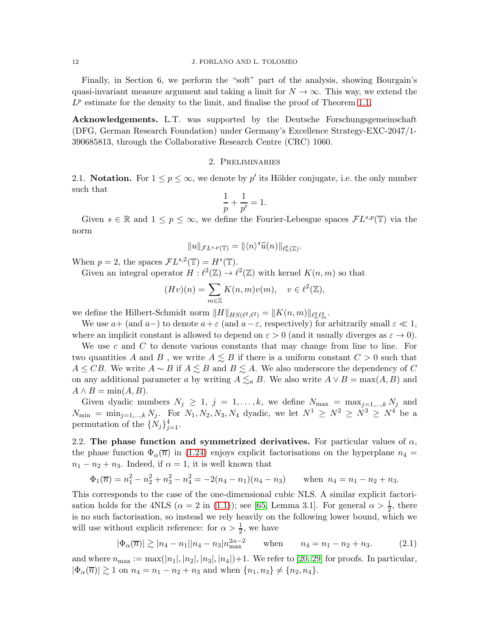Finally, in Section 6, we perform the "soft" part of the analysis, showing Bourgain's quasi-invariant measure argument and taking a limit for  $N \to \infty$ . This way, we extend the  $L^p$  estimate for the density to the limit, and finalise the proof of Theorem [1.1.](#page-4-1)

Acknowledgements. L.T. was supported by the Deutsche Forschungsgemeinschaft (DFG, German Research Foundation) under Germany's Excellence Strategy-EXC-2047/1- 390685813, through the Collaborative Research Centre (CRC) 1060.

# 2. Preliminaries

<span id="page-11-1"></span><span id="page-11-0"></span>2.1. **Notation.** For  $1 \leq p \leq \infty$ , we denote by p' its Hölder conjugate, i.e. the only number such that

$$
\frac{1}{p} + \frac{1}{p'} = 1.
$$

Given  $s \in \mathbb{R}$  and  $1 \leq p \leq \infty$ , we define the Fourier-Lebesgue spaces  $\mathcal{F}L^{s,p}(\mathbb{T})$  via the norm

$$
||u||_{\mathcal{F}L^{s,p}(\mathbb{T})} = ||\langle n \rangle^{s}\widehat{u}(n)||_{\ell^{p}_{n}(\mathbb{Z})}.
$$

When  $p = 2$ , the spaces  $FL^{s,2}(\mathbb{T}) = H^s(\mathbb{T})$ .

Given an integral operator  $H : \ell^2(\mathbb{Z}) \to \ell^2(\mathbb{Z})$  with kernel  $K(n, m)$  so that

$$
(Hv)(n) = \sum_{m \in \mathbb{Z}} K(n, m)v(m), \quad v \in \ell^{2}(\mathbb{Z}),
$$

we define the Hilbert-Schmidt norm  $||H||_{HS(\ell^2,\ell^2)} = ||K(n,m)||_{\ell^2_n \ell^2_m}$ .

We use  $a+$  (and  $a-$ ) to denote  $a+\varepsilon$  (and  $a-\varepsilon$ , respectively) for arbitrarily small  $\varepsilon \ll 1$ , where an implicit constant is allowed to depend on  $\varepsilon > 0$  (and it usually diverges as  $\varepsilon \to 0$ ).

We use c and C to denote various constants that may change from line to line. For two quantities A and B, we write  $A \leq B$  if there is a uniform constant  $C > 0$  such that  $A \leq CB$ . We write  $A \sim B$  if  $A \leq B$  and  $B \leq A$ . We also underscore the dependency of C on any additional parameter a by writing  $A \leq_a B$ . We also write  $A \vee B = \max(A, B)$  and  $A \wedge B = \min(A, B).$ 

Given dyadic numbers  $N_j \geq 1$ ,  $j = 1, ..., k$ , we define  $N_{\text{max}} = \max_{j=1,...,k} N_j$  and  $N_{\min} = \min_{j=1,...,k} N_j$ . For  $N_1, N_2, N_3, N_4$  dyadic, we let  $N^1 \ge N^2 \ge N^3 \ge N^4$  be a permutation of the  $\{N_j\}_{j=1}^4$ .

<span id="page-11-2"></span>2.2. The phase function and symmetrized derivatives. For particular values of  $\alpha$ , the phase function  $\Phi_{\alpha}(\overline{n})$  in [\(1.24\)](#page-10-1) enjoys explicit factorisations on the hyperplane  $n_4$  $n_1 - n_2 + n_3$ . Indeed, if  $\alpha = 1$ , it is well known that

$$
\Phi_1(\overline{n}) = n_1^2 - n_2^2 + n_3^2 - n_4^2 = -2(n_4 - n_1)(n_4 - n_3) \quad \text{when } n_4 = n_1 - n_2 + n_3.
$$

This corresponds to the case of the one-dimensional cubic NLS. A similar explicit factorisation holds for the 4NLS ( $\alpha = 2$  in [\(1.1\)](#page-1-3)); see [\[65,](#page-63-12) Lemma 3.1]. For general  $\alpha > \frac{1}{2}$ , there is no such factorisation, so instead we rely heavily on the following lower bound, which we will use without explicit reference: for  $\alpha > \frac{1}{2}$ , we have

<span id="page-11-3"></span>
$$
|\Phi_{\alpha}(\overline{n})| \gtrsim |n_4 - n_1||n_4 - n_3|n_{\text{max}}^{2\alpha - 2} \qquad \text{when} \qquad n_4 = n_1 - n_2 + n_3. \tag{2.1}
$$

and where  $n_{\text{max}} := \max(|n_1|, |n_2|, |n_3|, |n_4|) + 1$ . We refer to [\[20,](#page-61-22) [29\]](#page-61-12) for proofs. In particular,  $|\Phi_{\alpha}(\overline{n})| \gtrsim 1$  on  $n_4 = n_1 - n_2 + n_3$  and when  $\{n_1, n_3\} \neq \{n_2, n_4\}.$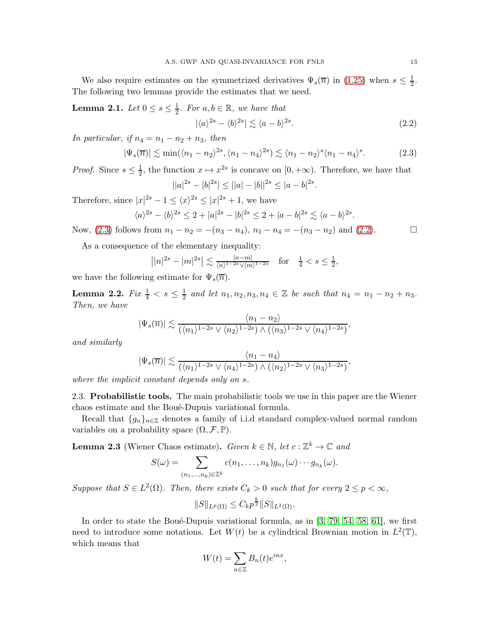We also require estimates on the symmetrized derivatives  $\Psi_s(\overline{n})$  in [\(1.25\)](#page-10-2) when  $s \leq \frac{1}{2}$  $rac{1}{2}$ . The following two lemmas provide the estimates that we need.

**Lemma 2.1.** Let  $0 \leq s \leq \frac{1}{2}$ . For  $a, b \in \mathbb{R}$ , we have that

<span id="page-12-2"></span>
$$
|\langle a\rangle^{2s} - \langle b\rangle^{2s}| \lesssim \langle a - b\rangle^{2s}.
$$
 (2.2)

In particular, if  $n_4 = n_1 - n_2 + n_3$ , then

<span id="page-12-1"></span>
$$
|\Psi_s(\overline{n})| \lesssim \min(\langle n_1 - n_2 \rangle^{2s}, \langle n_1 - n_4 \rangle^{2s}) \lesssim \langle n_1 - n_2 \rangle^{s} \langle n_1 - n_4 \rangle^{s}.
$$
 (2.3)

*Proof.* Since  $s \leq \frac{1}{2}$  $\frac{1}{2}$ , the function  $x \mapsto x^{2s}$  is concave on  $[0, +\infty)$ . Therefore, we have that  $||a|^{2s} - |b|^{2s}| \le ||a| - |b||^{2s} \le |a - b|^{2s}.$ 

Therefore, since  $|x|^{2s} - 1 \le \langle x \rangle^{2s} \le |x|^{2s} + 1$ , we have

$$
\langle a \rangle^{2s} - \langle b \rangle^{2s} \le 2 + |a|^{2s} - |b|^{2s} \le 2 + |a - b|^{2s} \lesssim \langle a - b \rangle^{2s}.
$$

Now, [\(2.3\)](#page-12-1) follows from  $n_1 - n_2 = -(n_3 - n_4)$ ,  $n_1 - n_4 = -(n_3 - n_2)$  and [\(2.2\)](#page-12-2).

As a consequence of the elementary inequality:

$$
\left| |n|^{2s} - |m|^{2s} \right| \lesssim \frac{|n-m|}{\langle n \rangle^{1-2s} \vee \langle m \rangle^{1-2s}} \quad \text{for} \quad \frac{1}{4} < s \le \frac{1}{2},
$$

we have the following estimate for  $\Psi_s(\overline{n})$ .

<span id="page-12-4"></span>**Lemma 2.2.** *Fix*  $\frac{1}{4} < s \leq \frac{1}{2}$  $\frac{1}{2}$  and let  $n_1, n_2, n_3, n_4 \in \mathbb{Z}$  be such that  $n_4 = n_1 - n_2 + n_3$ . Then, we have

$$
|\Psi_s(\overline{n})| \lesssim \frac{\langle n_1 - n_2 \rangle}{(\langle n_1 \rangle^{1-2s} \vee \langle n_2 \rangle^{1-2s}) \wedge (\langle n_3 \rangle^{1-2s} \vee \langle n_4 \rangle^{1-2s})},
$$

and similarly

$$
|\Psi_s(\overline{n})| \lesssim \frac{\langle n_1 - n_4 \rangle}{(\langle n_1 \rangle^{1-2s} \vee \langle n_4 \rangle^{1-2s}) \wedge (\langle n_2 \rangle^{1-2s} \vee \langle n_3 \rangle^{1-2s})},
$$

<span id="page-12-0"></span>where the implicit constant depends only on s.

2.3. Probabilistic tools. The main probabilistic tools we use in this paper are the Wiener chaos estimate and the Boué-Dupuis variational formula.

Recall that  $\{g_n\}_{n\in\mathbb{Z}}$  denotes a family of i.i.d standard complex-valued normal random variables on a probability space  $(\Omega, \mathcal{F}, \mathbb{P})$ .

<span id="page-12-3"></span>**Lemma 2.3** (Wiener Chaos estimate). Given  $k \in \mathbb{N}$ , let  $c : \mathbb{Z}^k \to \mathbb{C}$  and

$$
S(\omega) = \sum_{(n_1,\ldots,n_k)\in\mathbb{Z}^k} c(n_1,\ldots,n_k)g_{n_1}(\omega)\cdots g_{n_k}(\omega).
$$

Suppose that  $S \in L^2(\Omega)$ . Then, there exists  $C_k > 0$  such that for every  $2 \le p < \infty$ ,

$$
||S||_{L^{p}(\Omega)} \leq C_{k} p^{\frac{k}{2}} ||S||_{L^{2}(\Omega)}.
$$

In order to state the Boué-Dupuis variational formula, as in  $[3, 79, 54, 58, 61]$  $[3, 79, 54, 58, 61]$  $[3, 79, 54, 58, 61]$  $[3, 79, 54, 58, 61]$  $[3, 79, 54, 58, 61]$ , we first need to introduce some notations. Let  $W(t)$  be a cylindrical Brownian motion in  $L^2(\mathbb{T})$ , which means that

$$
W(t) = \sum_{n \in \mathbb{Z}} B_n(t) e^{inx},
$$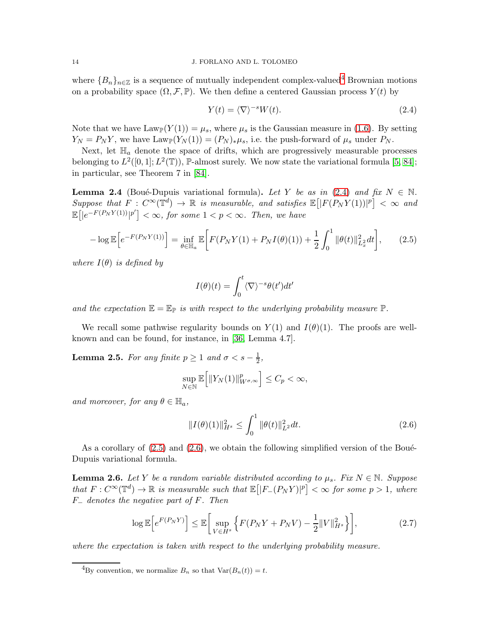where  ${B_n}_{n\in\mathbb{Z}}$  is a sequence of mutually independent complex-valued<sup>[4](#page-13-1)</sup> Brownian motions on a probability space  $(\Omega, \mathcal{F}, \mathbb{P})$ . We then define a centered Gaussian process  $Y(t)$  by

<span id="page-13-2"></span>
$$
Y(t) = \langle \nabla \rangle^{-s} W(t). \tag{2.4}
$$

Note that we have  $\text{Law}_{\mathbb{P}}(Y(1)) = \mu_s$ , where  $\mu_s$  is the Gaussian measure in [\(1.6\)](#page-2-2). By setting  $Y_N = P_N Y$ , we have  $\text{Law}_{\mathbb{P}}(Y_N(1)) = (P_N)_*\mu_s$ , i.e. the push-forward of  $\mu_s$  under  $P_N$ .

Next, let  $\mathbb{H}_a$  denote the space of drifts, which are progressively measurable processes belonging to  $L^2([0,1];L^2(\mathbb{T}))$ , P-almost surely. We now state the variational formula [\[5,](#page-60-8) [84\]](#page-63-19); in particular, see Theorem 7 in [\[84\]](#page-63-19).

<span id="page-13-5"></span>**Lemma 2.4** (Boué-Dupuis variational formula). Let Y be as in [\(2.4\)](#page-13-2) and fix  $N \in \mathbb{N}$ . Suppose that  $F: C^{\infty}(\mathbb{T}^d) \to \mathbb{R}$  is measurable, and satisfies  $\mathbb{E}[|F(P_NY(1))|^p] < \infty$  and  $\mathbb{E}\big[|e^{-F(P_NY(1))}|^{p'}\big] < \infty$ , for some  $1 < p < \infty$ . Then, we have

$$
-\log \mathbb{E}\Big[e^{-F(P_NY(1))}\Big] = \inf_{\theta \in \mathbb{H}_a} \mathbb{E}\Big[F(P_NY(1) + P_NI(\theta)(1)) + \frac{1}{2}\int_0^1 \|\theta(t)\|_{L_x^2}^2 dt\Big],\tag{2.5}
$$

where  $I(\theta)$  is defined by

<span id="page-13-0"></span>
$$
I(\theta)(t) = \int_0^t \langle \nabla \rangle^{-s} \theta(t') dt'
$$

and the expectation  $\mathbb{E} = \mathbb{E}_{\mathbb{P}}$  is with respect to the underlying probability measure  $\mathbb{P}$ .

We recall some pathwise regularity bounds on  $Y(1)$  and  $I(\theta)(1)$ . The proofs are wellknown and can be found, for instance, in [\[36,](#page-61-11) Lemma 4.7].

**Lemma 2.5.** For any finite  $p \ge 1$  and  $\sigma < s - \frac{1}{2}$  $\frac{1}{2}$ ,

$$
\sup_{N \in \mathbb{N}} \mathbb{E} \Big[ ||Y_N(1)||^p_{W^{\sigma,\infty}} \Big] \leq C_p < \infty,
$$

and moreover, for any  $\theta \in \mathbb{H}_a$ ,

<span id="page-13-4"></span><span id="page-13-3"></span>
$$
||I(\theta)(1)||_{H^s}^2 \le \int_0^1 ||\theta(t)||_{L^2}^2 dt. \tag{2.6}
$$

As a corollary of  $(2.5)$  and  $(2.6)$ , we obtain the following simplified version of the Boué-Dupuis variational formula.

<span id="page-13-6"></span>**Lemma 2.6.** Let Y be a random variable distributed according to  $\mu_s$ . Fix  $N \in \mathbb{N}$ . Suppose that  $F: C^{\infty}(\mathbb{T}^d) \to \mathbb{R}$  is measurable such that  $\mathbb{E} \big[ |F_-(P_N Y)|^p \big] < \infty$  for some  $p > 1$ , where  $F_-\$  denotes the negative part of F. Then

$$
\log \mathbb{E}\left[e^{F(P_NY)}\right] \leq \mathbb{E}\left[\sup_{V \in H^s} \left\{F(P_NY + P_NV) - \frac{1}{2}||V||_{H^s}^2\right\}\right],\tag{2.7}
$$

where the expectation is taken with respect to the underlying probability measure.

<span id="page-13-1"></span><sup>&</sup>lt;sup>4</sup>By convention, we normalize  $B_n$  so that  $Var(B_n(t)) = t$ .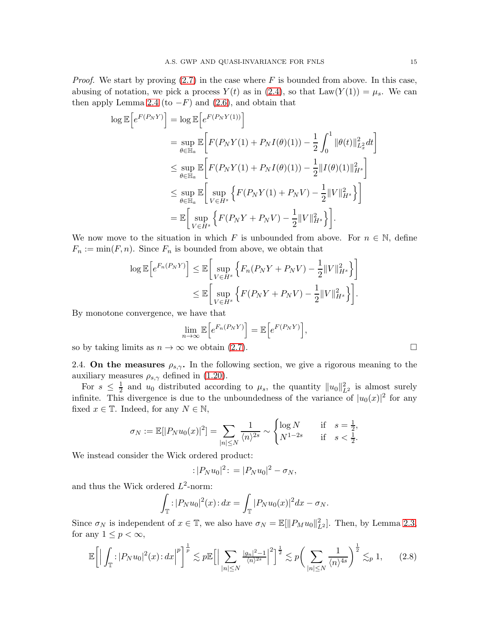*Proof.* We start by proving  $(2.7)$  in the case where F is bounded from above. In this case, abusing of notation, we pick a process  $Y(t)$  as in [\(2.4\)](#page-13-2), so that  $Law(Y(1)) = \mu_s$ . We can then apply Lemma [2.4](#page-13-5) (to  $-F$ ) and [\(2.6\)](#page-13-3), and obtain that

$$
\log \mathbb{E} \Big[ e^{F(P_N Y)} \Big] = \log \mathbb{E} \Big[ e^{F(P_N Y(1))} \Big]
$$
  
\n
$$
= \sup_{\theta \in \mathbb{H}_a} \mathbb{E} \Big[ F(P_N Y(1) + P_N I(\theta)(1)) - \frac{1}{2} \int_0^1 ||\theta(t)||_{L_x^2}^2 dt \Big]
$$
  
\n
$$
\leq \sup_{\theta \in \mathbb{H}_a} \mathbb{E} \Big[ F(P_N Y(1) + P_N I(\theta)(1)) - \frac{1}{2} ||I(\theta)(1)||_{H^s}^2 \Big]
$$
  
\n
$$
\leq \sup_{\theta \in \mathbb{H}_a} \mathbb{E} \Big[ \sup_{V \in H^s} \Big\{ F(P_N Y(1) + P_N V) - \frac{1}{2} ||V||_{H^s}^2 \Big\} \Big]
$$
  
\n
$$
= \mathbb{E} \Big[ \sup_{V \in H^s} \Big\{ F(P_N Y + P_N V) - \frac{1}{2} ||V||_{H^s}^2 \Big\} \Big].
$$

We now move to the situation in which F is unbounded from above. For  $n \in \mathbb{N}$ , define  $F_n := \min(F, n)$ . Since  $F_n$  is bounded from above, we obtain that

$$
\log \mathbb{E}\Big[e^{F_n(P_NY)}\Big] \leq \mathbb{E}\Bigg[\sup_{V\in H^s} \Big\{F_n(P_NY+P_NV)-\frac{1}{2}\|V\|_{H^s}^2\Big\}\Bigg] \leq \mathbb{E}\Bigg[\sup_{V\in H^s} \Big\{F(P_NY+P_NV)-\frac{1}{2}\|V\|_{H^s}^2\Big\}\Bigg].
$$

By monotone convergence, we have that

$$
\lim_{n \to \infty} \mathbb{E}\Big[e^{F_n(P_NY)}\Big] = \mathbb{E}\Big[e^{F(P_NY)}\Big]
$$

,

<span id="page-14-0"></span>so by taking limits as  $n \to \infty$  we obtain [\(2.7\)](#page-13-4).

2.4. On the measures  $\rho_{s,\gamma}$ . In the following section, we give a rigorous meaning to the auxiliary measures  $\rho_{s,\gamma}$  defined in [\(1.20\)](#page-7-0).

For  $s \leq \frac{1}{2}$  $\frac{1}{2}$  and  $u_0$  distributed according to  $\mu_s$ , the quantity  $||u_0||^2_{L^2}$  is almost surely infinite. This divergence is due to the unboundedness of the variance of  $|u_0(x)|^2$  for any fixed  $x \in \mathbb{T}$ . Indeed, for any  $N \in \mathbb{N}$ ,

$$
\sigma_N := \mathbb{E}[|P_N u_0(x)|^2] = \sum_{|n| \le N} \frac{1}{\langle n \rangle^{2s}} \sim \begin{cases} \log N & \text{if } s = \frac{1}{2}, \\ N^{1-2s} & \text{if } s < \frac{1}{2}. \end{cases}
$$

We instead consider the Wick ordered product:

$$
:|P_N u_0|^2: = |P_N u_0|^2 - \sigma_N,
$$

and thus the Wick ordered  $L^2$ -norm:

$$
\int_{\mathbb{T}} :|P_N u_0|^2(x) : dx = \int_{\mathbb{T}} |P_N u_0(x)|^2 dx - \sigma_N.
$$

Since  $\sigma_N$  is independent of  $x \in \mathbb{T}$ , we also have  $\sigma_N = \mathbb{E}[\Vert P_M u_0 \Vert_{L^2}^2]$ . Then, by Lemma [2.3,](#page-12-3) for any  $1 \leq p < \infty$ ,

$$
\mathbb{E}\bigg[\Big|\int_{\mathbb{T}}: |P_N u_0|^2(x) \cdot dx\Big|^p\bigg]^\frac{1}{p} \lesssim p \mathbb{E}\bigg[\Big|\sum_{|n| \le N} \frac{|g_n|^2 - 1}{\langle n \rangle^{2s}}\Big|^2\bigg]^\frac{1}{2} \lesssim p \bigg(\sum_{|n| \le N} \frac{1}{\langle n \rangle^{4s}}\bigg)^\frac{1}{2} \lesssim_p 1,\tag{2.8}
$$

<span id="page-14-1"></span>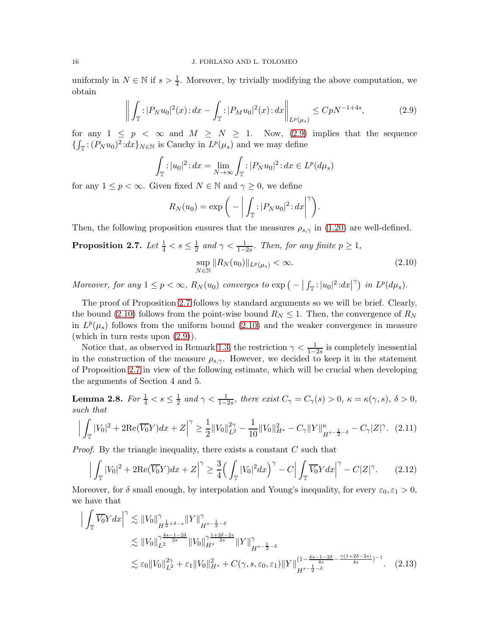uniformly in  $N \in \mathbb{N}$  if  $s > \frac{1}{4}$ . Moreover, by trivially modifying the above computation, we obtain

$$
\left\| \int_{\mathbb{T}} :|P_N u_0|^2(x) : dx - \int_{\mathbb{T}} :|P_M u_0|^2(x) : dx \right\|_{L^p(\mu_s)} \le C p N^{-1+4s},\tag{2.9}
$$

for any  $1 \leq p \leq \infty$  and  $M \geq N \geq 1$ . Now, [\(2.9\)](#page-15-2) implies that the sequence  $\{\int_{\mathbb{T}}:(P_N u_0)^2: dx\}_{N\in\mathbb{N}}$  is Cauchy in  $L^p(\mu_s)$  and we may define

$$
\int_{\mathbb{T}} :|u_0|^2: dx = \lim_{N \to \infty} \int_{\mathbb{T}} :|P_N u_0|^2: dx \in L^p(d\mu_s)
$$

for any  $1 \leq p < \infty$ . Given fixed  $N \in \mathbb{N}$  and  $\gamma \geq 0$ , we define

<span id="page-15-2"></span>
$$
R_N(u_0) = \exp\bigg(-\bigg|\int_{\mathbb{T}}: |P_N u_0|^2: dx\bigg|^{\gamma}\bigg).
$$

Then, the following proposition ensures that the measures  $\rho_{s,\gamma}$  in [\(1.20\)](#page-7-0) are well-defined.

<span id="page-15-3"></span>**Proposition 2.7.** Let  $\frac{1}{4} < s \leq \frac{1}{2}$  and  $\gamma < \frac{1}{1-2s}$ . Then, for any finite  $p \geq 1$ ,

<span id="page-15-4"></span><span id="page-15-0"></span>
$$
\sup_{N \in \mathbb{N}} \|R_N(u_0)\|_{L^p(\mu_s)} < \infty. \tag{2.10}
$$

Moreover, for any  $1 \le p < \infty$ ,  $R_N(u_0)$  converges to  $\exp(-\left|\int_{\mathbb{T}} : |u_0|^2 \cdot dx\right|^{\gamma})$  in  $L^p(d\mu_s)$ .

The proof of Proposition [2.7](#page-15-3) follows by standard arguments so we will be brief. Clearly, the bound [\(2.10\)](#page-15-0) follows from the point-wise bound  $R_N \leq 1$ . Then, the convergence of  $R_N$ in  $L^p(\mu_s)$  follows from the uniform bound [\(2.10\)](#page-15-0) and the weaker convergence in measure (which in turn rests upon [\(2.9\)](#page-15-2)).

Notice that, as observed in Remark [1.3,](#page-8-2) the restriction  $\gamma < \frac{1}{1-2s}$  is completely inessential in the construction of the measure  $\rho_{s,\gamma}$ . However, we decided to keep it in the statement of Proposition [2.7](#page-15-3) in view of the following estimate, which will be crucial when developing the arguments of Section 4 and 5.

Lemma 2.8. For  $\frac{1}{4} < s \leq \frac{1}{2}$  $\frac{1}{2}$  and  $\gamma < \frac{1}{1-2s}$ , there exist  $C_{\gamma} = C_{\gamma}(s) > 0$ ,  $\kappa = \kappa(\gamma, s)$ ,  $\delta > 0$ , such that

<span id="page-15-1"></span>
$$
\left| \int_{\mathbb{T}} |V_0|^2 + 2\text{Re}(\overline{V_0}Y)dx + Z \right|^{\gamma} \ge \frac{1}{2} \|V_0\|_{L^2}^{2\gamma} - \frac{1}{10} \|V_0\|_{H^s}^2 - C_{\gamma} \|Y\|_{H^{s-\frac{1}{2}-\delta}}^{\kappa} - C_{\gamma} |Z|^{\gamma} . \tag{2.11}
$$

*Proof.* By the triangle inequality, there exists a constant  $C$  such that

$$
\left| \int_{\mathbb{T}} |V_0|^2 + 2\mathrm{Re}(\overline{V_0}Y)dx + Z \right|^\gamma \ge \frac{3}{4} \Big(\int_{\mathbb{T}} |V_0|^2 dx\Big)^\gamma - C \Big|\int_{\mathbb{T}} \overline{V_0}Y dx \Big|^\gamma - C|Z|^\gamma. \tag{2.12}
$$

Moreover, for  $\delta$  small enough, by interpolation and Young's inequality, for every  $\varepsilon_0$ ,  $\varepsilon_1 > 0$ , we have that

<span id="page-15-5"></span>
$$
\left| \int_{\mathbb{T}} \overline{V_0} Y dx \right|^{\gamma} \lesssim \|V_0\|_{H^{\frac{1}{2}+\delta-s}}^{\gamma} \|Y\|_{H^{s-\frac{1}{2}-\delta}}^{\gamma} \lesssim \|V_0\|_{L^2}^{\gamma \frac{4s-1-2\delta}{2s}} \|V_0\|_{H^s}^{\gamma \frac{1+2\delta-2s}{2s}} \|Y\|_{H^{s-\frac{1}{2}-\delta}}^{\gamma} \lesssim \varepsilon_0 \|V_0\|_{L^2}^{\gamma \gamma} + \varepsilon_1 \|V_0\|_{H^s}^2 + C(\gamma, s, \varepsilon_0, \varepsilon_1) \|Y\|_{H^{s-\frac{1}{2}-\delta}}^{(1+\frac{4s-1-2\delta}{4s} - \frac{\gamma(1+2\delta-2s)}{4s})^{-1}}.
$$
 (2.13)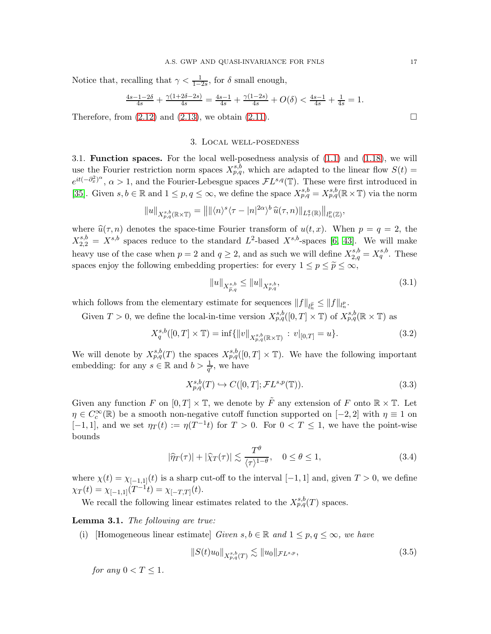Notice that, recalling that  $\gamma < \frac{1}{1-2s}$ , for  $\delta$  small enough,

$$
\frac{4s-1-2\delta}{4s} + \frac{\gamma(1+2\delta-2s)}{4s} = \frac{4s-1}{4s} + \frac{\gamma(1-2s)}{4s} + O(\delta) < \frac{4s-1}{4s} + \frac{1}{4s} = 1.
$$

<span id="page-16-0"></span>Therefore, from  $(2.12)$  and  $(2.13)$ , we obtain  $(2.11)$ .

# 3. Local well-posedness

<span id="page-16-1"></span>3.1. **Function spaces.** For the local well-posedness analysis of  $(1.1)$  and  $(1.18)$ , we will use the Fourier restriction norm spaces  $X^{s,b}_{p,q}$ , which are adapted to the linear flow  $S(t)$  $e^{it(-\partial_x^2)^{\alpha}}, \alpha > 1$ , and the Fourier-Lebesgue spaces  $\mathcal{F}L^{s,q}(\mathbb{T})$ . These were first introduced in [\[35\]](#page-61-23). Given  $s, b \in \mathbb{R}$  and  $1 \leq p, q \leq \infty$ , we define the space  $X^{s,b}_{p,q} = X^{s,b}_{p,q}(\mathbb{R} \times \mathbb{T})$  via the norm

$$
||u||_{X^{s,b}_{p,q}(\mathbb{R}\times\mathbb{T})} = ||||\langle n \rangle^{s} \langle \tau - |n|^{2\alpha} \rangle^{b} \widehat{u}(\tau,n)||_{L^q_\tau(\mathbb{R})} ||_{l^p_n(\mathbb{Z})},
$$

where  $\hat{u}(\tau, n)$  denotes the space-time Fourier transform of  $u(t, x)$ . When  $p = q = 2$ , the  $X_{2,2}^{s,b} = X^{s,b}$  spaces reduce to the standard  $L^2$ -based  $X^{s,b}$ -spaces [\[6,](#page-60-2) [43\]](#page-62-16). We will make heavy use of the case when  $p = 2$  and  $q \ge 2$ , and as such we will define  $X_{2,q}^{s,b} = X_q^{s,b}$ . These spaces enjoy the following embedding properties: for every  $1 \le p \le \tilde{p} \le \infty$ ,

<span id="page-16-6"></span><span id="page-16-5"></span><span id="page-16-4"></span>
$$
||u||_{X^{s,b}_{\widetilde{p},q}} \le ||u||_{X^{s,b}_{p,q}},\tag{3.1}
$$

which follows from the elementary estimate for sequences  $||f||_{l_{n}^{\tilde{p}}} \leq ||f||_{l_{n}^{p}}$ .

Given  $T > 0$ , we define the local-in-time version  $X^{s,b}_{p,q}([0,T] \times \mathbb{T})$  of  $X^{s,b}_{p,q}(\mathbb{R} \times \mathbb{T})$  as

$$
X_q^{s,b}([0,T] \times \mathbb{T}) = \inf \{ ||v||_{X_{p,q}^{s,b}(\mathbb{R} \times \mathbb{T})} : v|_{[0,T]} = u \}.
$$
 (3.2)

We will denote by  $X^{s,b}_{p,q}(T)$  the spaces  $X^{s,b}_{p,q}([0,T] \times \mathbb{T})$ . We have the following important embedding: for any  $s \in \mathbb{R}$  and  $b > \frac{1}{q'}$ , we have

<span id="page-16-3"></span>
$$
X_{p,q}^{s,b}(T) \hookrightarrow C([0,T]; \mathcal{F}L^{s,p}(\mathbb{T})).
$$
\n(3.3)

Given any function F on  $[0, T] \times \mathbb{T}$ , we denote by  $\tilde{F}$  any extension of F onto  $\mathbb{R} \times \mathbb{T}$ . Let  $\eta \in C_c^{\infty}(\mathbb{R})$  be a smooth non-negative cutoff function supported on  $[-2,2]$  with  $\eta \equiv 1$  on  $[-1,1]$ , and we set  $\eta_T(t) := \eta(T^{-1}t)$  for  $T > 0$ . For  $0 < T \le 1$ , we have the point-wise bounds

$$
|\hat{\eta}_T(\tau)| + |\hat{\chi}_T(\tau)| \lesssim \frac{T^{\theta}}{\langle \tau \rangle^{1-\theta}}, \quad 0 \le \theta \le 1,
$$
\n(3.4)

where  $\chi(t) = \chi_{[-1,1]}(t)$  is a sharp cut-off to the interval  $[-1,1]$  and, given  $T > 0$ , we define  $\chi_T(t) = \chi_{[-1,1]}(T^{-1}t) = \chi_{[-T,T]}(t).$ 

We recall the following linear estimates related to the  $X^{s,b}_{p,q}(T)$  spaces.

Lemma 3.1. The following are true:

(i) [Homogeneous linear estimate] Given  $s, b \in \mathbb{R}$  and  $1 \leq p, q \leq \infty$ , we have

<span id="page-16-2"></span>
$$
||S(t)u_0||_{X^{s,b}_{p,q}(T)} \lesssim ||u_0||_{\mathcal{F}L^{s,p}},\tag{3.5}
$$

for any  $0 < T < 1$ .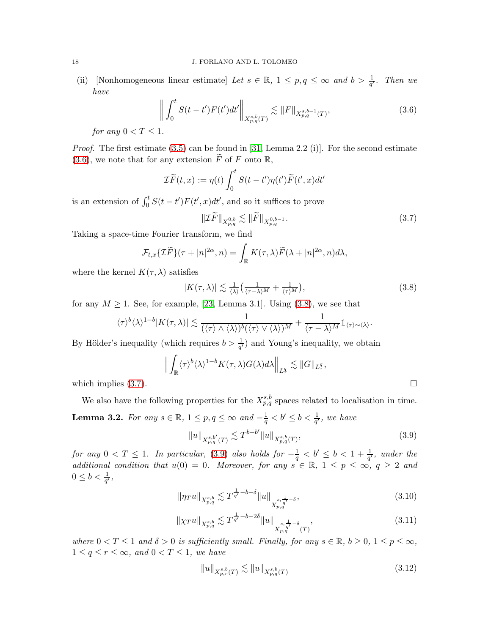(ii) [Nonhomogeneous linear estimate] Let  $s \in \mathbb{R}$ ,  $1 \leq p, q \leq \infty$  and  $b > \frac{1}{q'}$ . Then we have

$$
\left\| \int_0^t S(t - t') F(t') dt' \right\|_{X_{p,q}^{s,b}(T)} \lesssim \|F\|_{X_{p,q}^{s,b-1}(T)},
$$
\n(3.6)

for any  $0 < T < 1$ .

*Proof.* The first estimate  $(3.5)$  can be found in [\[31,](#page-61-24) Lemma 2.2 (i)]. For the second estimate [\(3.6\)](#page-17-0), we note that for any extension  $\widetilde{F}$  of F onto R,

$$
\widetilde{LF}(t,x) := \eta(t) \int_0^t S(t-t')\eta(t')\widetilde{F}(t',x)dt'
$$

is an extension of  $\int_0^t S(t-t')F(t',x)dt'$ , and so it suffices to prove

<span id="page-17-2"></span><span id="page-17-1"></span><span id="page-17-0"></span>
$$
\|\mathcal{I}\widetilde{F}\|_{X^{0,b}_{p,q}} \lesssim \|\widetilde{F}\|_{X^{0,b-1}_{p,q}}.\tag{3.7}
$$

Taking a space-time Fourier transform, we find

$$
\mathcal{F}_{t,x}\{\mathcal{I}\widetilde{F}\}(\tau+|n|^{2\alpha},n)=\int_{\mathbb{R}}K(\tau,\lambda)\widetilde{F}(\lambda+|n|^{2\alpha},n)d\lambda,
$$

where the kernel  $K(\tau, \lambda)$  satisfies

$$
|K(\tau,\lambda)| \lesssim \frac{1}{\langle \lambda \rangle} \left( \frac{1}{\langle \tau - \lambda \rangle^M} + \frac{1}{\langle \tau \rangle^M} \right),\tag{3.8}
$$

for any  $M \geq 1$ . See, for example, [\[23,](#page-61-25) Lemma 3.1]. Using [\(3.8\)](#page-17-1), we see that

$$
\langle \tau \rangle^b \langle \lambda \rangle^{1-b} |K(\tau, \lambda)| \lesssim \frac{1}{(\langle \tau \rangle \wedge \langle \lambda \rangle)^b (\langle \tau \rangle \vee \langle \lambda \rangle)^M} + \frac{1}{\langle \tau - \lambda \rangle^M} \mathbb{1}_{\langle \tau \rangle \sim \langle \lambda \rangle}.
$$

By Hölder's inequality (which requires  $b > \frac{1}{q'}$ ) and Young's inequality, we obtain

$$
\left\| \int_{\mathbb{R}} \langle \tau \rangle^b \langle \lambda \rangle^{1-b} K(\tau, \lambda) G(\lambda) d\lambda \right\|_{L^q_\tau} \lesssim \|G\|_{L^q_\tau},
$$
\nwhich implies (3.7).

We also have the following properties for the  $X_{p,q}^{s,b}$  spaces related to localisation in time. **Lemma 3.2.** For any  $s \in \mathbb{R}$ ,  $1 \leq p, q \leq \infty$  and  $-\frac{1}{q} < b' \leq b < \frac{1}{q'}$ , we have

<span id="page-17-3"></span>
$$
||u||_{X^{s,b'}_{p,q}(T)} \lesssim T^{b-b'}||u||_{X^{s,b}_{p,q}(T)},
$$
\n(3.9)

for any  $0 < T \le 1$ . In particular, [\(3.9\)](#page-17-3) also holds for  $-\frac{1}{q} < b' \le b < 1 + \frac{1}{q'}$ , under the additional condition that  $u(0) = 0$ . Moreover, for any  $s \in \mathbb{R}$ ,  $1 \le p \le \infty$ ,  $q \ge 2$  and  $0 \le b < \frac{1}{q'},$ 

$$
\|\eta_T u\|_{X^{s,b}_{p,q}} \lesssim T^{\frac{1}{q'} - b - \delta} \|u\|_{X^{s,\frac{1}{q'} - \delta}_{p,q}},\tag{3.10}
$$

$$
\|\chi_T u\|_{X^{s,b}_{p,q}} \lesssim T^{\frac{1}{q'}-b-2\delta} \|u\|_{X^{s,\frac{1}{q'}-\delta}_{p,q}(T)},\tag{3.11}
$$

where  $0 < T \leq 1$  and  $\delta > 0$  is sufficiently small. Finally, for any  $s \in \mathbb{R}$ ,  $b \geq 0$ ,  $1 \leq p \leq \infty$ ,  $1 \le q \le r \le \infty$ , and  $0 < T \le 1$ , we have

<span id="page-17-6"></span><span id="page-17-5"></span><span id="page-17-4"></span>
$$
||u||_{X_{p,r}^{s,b}(T)} \lesssim ||u||_{X_{p,q}^{s,b}(T)}
$$
\n(3.12)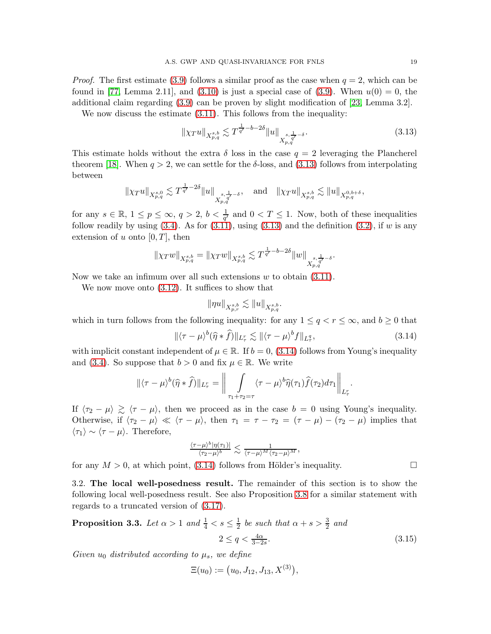*Proof.* The first estimate [\(3.9\)](#page-17-3) follows a similar proof as the case when  $q = 2$ , which can be found in [\[77,](#page-63-20) Lemma 2.11], and [\(3.10\)](#page-17-4) is just a special case of [\(3.9\)](#page-17-3). When  $u(0) = 0$ , the additional claim regarding [\(3.9\)](#page-17-3) can be proven by slight modification of [\[23,](#page-61-25) Lemma 3.2].

We now discuss the estimate [\(3.11\)](#page-17-5). This follows from the inequality:

<span id="page-18-3"></span>
$$
\|\chi_T u\|_{X^{s,b}_{p,q}} \lesssim T^{\frac{1}{q'}-b-2\delta} \|u\|_{X^{s,\frac{1}{q'}-\delta}_{p,q}}.\tag{3.13}
$$

This estimate holds without the extra  $\delta$  loss in the case  $q = 2$  leveraging the Plancherel theorem [\[18\]](#page-61-26). When  $q > 2$ , we can settle for the  $\delta$ -loss, and [\(3.13\)](#page-18-3) follows from interpolating between

$$
\|\chi_T u\|_{X^{s,0}_{p,q}}\lesssim T^{\frac{1}{q'}-2\delta}\|u\|_{X^{s,\frac{1}{q'}-\delta}_{p,q}},\quad \text{and}\quad \|\chi_T u\|_{X^{s,b}_{p,q}}\lesssim \|u\|_{X^{0,b+\delta}_{p,q}},
$$

for any  $s \in \mathbb{R}$ ,  $1 \le p \le \infty$ ,  $q > 2$ ,  $b < \frac{1}{q'}$  and  $0 < T \le 1$ . Now, both of these inequalities follow readily by using  $(3.4)$ . As for  $(3.11)$ , using  $(3.13)$  and the definition  $(3.2)$ , if w is any extension of u onto  $[0, T]$ , then

$$
\|\chi_T w\|_{X^{s,b}_{p,q}}=\|\chi_T w\|_{X^{s,b}_{p,q}}\lesssim T^{\frac{1}{q'}-b-2\delta}\|w\|_{X^{s,\frac{1}{q'}-\delta}_{p,q}}.
$$

Now we take an infimum over all such extensions  $w$  to obtain  $(3.11)$ .

We now move onto [\(3.12\)](#page-17-6). It suffices to show that

<span id="page-18-4"></span>
$$
\|\eta u\|_{X^{s,b}_{p,r}} \lesssim \|u\|_{X^{s,b}_{p,q}}.
$$

which in turn follows from the following inequality: for any  $1 \le q < r \le \infty$ , and  $b \ge 0$  that

$$
\|\langle \tau - \mu \rangle^b (\widehat{\eta} * \widehat{f})\|_{L^r_\tau} \lesssim \|\langle \tau - \mu \rangle^b f\|_{L^q_\tau},\tag{3.14}
$$

with implicit constant independent of  $\mu \in \mathbb{R}$ . If  $b = 0$ , [\(3.14\)](#page-18-4) follows from Young's inequality and [\(3.4\)](#page-16-3). So suppose that  $b > 0$  and fix  $\mu \in \mathbb{R}$ . We write

$$
\|\langle \tau - \mu \rangle^b (\widehat{\eta} * \widehat{f})\|_{L^r_\tau} = \bigg\|\int_{\tau_1 + \tau_2 = \tau} \langle \tau - \mu \rangle^b \widehat{\eta}(\tau_1) \widehat{f}(\tau_2) d\tau_1 \bigg\|_{L^r_\tau}.
$$

If  $\langle \tau_2 - \mu \rangle \ge \langle \tau - \mu \rangle$ , then we proceed as in the case  $b = 0$  using Young's inequality. Otherwise, if  $\langle \tau_2 - \mu \rangle \ll \langle \tau - \mu \rangle$ , then  $\tau_1 = \tau - \tau_2 = (\tau - \mu) - (\tau_2 - \mu)$  implies that  $\langle \tau_1 \rangle \sim \langle \tau - \mu \rangle$ . Therefore,

$$
\frac{\langle \tau - \mu \rangle^b |\eta(\tau_1)|}{\langle \tau_2 - \mu \rangle^b} \lesssim \frac{1}{\langle \tau - \mu \rangle^M \langle \tau_2 - \mu \rangle^M},
$$

<span id="page-18-0"></span>for any  $M > 0$ , at which point, [\(3.14\)](#page-18-4) follows from Hölder's inequality.

3.2. The local well-posedness result. The remainder of this section is to show the following local well-posedness result. See also Proposition [3.8](#page-35-1) for a similar statement with regards to a truncated version of [\(3.17\)](#page-19-2).

<span id="page-18-1"></span>**Proposition 3.3.** Let 
$$
\alpha > 1
$$
 and  $\frac{1}{4} < s \le \frac{1}{2}$  be such that  $\alpha + s > \frac{3}{2}$  and  

$$
2 \le q < \frac{4\alpha}{3-2s}.
$$
 (3.15)

Given  $u_0$  distributed according to  $\mu_s$ , we define

<span id="page-18-2"></span>
$$
\Xi(u_0) := \big(u_0, J_{12}, J_{13}, X^{(3)}\big),
$$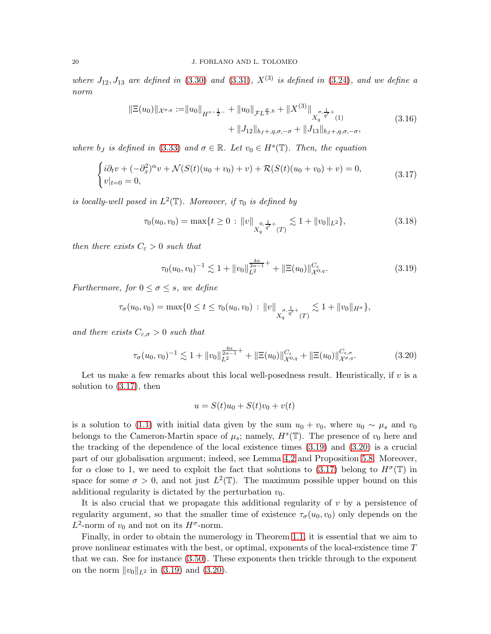where  $J_{12}, J_{13}$  are defined in [\(3.30\)](#page-23-1) and [\(3.31\)](#page-23-2),  $X^{(3)}$  is defined in [\(3.24\)](#page-21-0), and we define a norm

<span id="page-19-3"></span>
$$
\|\Xi(u_0)\|_{\mathcal{X}^{\sigma,q}} := \|u_0\|_{H^{s-\frac{1}{2}-}} + \|u_0\|_{\mathcal{F}L^{\frac{\sigma}{3},6}} + \|X^{(3)}\|_{X_q^{\sigma,\frac{1}{q'}+}}(1)
$$
  
 
$$
+ \|J_{12}\|_{b_J+,q,\sigma,-\sigma} + \|J_{13}\|_{b_J+,q,\sigma,-\sigma},
$$
\n(3.16)

where  $b_J$  is defined in [\(3.33\)](#page-23-3) and  $\sigma \in \mathbb{R}$ . Let  $v_0 \in H^s(\mathbb{T})$ . Then, the equation

<span id="page-19-2"></span>
$$
\begin{cases}\ni\partial_t v + (-\partial_x^2)^{\alpha} v + \mathcal{N}(S(t)(u_0 + v_0) + v) + \mathcal{R}(S(t)(u_0 + v_0) + v) = 0, \\
v|_{t=0} = 0,\n\end{cases}
$$
\n(3.17)

is locally-well posed in  $L^2(\mathbb{T})$ . Moreover, if  $\tau_0$  is defined by

$$
\tau_0(u_0, v_0) = \max\{t \ge 0 : ||v||_{X_q^{0, \frac{1}{q'} + \binom{n}{r}}} \lesssim 1 + ||v_0||_{L^2}\},\tag{3.18}
$$

then there exists  $C_{\varepsilon} > 0$  such that

<span id="page-19-4"></span><span id="page-19-0"></span>
$$
\tau_0(u_0, v_0)^{-1} \lesssim 1 + \|v_0\|_{L^2}^{\frac{4\alpha}{2\alpha - 1} +} + \|\Xi(u_0)\|_{\mathcal{X}^{0,q}}^{C_{\varepsilon}}.
$$
\n(3.19)

Furthermore, for  $0 \le \sigma \le s$ , we define

$$
\tau_{\sigma}(u_0, v_0) = \max\{0 \le t \le \tau_0(u_0, v_0) : ||v||_{X_q^{\sigma, \frac{1}{q'}+}}(T) \lesssim 1 + ||v_0||_{H^{\sigma}}\},\
$$

and there exists  $C_{\varepsilon,\sigma} > 0$  such that

$$
\tau_{\sigma}(u_0, v_0)^{-1} \lesssim 1 + \|v_0\|_{L^2}^{\frac{4\alpha}{2\alpha - 1} +} + \|\Xi(u_0)\|_{\mathcal{X}^{0,q}}^{C_{\varepsilon}} + \|\Xi(u_0)\|_{\mathcal{X}^{\sigma,q}}^{C_{\varepsilon,\sigma}}.
$$
\n(3.20)

Let us make a few remarks about this local well-posedness result. Heuristically, if  $v$  is a solution to [\(3.17\)](#page-19-2), then

<span id="page-19-1"></span>
$$
u = S(t)u_0 + S(t)v_0 + v(t)
$$

is a solution to [\(1.1\)](#page-1-3) with initial data given by the sum  $u_0 + v_0$ , where  $u_0 \sim \mu_s$  and  $v_0$ belongs to the Cameron-Martin space of  $\mu_s$ ; namely,  $H^s(\mathbb{T})$ . The presence of  $v_0$  here and the tracking of the dependence of the local existence times [\(3.19\)](#page-19-0) and [\(3.20\)](#page-19-1) is a crucial part of our globalisation argument; indeed, see Lemma [4.2](#page-37-0) and Proposition [5.8.](#page-49-1) Moreover, for  $\alpha$  close to 1, we need to exploit the fact that solutions to [\(3.17\)](#page-19-2) belong to  $H^{\sigma}(\mathbb{T})$  in space for some  $\sigma > 0$ , and not just  $L^2(\mathbb{T})$ . The maximum possible upper bound on this additional regularity is dictated by the perturbation  $v_0$ .

It is also crucial that we propagate this additional regularity of  $v$  by a persistence of regularity argument, so that the smaller time of existence  $\tau_{\sigma}(u_0, v_0)$  only depends on the  $L^2$ -norm of  $v_0$  and not on its  $H^{\sigma}$ -norm.

Finally, in order to obtain the numerology in Theorem [1.1,](#page-4-1) it is essential that we aim to prove nonlinear estimates with the best, or optimal, exponents of the local-existence time T that we can. See for instance [\(3.50\)](#page-31-0). These exponents then trickle through to the exponent on the norm  $||v_0||_{L^2}$  in [\(3.19\)](#page-19-0) and [\(3.20\)](#page-19-1).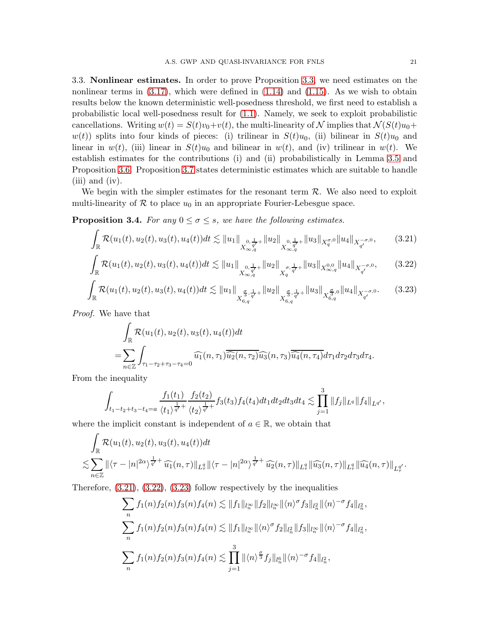<span id="page-20-0"></span>3.3. Nonlinear estimates. In order to prove Proposition [3.3,](#page-18-1) we need estimates on the nonlinear terms in  $(3.17)$ , which were defined in  $(1.14)$  and  $(1.15)$ . As we wish to obtain results below the known deterministic well-posedness threshold, we first need to establish a probabilistic local well-posedness result for [\(1.1\)](#page-1-3). Namely, we seek to exploit probabilistic cancellations. Writing  $w(t) = S(t)v_0 + v(t)$ , the multi-linearity of N implies that  $\mathcal{N}(S(t)u_0 +$  $w(t)$ ) splits into four kinds of pieces: (i) trilinear in  $S(t)u_0$ , (ii) bilinear in  $S(t)u_0$  and linear in  $w(t)$ , (iii) linear in  $S(t)u_0$  and bilinear in  $w(t)$ , and (iv) trilinear in  $w(t)$ . We establish estimates for the contributions (i) and (ii) probabilistically in Lemma [3.5](#page-21-1) and Proposition [3.6.](#page-23-0) Proposition [3.7](#page-26-0) states deterministic estimates which are suitable to handle (iii) and (iv).

We begin with the simpler estimates for the resonant term  $R$ . We also need to exploit multi-linearity of  $R$  to place  $u_0$  in an appropriate Fourier-Lebesgue space.

**Proposition 3.4.** For any  $0 \le \sigma \le s$ , we have the following estimates.

$$
\int_{\mathbb{R}} \mathcal{R}(u_1(t), u_2(t), u_3(t), u_4(t))dt \lesssim \|u_1\|_{X_{\infty, q}^{0, \frac{1}{q'}} + \|u_2\|_{X_{\infty, q}^{0, \frac{1}{q'}} + \|u_3\|_{X_q^{\sigma, 0}} \|u_4\|_{X_{q'}^{-\sigma, 0}},
$$
\n(3.21)

$$
\int_{\mathbb{R}} \mathcal{R}(u_1(t), u_2(t), u_3(t), u_4(t))dt \lesssim \|u_1\|_{X_{\infty, q}^{0, \frac{1}{q'}} + \|u_2\|_{X_q^{\sigma, \frac{1}{q'}} + \|u_3\|_{X_{\infty, q}^{0, 0}} \|u_4\|_{X_{q'}^{-\sigma, 0}},
$$
\n(3.22)

$$
\int_{\mathbb{R}} \mathcal{R}(u_1(t), u_2(t), u_3(t), u_4(t))dt \lesssim \|u_1\|_{X_{6,q}^{\frac{\sigma}{3}, \frac{1}{q'}}} \|u_2\|_{X_{6,q}^{\frac{\sigma}{3}, \frac{1}{q'}}} \|u_3\|_{X_{6,q}^{\frac{\sigma}{3}, 0}} \|u_4\|_{X_{q'}}^{-\sigma, 0}.
$$
 (3.23)

Proof. We have that

<span id="page-20-3"></span><span id="page-20-2"></span><span id="page-20-1"></span>
$$
\int_{\mathbb{R}} \mathcal{R}(u_1(t), u_2(t), u_3(t), u_4(t))dt
$$
\n
$$
= \sum_{n \in \mathbb{Z}} \int_{\tau_1 - \tau_2 + \tau_3 - \tau_4 = 0} \widehat{u_1}(n, \tau_1) \overline{\widehat{u_2}(n, \tau_2)} \widehat{u_3}(n, \tau_3) \overline{\widehat{u_4}(n, \tau_4)} d\tau_1 d\tau_2 d\tau_3 d\tau_4.
$$

From the inequality

$$
\int_{t_1-t_2+t_3-t_4=a} \frac{f_1(t_1)}{\langle t_1 \rangle^{\frac{1}{q'}}} \frac{f_2(t_2)}{\langle t_2 \rangle^{\frac{1}{q'}}} f_3(t_3) f_4(t_4) dt_1 dt_2 dt_3 dt_4 \lesssim \prod_{j=1}^3 \|f_j\|_{L^q} \|f_4\|_{L^{q'}},
$$

where the implicit constant is independent of  $a \in \mathbb{R}$ , we obtain that

$$
\int_{\mathbb{R}} \mathcal{R}(u_1(t), u_2(t), u_3(t), u_4(t))dt \n\lesssim \sum_{n \in \mathbb{Z}} ||\langle \tau - |n|^{2\alpha} \rangle^{\frac{1}{q'}+} \widehat{u_1}(n, \tau) ||_{L^q_\tau} ||\langle \tau - |n|^{2\alpha} \rangle^{\frac{1}{q'}+} \widehat{u_2}(n, \tau) ||_{L^q_\tau} ||\widehat{u_3}(n, \tau) ||_{L^q_\tau} ||\widehat{u_4}(n, \tau) ||_{L^{q'}_{\tau}}.
$$

Therefore,  $(3.21)$ ,  $(3.22)$ ,  $(3.23)$  follow respectively by the inequalities

$$
\sum_{n} f_1(n) f_2(n) f_3(n) f_4(n) \lesssim \|f_1\|_{l_n^{\infty}} \|f_2\|_{l_n^{\infty}} \|\langle n \rangle^{\sigma} f_3\|_{l_n^2} \|\langle n \rangle^{-\sigma} f_4\|_{l_n^2},
$$
  

$$
\sum_{n} f_1(n) f_2(n) f_3(n) f_4(n) \lesssim \|f_1\|_{l_n^{\infty}} \|\langle n \rangle^{\sigma} f_2\|_{l_n^2} \|f_3\|_{l_n^{\infty}} \|\langle n \rangle^{-\sigma} f_4\|_{l_n^2},
$$
  

$$
\sum_{n} f_1(n) f_2(n) f_3(n) f_4(n) \lesssim \prod_{j=1}^3 \|\langle n \rangle^{\frac{\sigma}{3}} f_j\|_{l_n^6} \|\langle n \rangle^{-\sigma} f_4\|_{l_n^2},
$$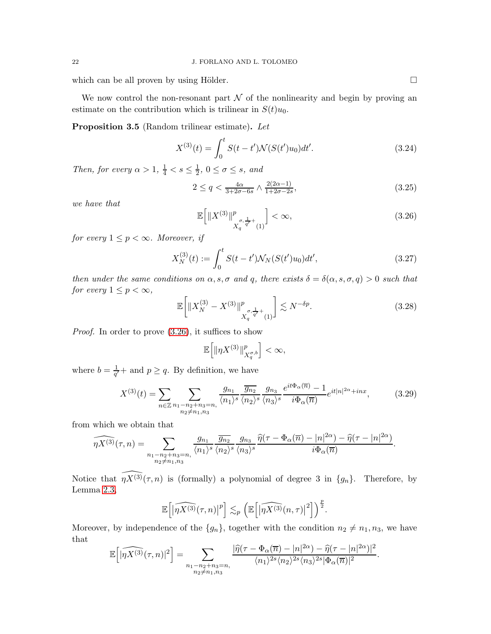which can be all proven by using Hölder.  $\square$ 

We now control the non-resonant part  $\mathcal N$  of the nonlinearity and begin by proving an estimate on the contribution which is trilinear in  $S(t)u_0$ .

<span id="page-21-1"></span>Proposition 3.5 (Random trilinear estimate). Let

<span id="page-21-0"></span>
$$
X^{(3)}(t) = \int_0^t S(t - t') \mathcal{N}(S(t')u_0)dt'.
$$
 (3.24)

Then, for every  $\alpha > 1$ ,  $\frac{1}{4} < s \leq \frac{1}{2}$  $\frac{1}{2}$ ,  $0 \leq \sigma \leq s$ , and

$$
2 \le q < \frac{4\alpha}{3+2\sigma - 6s} \wedge \frac{2(2\alpha - 1)}{1 + 2\sigma - 2s},\tag{3.25}
$$

we have that

<span id="page-21-2"></span>
$$
\mathbb{E}\Big[\|X^{(3)}\|_{X^{\sigma,\frac{1}{q'}+}_{q}(1)}^p\Big] < \infty,
$$
\n(3.26)

for every  $1 \leq p < \infty$ . Moreover, if

<span id="page-21-6"></span>
$$
X_N^{(3)}(t) := \int_0^t S(t - t') \mathcal{N}_N(S(t')u_0) dt', \qquad (3.27)
$$

then under the same conditions on  $\alpha, s, \sigma$  and q, there exists  $\delta = \delta(\alpha, s, \sigma, q) > 0$  such that for every  $1 \leq p < \infty$ ,

<span id="page-21-4"></span>
$$
\mathbb{E}\left[\|X_N^{(3)} - X^{(3)}\|_{X_q^{\sigma,\frac{1}{q'}+}(1)}^p\right] \lesssim N^{-\delta p}.\tag{3.28}
$$

Proof. In order to prove  $(3.26)$ , it suffices to show

$$
\mathbb{E}\Big[\|\eta X^{(3)}\|_{X^{\sigma,b}_q}^p\Big]<\infty,
$$

where  $b = \frac{1}{a'}$  $\frac{1}{q'}$  + and  $p \ge q$ . By definition, we have

<span id="page-21-5"></span>
$$
X^{(3)}(t) = \sum_{n \in \mathbb{Z}} \sum_{\substack{n_1 - n_2 + n_3 = n, \\ n_2 \neq n_1, n_3}} \frac{g_{n_1}}{\langle n_1 \rangle^s} \frac{\overline{g_{n_2}}}{\langle n_2 \rangle^s} \frac{g_{n_3}}{\langle n_3 \rangle^s} \frac{e^{it\Phi_\alpha(\overline{n})} - 1}{i\Phi_\alpha(\overline{n})} e^{it|n|^{2\alpha} + inx}, \tag{3.29}
$$

from which we obtain that

$$
\widehat{\eta X^{(3)}}(\tau,n) = \sum_{\substack{n_1 - n_2 + n_3 = n, \\ n_2 \neq n_1, n_3}} \frac{g_{n_1}}{\langle n_1 \rangle^s} \frac{\overline{g_{n_2}}}{\langle n_2 \rangle^s} \frac{g_{n_3}}{\langle n_3 \rangle^s} \frac{\widehat{\eta}(\tau - \Phi_\alpha(\overline{n}) - |n|^{2\alpha}) - \widehat{\eta}(\tau - |n|^{2\alpha})}{i\Phi_\alpha(\overline{n})}.
$$

Notice that  $\widehat{nX^{(3)}(\tau, n)}$  is (formally) a polynomial of degree 3 in { $g_n$ }. Therefore, by Lemma [2.3,](#page-12-3)

$$
\mathbb{E}\left[\left|\widehat{\eta X^{(3)}}(\tau,n)\right|^p\right] \lesssim_p \left(\mathbb{E}\left[\left|\widehat{\eta X^{(3)}}(n,\tau)\right|^2\right]\right)^{\frac{p}{2}}.
$$

Moreover, by independence of the  $\{g_n\}$ , together with the condition  $n_2 \neq n_1, n_3$ , we have that

$$
\mathbb{E}\Big[\widehat{|\eta X^{(3)}}(\tau,n)|^2\Big] = \sum_{\substack{n_1 - n_2 + n_3 = n, \\ n_2 \neq n_1, n_3}} \frac{|\widehat{\eta}(\tau - \Phi_{\alpha}(\overline{n}) - |n|^{2\alpha}) - \widehat{\eta}(\tau - |n|^{2\alpha})|^2}{\langle n_1 \rangle^{2s} \langle n_2 \rangle^{2s} \langle n_3 \rangle^{2s} |\Phi_{\alpha}(\overline{n})|^2}.
$$

<span id="page-21-3"></span>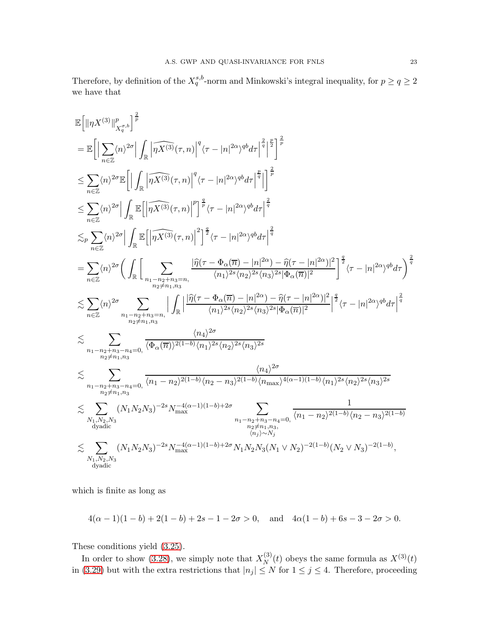Therefore, by definition of the  $X_q^{s,b}$ -norm and Minkowski's integral inequality, for  $p \ge q \ge 2$ we have that

$$
\begin{split} &\mathbb{E}\Big[\|\eta X^{(3)}\|_{X_{q}^{\sigma,b}}^{p}\Big]^{\frac{2}{p}}\\ &=\mathbb{E}\Big[\Big|\sum_{n\in\mathbb{Z}}\langle n\rangle^{2\sigma}\Big|\int_{\mathbb{R}}\left|\widehat{\eta X^{(3)}}(\tau,n)\right|^{q}\langle\tau-|n|^{2\alpha}\rangle^{qb}d\tau\Big|^{\frac{2}{q}}\Big|^{\frac{p}{2}}\Big]^{\frac{2}{p}}\\ &\leq \sum_{n\in\mathbb{Z}}\langle n\rangle^{2\sigma}\mathbb{E}\Big[\Big|\int_{\mathbb{R}}\left|\widehat{\eta X^{(3)}}(\tau,n)\right|^{q}\langle\tau-|n|^{2\alpha}\rangle^{qb}d\tau\Big|^{\frac{2}{q}}\Big]^{\frac{2}{p}}\\ &\leq p\sum_{n\in\mathbb{Z}}\langle n\rangle^{2\sigma}\Big|\int_{\mathbb{R}}\mathbb{E}\Big[\widehat{\eta X^{(3)}}(\tau,n)\Big|^p\Big]^{\frac{2}{p}}\langle\tau-|n|^{2\alpha}\rangle^{qb}d\tau\Big|^{\frac{2}{q}}\\ &\leq p\sum_{n\in\mathbb{Z}}\langle n\rangle^{2\sigma}\Big(\int_{\mathbb{R}}\Big[\sum_{n_1=n_2+n_3=n_1}^{\infty}\frac{|\widehat{\eta}(\tau-n|^{2\alpha})^{qb}d\tau|^\frac{2}{q}}{\langle n_1\rangle^{2s}\langle n_2\rangle^{2s}\langle n_3\rangle^{2s}}\frac{|\widehat{\eta}(\tau-|n|^{2\alpha})|^2}{|\widehat{\eta}(\tau)|^2}\Big]^{\frac{2}{q}}\langle\tau-|n|^{2\alpha}\rangle^{qb}d\tau\Big)^{\frac{2}{q}}\\ &\leq \sum_{n\in\mathbb{Z}}\langle n\rangle^{2\sigma}\Big(\int_{\mathbb{R}}\Big[\sum_{n_1=n_2+n_3=n_1}^{\infty}\frac{|\widehat{\eta}(\tau-\Phi_{\alpha}(\overline{n})-|n|^{2\alpha})-\widehat{\eta}(\tau-|n|^{2\alpha})|^2}{\langle n_1\rangle^{2s}\langle n_2\rangle^{2s}\langle n_3\rangle^{2s}}\frac{|\Phi_{\alpha}(\overline{n})|^2}{|\Phi_{\alpha}(\overline{n})|^2}\Big]^{\frac{2}{q}}\langle\tau-|n|^{2\alpha}\rangle^{qb}d
$$

which is finite as long as

$$
4(\alpha - 1)(1 - b) + 2(1 - b) + 2s - 1 - 2\sigma > 0, \text{ and } 4\alpha(1 - b) + 6s - 3 - 2\sigma > 0.
$$

These conditions yield [\(3.25\)](#page-21-3).

In order to show [\(3.28\)](#page-21-4), we simply note that  $X_N^{(3)}$  $N^{(3)}(t)$  obeys the same formula as  $X^{(3)}(t)$ in [\(3.29\)](#page-21-5) but with the extra restrictions that  $|n_j| \leq N$  for  $1 \leq j \leq 4$ . Therefore, proceeding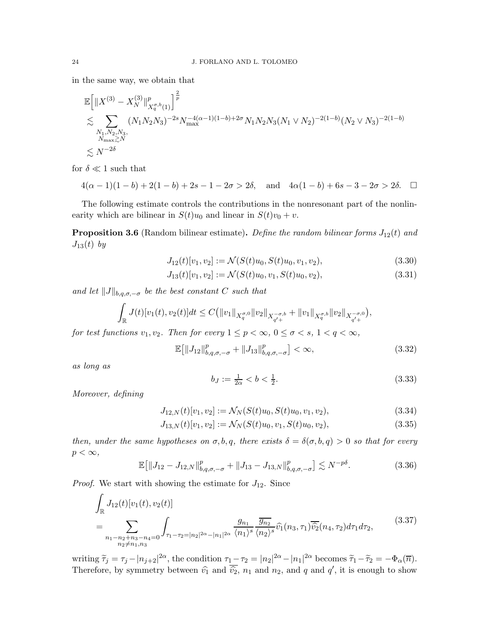in the same way, we obtain that

$$
\mathbb{E}\Big[\|X^{(3)} - X_N^{(3)}\|_{X_q^{\sigma,b}(1)}^p\Big]^{\frac{2}{p}}\newline \lesssim \sum_{\substack{N_1, N_2, N_3,\\N_{\text{max}} \gtrsim N}} (N_1 N_2 N_3)^{-2s} N_{\text{max}}^{-4(\alpha-1)(1-b)+2\sigma} N_1 N_2 N_3 (N_1 \vee N_2)^{-2(1-b)} (N_2 \vee N_3)^{-2(1-b)}\newline \lesssim N^{-2\delta}
$$

for  $\delta \ll 1$  such that

$$
4(\alpha - 1)(1 - b) + 2(1 - b) + 2s - 1 - 2\sigma > 2\delta, \text{ and } 4\alpha(1 - b) + 6s - 3 - 2\sigma > 2\delta. \square
$$

The following estimate controls the contributions in the nonresonant part of the nonlinearity which are bilinear in  $S(t)u_0$  and linear in  $S(t)v_0 + v$ .

<span id="page-23-0"></span>**Proposition 3.6** (Random bilinear estimate). Define the random bilinear forms  $J_{12}(t)$  and  $J_{13}(t)$  by

$$
J_{12}(t)[v_1, v_2] := \mathcal{N}(S(t)u_0, S(t)u_0, v_1, v_2), \tag{3.30}
$$

$$
J_{13}(t)[v_1, v_2] := \mathcal{N}(S(t)u_0, v_1, S(t)u_0, v_2), \tag{3.31}
$$

and let  $||J||_{b,q,\sigma,-\sigma}$  be the best constant C such that

$$
\int_{\mathbb{R}} J(t)[v_1(t), v_2(t)]dt \leq C(||v_1||_{X_q^{\sigma,0}} ||v_2||_{X_{q'}^{-\sigma,b}} + ||v_1||_{X_q^{\sigma,b}} ||v_2||_{X_{q'+}^{-\sigma,0}}),
$$

for test functions  $v_1, v_2$ . Then for every  $1 \leq p < \infty$ ,  $0 \leq \sigma < s$ ,  $1 < q < \infty$ ,

<span id="page-23-8"></span>
$$
\mathbb{E}\big[\|J_{12}\|_{b,q,\sigma,-\sigma}^p + \|J_{13}\|_{b,q,\sigma,-\sigma}^p\big] < \infty,\tag{3.32}
$$

as long as

<span id="page-23-7"></span><span id="page-23-6"></span><span id="page-23-3"></span><span id="page-23-2"></span><span id="page-23-1"></span>
$$
b_J := \frac{1}{2\alpha} < b < \frac{1}{2}.\tag{3.33}
$$

Moreover, defining

$$
J_{12,N}(t)[v_1, v_2] := \mathcal{N}_N(S(t)u_0, S(t)u_0, v_1, v_2), \tag{3.34}
$$

$$
J_{13,N}(t)[v_1, v_2] := \mathcal{N}_N(S(t)u_0, v_1, S(t)u_0, v_2),\tag{3.35}
$$

then, under the same hypotheses on  $\sigma, b, q$ , there exists  $\delta = \delta(\sigma, b, q) > 0$  so that for every  $p<\infty,$ 

<span id="page-23-4"></span>
$$
\mathbb{E}\big[\|J_{12} - J_{12,N}\|_{b,q,\sigma,-\sigma}^p + \|J_{13} - J_{13,N}\|_{b,q,\sigma,-\sigma}^p\big] \lesssim N^{-p\delta}.\tag{3.36}
$$

*Proof.* We start with showing the estimate for  $J_{12}$ . Since

<span id="page-23-5"></span>
$$
\int_{\mathbb{R}} J_{12}(t)[v_1(t), v_2(t)]
$$
\n
$$
= \sum_{\substack{n_1 - n_2 + n_3 - n_4 = 0}} \int_{\tau_1 - \tau_2 = |n_2|^{2\alpha} - |n_1|^{2\alpha}} \frac{g_{n_1}}{\langle n_1 \rangle^s} \frac{\overline{g_{n_2}}}{\langle n_2 \rangle^s} \widehat{v_1}(n_3, \tau_1) \overline{\widehat{v_2}}(n_4, \tau_2) d\tau_1 d\tau_2,
$$
\n(3.37)

writing  $\tilde{\tau}_j = \tau_j - |n_{j+2}|^{2\alpha}$ , the condition  $\tau_1 - \tau_2 = |n_2|^{2\alpha} - |n_1|^{2\alpha}$  becomes  $\tilde{\tau}_1 - \tilde{\tau}_2 = -\Phi_\alpha(\overline{n})$ . Therefore, by symmetry between  $\widehat{v_1}$  and  $\overline{\widehat{v_2}}$ ,  $n_1$  and  $n_2$ , and q and q', it is enough to show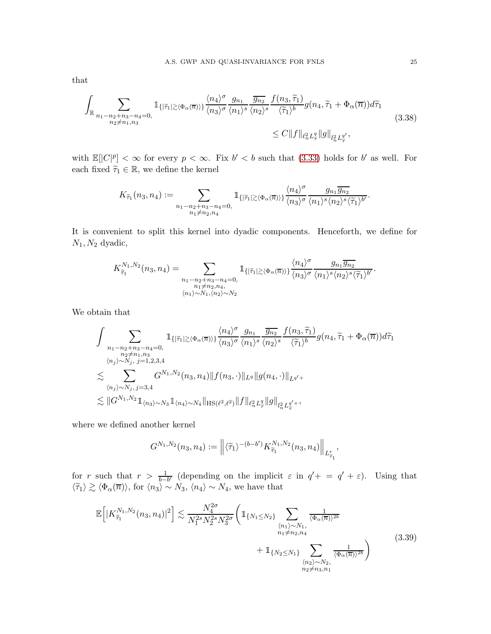that

$$
\int_{\mathbb{R}} \sum_{\substack{n_1 - n_2 + n_3 - n_4 = 0, \\ n_2 \neq n_1, n_3}} \mathbb{1}_{\{|\tilde{\tau}_1| \gtrsim \langle \Phi_\alpha(\overline{n})\rangle\}} \frac{\langle n_4 \rangle^{\sigma}}{\langle n_3 \rangle^{\sigma}} \frac{g_{n_1}}{\langle n_1 \rangle^s} \frac{\overline{g_{n_2}}}{\langle n_2 \rangle^s} \frac{f(n_3, \tilde{\tau}_1)}{\langle \tilde{\tau}_1 \rangle^b} g(n_4, \tilde{\tau}_1 + \Phi_\alpha(\overline{n})) d\tilde{\tau}_1
$$
\n
$$
\leq C \|f\|_{\ell_n^2 L_\tau^q} \|g\|_{l_n^2 L_\tau^q},
$$
\n(3.38)

with  $\mathbb{E}[|C|^p] < \infty$  for every  $p < \infty$ . Fix  $b' < b$  such that [\(3.33\)](#page-23-3) holds for  $b'$  as well. For each fixed  $\widetilde{\tau}_1 \in \mathbb{R},$  we define the kernel

<span id="page-24-1"></span>
$$
K_{\widetilde{\tau}_1}(n_3,n_4) := \sum_{\substack{n_1-n_2+n_3-n_4=0,\\n_1\neq n_2,n_4}} 1_{\{|\widetilde{\tau}_1| \gtrsim \langle \Phi_\alpha(\overline{n})\rangle\}} \frac{\langle n_4 \rangle^{\sigma}}{\langle n_3 \rangle^{\sigma}} \frac{g_{n_1} \overline{g_{n_2}}}{\langle n_1 \rangle^s \langle n_2 \rangle^s \langle \widetilde{\tau}_1 \rangle^{b'}}.
$$

It is convenient to split this kernel into dyadic components. Henceforth, we define for  $N_1, N_2$  dyadic,

$$
K_{\widetilde{\tau}_1}^{N_1,N_2}(n_3,n_4) = \sum_{\substack{n_1-n_2+n_3-n_4=0,\\n_1 \neq n_2, n_4,\\(n_1) \sim N_1, (n_2) \sim N_2}} \mathbb{1}_{\{|\widetilde{\tau}_1| \gtrsim \langle \Phi_\alpha(\overline{n})\rangle\}} \frac{\langle n_4 \rangle^{\sigma}}{\langle n_3 \rangle^{\sigma}} \frac{g_{n_1} \overline{g_{n_2}}}{\langle n_1 \rangle^s \langle n_2 \rangle^s \langle \widetilde{\tau}_1 \rangle^{b'}}.
$$

We obtain that

$$
\begin{split} &\int\sum_{\substack{n_1-n_2+n_3-n_4=0,\\ n_2\neq n_1,n_3\\ \langle n_j\rangle\sim N_j,\ j=1,2,3,4}}\mathbbm{1}_{\{|\tilde{\tau}_1|\gtrsim\langle\Phi_{\alpha}(\overline{n})\rangle\}}\frac{\langle n_4\rangle^\sigma}{\langle n_3\rangle^\sigma}\frac{g_{n_1}}{\langle n_1\rangle^s}\frac{\overline{g_{n_2}}}{\langle n_2\rangle^s}\frac{f(n_3,\tilde{\tau}_1)}{\langle\tilde{\tau}_1\rangle^b}g(n_4,\tilde{\tau}_1+\Phi_{\alpha}(\overline{n}))d\tilde{\tau}_1\\ &\lesssim \sum_{(n_j)\sim N_j,\ j=3,4}G^{N_1,N_2}(n_3,n_4)\|f(n_3,\cdot)\|_{L^q}\|g(n_4,\cdot)\|_{L^{q'+}}\\ &\lesssim \|G^{N_1,N_2}\mathbbm{1}_{\langle n_3\rangle\sim N_3}\mathbbm{1}_{\langle n_4\rangle\sim N_4}\|_{{\rm HS}(\ell^2,\ell^2)}\|f\|_{\ell^2_{n}L^q_{\tilde{\tau}}}\|g\|_{l^2_{n}L^q_{\tilde{\tau}}}, \end{split}
$$

where we defined another kernel

<span id="page-24-0"></span>
$$
G^{N_1,N_2}(n_3,n_4) := \left\| \langle \widetilde{\tau}_1 \rangle^{-(b-b')} K^{N_1,N_2}_{\widetilde{\tau}_1}(n_3,n_4) \right\|_{L^r_{\widetilde{\tau}_1}},
$$

for r such that  $r > \frac{1}{b-b'}$  (depending on the implicit  $\varepsilon$  in  $q' + = q' + \varepsilon$ ). Using that  $\langle \tilde{\tau}_1 \rangle \gtrsim \langle \Phi_\alpha(\overline{n}) \rangle$ , for  $\langle n_3 \rangle \sim N_3$ ,  $\langle n_4 \rangle \sim N_4$ , we have that

$$
\mathbb{E}\Big[|K_{\widetilde{\tau}_{1}}^{N_{1},N_{2}}(n_{3},n_{4})|^{2}\Big] \lesssim \frac{N_{4}^{2\sigma}}{N_{1}^{2s}N_{2}^{2s}N_{3}^{2\sigma}} \bigg(1_{\{N_{1}\leq N_{2}\}} \sum_{\substack{\langle n_{1}\rangle \sim N_{1},\\n_{1}\neq n_{2},n_{4} \\ n_{1}\neq n_{2},n_{4}}} \frac{1}{\langle\Phi_{\alpha}(\overline{n})\rangle^{2b}} + 1_{\{N_{2}\leq N_{1}\}} \sum_{\substack{\langle n_{2}\rangle \sim N_{2},\\n_{2}\neq n_{3},n_{1}}} \frac{1}{\langle\Phi_{\alpha}(\overline{n})\rangle^{2b}}\bigg)
$$
\n(3.39)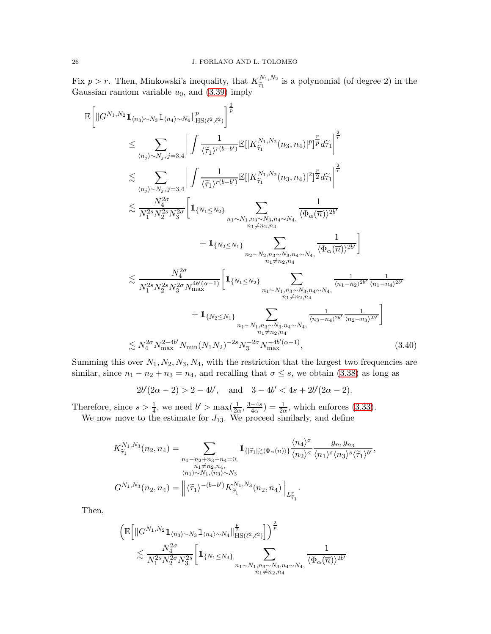Fix  $p > r$ . Then, Minkowski's inequality, that  $K_{\tilde{\tau}_1}^{N_1,N_2}$  is a polynomial (of degree 2) in the Gaussian random variable  $u_0$ , and  $(3.39)$  imply

$$
\mathbb{E}\left[\|G^{N_{1},N_{2}}\mathbbm{1}_{\{n_{3}\}\sim N_{3}}\mathbbm{1}_{\{n_{4}\}\sim N_{4}}\|_{\text{HS}(\ell^{2},\ell^{2})}^{p}\right]^{\frac{2}{p}}\n\leq \sum_{(n_{j})\sim N_{j}, j=3,4}\left|\int \frac{1}{\langle\tilde{\tau}_{1}\rangle^{r(b-b^{\prime})}}\mathbb{E}[|K^{\mathcal{N}_{1},N_{2}}_{\tilde{\tau}_{1}}(n_{3},n_{4})|^{p}]\mathbbm{1}_{\mathcal{H}\tilde{\tau}_{1}}\right|^{\frac{2}{r}}\n\leq \sum_{(n_{j})\sim N_{j}, j=3,4}\left|\int \frac{1}{\langle\tilde{\tau}_{1}\rangle^{r(b-b^{\prime})}}\mathbb{E}[|K^{\mathcal{N}_{1},N_{2}}_{\tilde{\tau}_{1}}(n_{3},n_{4})|^{2}]\mathbbm{1}_{\mathcal{H}\tilde{\tau}_{1}}\right|^{\frac{2}{r}}\n\leq \frac{N_{4}^{2\sigma}}{N_{1}^{2\sigma}N_{2}^{2\sigma}N_{3}^{2\sigma}}\left[\mathbbm{1}_{\{N_{1}\leq N_{2}\}}\sum_{n_{1}\sim N_{1},n_{3}\sim N_{3},n_{4}\sim N_{4},}\frac{1}{\langle\Phi_{\alpha}(\overline{n})\rangle^{2b^{\prime}}}\right]\n+ \mathbbm{1}_{\{N_{2}\leq N_{1}\}}\sum_{n_{2}\sim N_{2},n_{3}\sim N_{3},n_{4}\sim N_{4},}\frac{1}{\langle\Phi_{\alpha}(\overline{n})\rangle^{2b^{\prime}}}\right]\n\leq \frac{N_{4}^{2\sigma}}{N_{1}^{2s}N_{2}^{2s}N_{3}^{2\sigma}N_{\max}^{4b^{\prime}(\alpha-1)}}\left[\mathbbm{1}_{\{N_{1}\leq N_{2}\}}\sum_{n_{1}\sim N_{1},n_{3}\sim N_{3},n_{4}\sim N_{4},}\frac{1}{\langle n_{1}-n_{2}\rangle^{2b^{\prime}}\frac{1}{\langle n_{1}-n_{4}\rangle^{2b^{\prime}}}}\right]\n\leq N_{4}^{2\sigma}N_{\max}^{2\sigma}N_{3}^{4\sigma}N_{\max}^{4\sigma}}\left.\mathbbm{1
$$

Summing this over  $N_1, N_2, N_3, N_4$ , with the restriction that the largest two frequencies are similar, since  $n_1 - n_2 + n_3 = n_4$ , and recalling that  $\sigma \leq s$ , we obtain [\(3.38\)](#page-24-1) as long as

<span id="page-25-0"></span>
$$
2b'(2\alpha - 2) > 2 - 4b', \quad \text{and} \quad 3 - 4b' < 4s + 2b'(2\alpha - 2).
$$

Therefore, since  $s > \frac{1}{4}$ , we need  $b' > \max(\frac{1}{2\alpha}, \frac{3-4s}{4\alpha})$  $\frac{-4s}{4\alpha}$ ) =  $\frac{1}{2\alpha}$ , which enforces [\(3.33\)](#page-23-3).

We now move to the estimate for  $J_{13}$ . We proceed similarly, and define

$$
K_{\tilde{\tau}_1}^{N_1,N_3}(n_2, n_4) = \sum_{\substack{n_1 - n_2 + n_3 - n_4 = 0, \\ n_1 \neq n_2, n_4, \\ \langle n_1 \rangle \sim N_1, \langle n_3 \rangle \sim N_3}} \mathbb{1}_{\{|\tilde{\tau}_1| \gtrsim \langle \Phi_\alpha(\overline{n}) \rangle\}} \frac{\langle n_4 \rangle^{\sigma}}{\langle n_2 \rangle^{\sigma}} \frac{g_{n_1} g_{n_3}}{\langle n_1 \rangle^s \langle n_3 \rangle^s \langle \tilde{\tau}_1 \rangle^{b'}},
$$
  

$$
G^{N_1,N_3}(n_2, n_4) = \left\| \langle \tilde{\tau}_1 \rangle^{-(b-b')} K_{\tilde{\tau}_1}^{N_1,N_3}(n_2, n_4) \right\|_{L_{\tilde{\tau}_1}^r}.
$$

Then,

$$
\begin{split} \left(\mathbb{E}\Big[\|G^{N_1,N_2}\mathbb{1}_{\langle n_3\rangle\sim N_3}\mathbb{1}_{\langle n_4\rangle\sim N_4}\|_{\mathrm{HS}(\ell^2,\ell^2)}^{\frac{p}{2}}\Big] \right)^{\frac{2}{p}} \\ &\lesssim \frac{N_4^{2\sigma}}{N_1^{2s}N_2^{2\sigma}N_3^{2s}} \bigg[\mathbb{1}_{\{N_1\leq N_3\}} \sum_{\substack{n_1\sim N_1,n_3\sim N_3,n_4\sim N_4,\\n_1\neq n_2,n_4}} \frac{1}{\langle \Phi_\alpha(\overline{n})\rangle^{2b'}} \end{split}
$$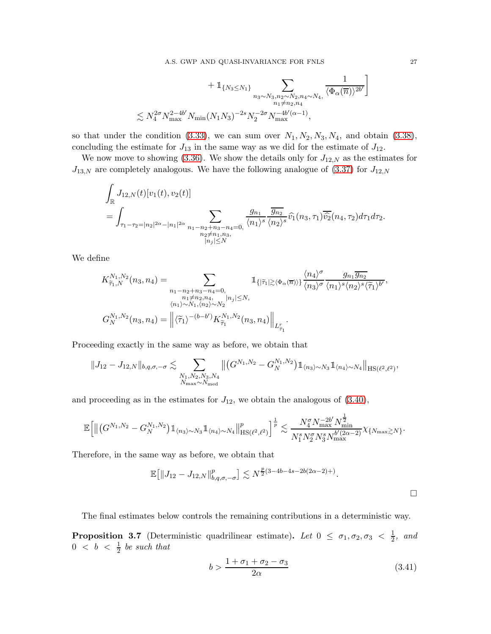$$
+ 1_{\{N_3 \le N_1\}} \sum_{\substack{n_3 \sim N_3, n_2 \sim N_2, n_4 \sim N_4,\\ n_1 \ne n_2, n_4}} \frac{1}{\langle \Phi_\alpha(\overline{n}) \rangle^{2b'}} \times N_4^{2\sigma} N_{\text{max}}^{2-4b'} N_{\text{min}}(N_1 N_3)^{-2s} N_2^{-2\sigma} N_{\text{max}}^{-4b'(\alpha-1)},
$$

so that under the condition [\(3.33\)](#page-23-3), we can sum over  $N_1, N_2, N_3, N_4$ , and obtain [\(3.38\)](#page-24-1), concluding the estimate for  $J_{13}$  in the same way as we did for the estimate of  $J_{12}$ .

We now move to showing [\(3.36\)](#page-23-4). We show the details only for  $J_{12,N}$  as the estimates for  $J_{13,N}$  are completely analogous. We have the following analogue of  $(3.37)$  for  $J_{12,N}$ 

$$
\int_{\mathbb{R}} J_{12,N}(t)[v_1(t), v_2(t)]\n= \int_{\tau_1 - \tau_2 = |n_2|^{2\alpha} - |n_1|^{2\alpha}} \sum_{\substack{n_1 - n_2 + n_3 - n_4 = 0, \ n_2 \neq n_1, n_3, \ n_1 \neq N}} \frac{g_{n_1}}{\langle n_1 \rangle^s} \frac{\overline{g_{n_2}}}{\langle n_2 \rangle^s} \widehat{v}_1(n_3, \tau_1) \overline{\widehat{v}_2}(n_4, \tau_2) d\tau_1 d\tau_2.
$$

We define

$$
K_{\widetilde{\tau}_{1},N}^{N_{1},N_{2}}(n_{3},n_{4}) = \sum_{\substack{n_{1}-n_{2}+n_{3}-n_{4}=0,\\n_{1}\neq n_{2},n_{4},\\(n_{1})\sim N_{1},(n_{2})\sim N_{2}}} \mathbb{1}_{\{|\widetilde{\tau}_{1}| \gtrsim \langle \Phi_{\alpha}(\overline{n})\rangle\}} \frac{\langle n_{4}\rangle^{\sigma}}{\langle n_{3}\rangle^{\sigma}} \frac{g_{n_{1}}\overline{g_{n_{2}}}}{\langle n_{1}\rangle^{s}\langle n_{2}\rangle^{s}\langle\widetilde{\tau}_{1}\rangle^{b'}},
$$
  

$$
G_{N}^{N_{1},N_{2}}(n_{3},n_{4}) = \left\| \langle \widetilde{\tau}_{1} \rangle^{-(b-b')} K_{\widetilde{\tau}_{1}}^{N_{1},N_{2}}(n_{3},n_{4}) \right\|_{L_{\widetilde{\tau}_{1}}}.
$$

Proceeding exactly in the same way as before, we obtain that

$$
\|J_{12}-J_{12,N}\|_{b,q,\sigma,-\sigma}\lesssim \sum_{\substack{N_1,N_2,N_3,N_4\\N_{\rm max}\sim N_{\rm med}}}\left\|\left(G^{N_1,N_2}-G_N^{N_1,N_2}\right)\mathbb{1}_{\langle n_3\rangle\sim N_3}\mathbb{1}_{\langle n_4\rangle\sim N_4}\right\|_{{\rm HS}(\ell^2,\ell^2)},
$$

and proceeding as in the estimates for  $J_{12}$ , we obtain the analogous of  $(3.40)$ ,

$$
\mathbb{E}\Big[\big\|\big(G^{N_1,N_2}-G_N^{N_1,N_2}\big)\mathbb{1}_{\langle n_3\rangle\sim N_3}\mathbb{1}_{\langle n_4\rangle\sim N_4}\big\|_{\mathrm{HS}(\ell^2,\ell^2)}^p\Big]^{\frac{1}{p}}\lesssim \frac{N_4^{\sigma}N_{\mathrm{max}}^{-2b'}N_{\mathrm{min}}^{\frac{1}{2}}}{N_1^{s}N_2^{\sigma}N_3^{s}N_{\mathrm{max}}^{b'(2\alpha-2)}}\chi_{\{N_{\mathrm{max}}\gtrsim N\}}.
$$

Therefore, in the same way as before, we obtain that

$$
\mathbb{E}\big[\|J_{12} - J_{12,N}\|_{b,q,\sigma,-\sigma}^p\big] \lesssim N^{\frac{p}{2}(3-4b-4s-2b(2\alpha-2)+)}.
$$

The final estimates below controls the remaining contributions in a deterministic way.

<span id="page-26-0"></span>**Proposition 3.7** (Deterministic quadrilinear estimate). Let  $0 \leq \sigma_1, \sigma_2, \sigma_3 < \frac{1}{2}$  $rac{1}{2}$ , and  $0 < b < \frac{1}{2}$  be such that

<span id="page-26-1"></span>
$$
b > \frac{1 + \sigma_1 + \sigma_2 - \sigma_3}{2\alpha} \tag{3.41}
$$

1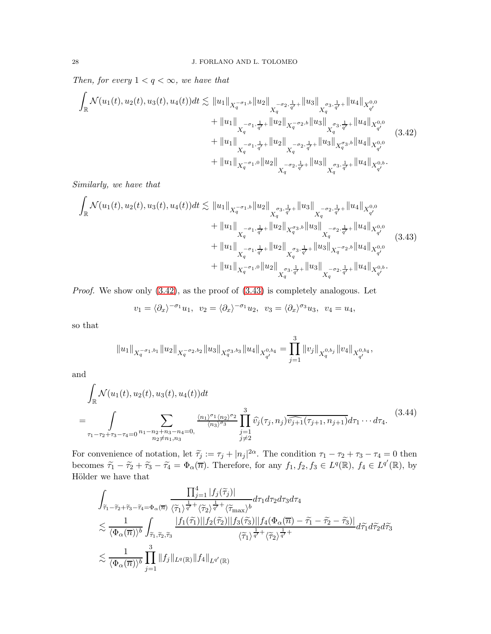Then, for every  $1 < q < \infty$ , we have that

<span id="page-27-0"></span>
$$
\int_{\mathbb{R}} \mathcal{N}(u_{1}(t), u_{2}(t), u_{3}(t), u_{4}(t))dt \lesssim \|u_{1}\|_{X_{q}^{-\sigma_{1},b}} \|u_{2}\|_{X_{q}^{-\sigma_{2},\frac{1}{q'}}+} \|u_{3}\|_{X_{q}^{\sigma_{3},\frac{1}{q'}}+} \|u_{4}\|_{X_{q'}^{0,0}}
$$
\n
$$
+ \|u_{1}\|_{X_{q}^{-\sigma_{1},\frac{1}{q'}}+} \|u_{2}\|_{X_{q}^{-\sigma_{2},b}} \|u_{3}\|_{X_{q}^{\sigma_{3},\frac{1}{q'}}+} \|u_{4}\|_{X_{q'}^{0,0}}
$$
\n
$$
+ \|u_{1}\|_{X_{q}^{-\sigma_{1},\frac{1}{q'}}+} \|u_{2}\|_{X_{q}^{-\sigma_{2},\frac{1}{q'}}+} \|u_{3}\|_{X_{q}^{\sigma_{3},b}} \|u_{4}\|_{X_{q'}^{0,0}}
$$
\n
$$
+ \|u_{1}\|_{X_{q}^{-\sigma_{1},0}} \|u_{2}\|_{X_{q}^{-\sigma_{2},\frac{1}{q'}}+} \|u_{3}\|_{X_{q}^{\sigma_{3},\frac{1}{q'}}+} \|u_{4}\|_{X_{q'}^{0,b}}.
$$
\n(3.42)

Similarly, we have that

<span id="page-27-1"></span>
$$
\int_{\mathbb{R}} \mathcal{N}(u_{1}(t), u_{2}(t), u_{3}(t), u_{4}(t))dt \lesssim \|u_{1}\|_{X_{q}^{-\sigma_{1},b}} \|u_{2}\|_{X_{q}^{\sigma_{3},\frac{1}{q'}}+} \|u_{3}\|_{X_{q}^{-\sigma_{2},\frac{1}{q'}}+} \|u_{4}\|_{X_{q'}^{0,0}} \n+ \|u_{1}\|_{X_{q}^{-\sigma_{1},\frac{1}{q'}}+} \|u_{2}\|_{X_{q}^{\sigma_{3},b}} \|u_{3}\|_{X_{q}^{-\sigma_{2},\frac{1}{q'}}+} \|u_{4}\|_{X_{q'}^{0,0}} \n+ \|u_{1}\|_{X_{q}^{-\sigma_{1},\frac{1}{q'}}+} \|u_{2}\|_{X_{q}^{\sigma_{3},\frac{1}{q'}}+} \|u_{3}\|_{X_{q}^{-\sigma_{2},b}} \|u_{4}\|_{X_{q'}^{0,0}} \n+ \|u_{1}\|_{X_{q}^{-\sigma_{1},0}} \|u_{2}\|_{X_{q}^{\sigma_{3},\frac{1}{q'}}+} \|u_{3}\|_{X_{q}^{-\sigma_{2},\frac{1}{q'}}+} \|u_{4}\|_{X_{q'}^{0,b}}.
$$
\n(3.43)

Proof. We show only  $(3.42)$ , as the proof of  $(3.43)$  is completely analogous. Let

$$
v_1 = \langle \partial_x \rangle^{-\sigma_1} u_1, v_2 = \langle \partial_x \rangle^{-\sigma_1} u_2, v_3 = \langle \partial_x \rangle^{\sigma_3} u_3, v_4 = u_4,
$$

so that

$$
\|u_1\|_{X_q^{-\sigma_1,b_1}}\|u_2\|_{X_q^{-\sigma_2,b_2}}\|u_3\|_{X_q^{\sigma_3,b_3}}\|u_4\|_{X_{q'}^{0,b_4}}=\prod_{j=1}^3\|v_j\|_{X_q^{0,b_j}}\|v_4\|_{X_{q'}^{0,b_4}},
$$

and

<span id="page-27-2"></span>
$$
\int_{\mathbb{R}} \mathcal{N}(u_1(t), u_2(t), u_3(t), u_4(t))dt
$$
\n
$$
= \int_{\tau_1 - \tau_2 + \tau_3 - \tau_4 = 0} \sum_{\substack{n_1 - n_2 + n_3 - n_4 = 0, \\ n_2 \neq n_1, n_3}} \frac{\langle n_1 \rangle^{\sigma_1} \langle n_2 \rangle^{\sigma_2}}{\langle n_3 \rangle^{\sigma_3}} \prod_{\substack{j=1 \ j \neq 2}}^3 \widehat{v}_j(\tau_j, n_j) \overline{\widehat{v}_{j+1}(\tau_{j+1}, n_{j+1})} d\tau_1 \cdots d\tau_4.
$$
\n(3.44)

For convenience of notation, let  $\tilde{\tau}_j := \tau_j + |n_j|^{2\alpha}$ . The condition  $\tau_1 - \tau_2 + \tau_3 - \tau_4 = 0$  then becomes  $\tilde{\tau}_1 - \tilde{\tau}_2 + \tilde{\tau}_3 - \tilde{\tau}_4 = \Phi_\alpha(\overline{n})$ . Therefore, for any  $f_1, f_2, f_3 \in L^q(\mathbb{R}), f_4 \in L^{q'}(\mathbb{R}),$  by Hölder we have that

$$
\int_{\widetilde{\tau}_{1}-\widetilde{\tau}_{2}+\widetilde{\tau}_{3}-\widetilde{\tau}_{4}=\Phi_{\alpha}(\overline{n})} \frac{\prod_{j=1}^{4}|f_{j}(\widetilde{\tau}_{j})|}{\langle \widetilde{\tau}_{1} \rangle^{\frac{1}{q'}+} \langle \widetilde{\tau}_{2} \rangle^{\frac{1}{q'}+} \langle \widetilde{\tau}_{\max} \rangle^{b}} d\tau_{1} d\tau_{2} d\tau_{3} d\tau_{4} \n\lesssim \frac{1}{\langle \Phi_{\alpha}(\overline{n}) \rangle^{b}} \int_{\widetilde{\tau}_{1},\widetilde{\tau}_{2},\widetilde{\tau}_{3}} \frac{|f_{1}(\widetilde{\tau}_{1})||f_{2}(\widetilde{\tau}_{2})||f_{3}(\widetilde{\tau}_{3})||f_{4}(\Phi_{\alpha}(\overline{n})-\widetilde{\tau}_{1}-\widetilde{\tau}_{2}-\widetilde{\tau}_{3})|}{\langle \widetilde{\tau}_{1} \rangle^{\frac{1}{q'}+} \langle \widetilde{\tau}_{2} \rangle^{\frac{1}{q'}+}} d\widetilde{\tau}_{1} d\widetilde{\tau}_{2} d\widetilde{\tau}_{3} \n\lesssim \frac{1}{\langle \Phi_{\alpha}(\overline{n}) \rangle^{b}} \prod_{j=1}^{3} ||f_{j}||_{L^{q}(\mathbb{R})} ||f_{4}||_{L^{q'}(\mathbb{R})}
$$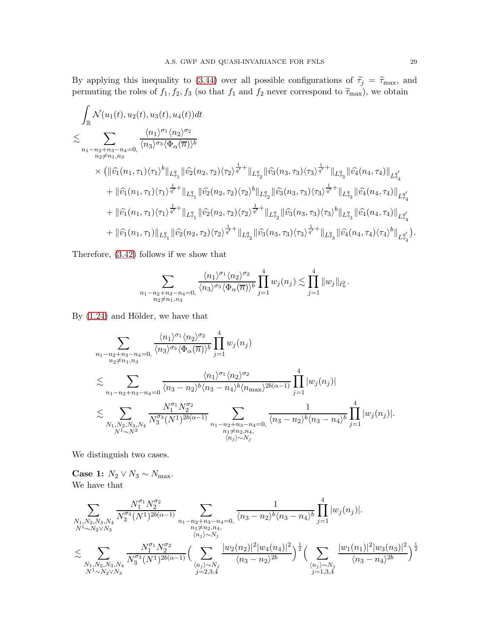By applying this inequality to [\(3.44\)](#page-27-2) over all possible configurations of  $\tilde{\tau}_j = \tilde{\tau}_{\text{max}}$ , and permuting the roles of  $f_1, f_2, f_3$  (so that  $f_1$  and  $f_2$  never correspond to  $\widetilde{\tau}_{\text{max}}$ ), we obtain

$$
\int_{\mathbb{R}} \mathcal{N}(u_{1}(t), u_{2}(t), u_{3}(t), u_{4}(t))dt \n\lesssim \sum_{n_{1}-n_{2}+n_{3}-n_{4}=0, \atop n_{2}\neq n_{1},n_{3}} \frac{\langle n_{1}\rangle^{\sigma_{1}}\langle n_{2}\rangle^{\sigma_{2}}}{\langle n_{3}\rangle^{\sigma_{3}}\langle \Phi_{\alpha}(\overline{n})\rangle^{b}} \n\times (\|\widehat{v_{1}}(n_{1},\tau_{1})\langle \tau_{1}\rangle^{b}\|_{L_{\tau_{1}}^{\sigma}} \|\widehat{v_{2}}(n_{2},\tau_{2})\langle \tau_{2}\rangle^{\frac{1}{q'}+}\|_{L_{\tau_{2}}^{\sigma}} \|\widehat{v_{3}}(n_{3},\tau_{3})\langle \tau_{3}\rangle^{\frac{1}{q'}+}\|_{L_{\tau_{3}}^{\sigma}} \|\widehat{v_{4}}(n_{4},\tau_{4})\|_{L_{\tau_{4}}^{\sigma'}} \n+ \|\widehat{v_{1}}(n_{1},\tau_{1})\langle \tau_{1}\rangle^{\frac{1}{q'}+}\|_{L_{\tau_{1}}^{\sigma}} \|\widehat{v_{2}}(n_{2},\tau_{2})\langle \tau_{2}\rangle^{b}\|_{L_{\tau_{2}}^{\sigma}} \|\widehat{v_{3}}(n_{3},\tau_{3})\langle \tau_{3}\rangle^{\frac{1}{q'}+}\|_{L_{\tau_{3}}^{\sigma}} \|\widehat{v_{4}}(n_{4},\tau_{4})\|_{L_{\tau_{4}}^{\sigma'}} \n+ \|\widehat{v_{1}}(n_{1},\tau_{1})\langle \tau_{1}\rangle^{\frac{1}{q'}+}\|_{L_{\tau_{1}}^{\sigma}} \|\widehat{v_{2}}(n_{2},\tau_{2})\langle \tau_{2}\rangle^{\frac{1}{q'}+}\|_{L_{\tau_{2}}^{\sigma}} \|\widehat{v_{3}}(n_{3},\tau_{3})\langle \tau_{3}\rangle^{b}\|_{L_{\tau_{3}}^{\sigma}} \|\widehat{v_{4}}(n_{4},\tau_{4})\|_{L_{\tau_{4}}^{\sigma'}} \n+ \|\widehat{v_{1}}(n_{1},\tau_{1})\|_{L_{\tau_{1}}^{\sigma}} \|\widehat{v_{2}}(n_{2},\tau_{2})\langle \tau_{2}\rangle^{\frac{
$$

Therefore, [\(3.42\)](#page-27-0) follows if we show that

$$
\sum_{\substack{n_1 - n_2 + n_3 - n_4 = 0,\\ n_2 \neq n_1, n_3}} \frac{\langle n_1 \rangle^{\sigma_1} \langle n_2 \rangle^{\sigma_2}}{\langle n_3 \rangle^{\sigma_3} \langle \Phi_\alpha(\overline{n}) \rangle^b} \prod_{j=1}^4 w_j(n_j) \lesssim \prod_{j=1}^4 \|w_j\|_{\ell^2_n}.
$$

By  $(1.24)$  and Hölder, we have that

$$
\sum_{\substack{n_1 - n_2 + n_3 - n_4 = 0, \ n_2 \neq n_1, n_3}} \frac{\langle n_1 \rangle^{\sigma_1} \langle n_2 \rangle^{\sigma_2}}{\langle n_3 \rangle^{\sigma_3} \langle \Phi_{\alpha}(\overline{n}) \rangle^b} \prod_{j=1}^4 w_j(n_j)
$$
\n
$$
\lesssim \sum_{\substack{n_1 - n_2 + n_3 - n_4 = 0}} \frac{\langle n_1 \rangle^{\sigma_1} \langle n_2 \rangle^{\sigma_2}}{\langle n_3 - n_2 \rangle^b \langle n_3 - n_4 \rangle^b \langle n_{\text{max}} \rangle^{2b(\alpha - 1)}} \prod_{j=1}^4 |w_j(n_j)|
$$
\n
$$
\lesssim \sum_{\substack{N_1, N_2, N_3, N_4 \\ N^1 \sim N^2}} \frac{N_1^{\sigma_1} N_2^{\sigma_2}}{N_3^{\sigma_3} (N^1)^{2b(\alpha - 1)}} \sum_{\substack{n_1 - n_2 + n_3 - n_4 = 0, \ n_1 \neq n_2, n_4, \ n_1 \neq n_2, n_4, \ n_2 \geq N_1}} \frac{1}{\langle n_3 - n_2 \rangle^b \langle n_3 - n_4 \rangle^b} \prod_{j=1}^4 |w_j(n_j)|.
$$

We distinguish two cases.

Case 1:  $N_2 \vee N_3 \sim N_{\text{max}}$ . We have that

$$
\sum_{\substack{N_1, N_2, N_3, N_4 \\ N^1 \sim N_2 \vee N_3}} \frac{N_1^{\sigma_1} N_2^{\sigma_2}}{N_3^{\sigma_3} (N^1)^{2b(\alpha-1)}} \sum_{\substack{n_1 - n_2 + n_3 - n_4 = 0, \ n_1 \neq n_2, n_4, \\ n_1 \neq n_2, n_4, \\ \langle n_j \rangle \sim N_j}} \frac{1}{\langle n_3 - n_2 \rangle^b \langle n_3 - n_4 \rangle^b} \prod_{j=1}^4 |w_j(n_j)|.
$$
\n
$$
\lesssim \sum_{\substack{N_1, N_2, N_3, N_4 \\ N^1 \sim N_2 \vee N_3}} \frac{N_1^{\sigma_1} N_2^{\sigma_2}}{N_3^{\sigma_3} (N^1)^{2b(\alpha-1)}} \Big( \sum_{\substack{\langle n_j \rangle \sim N_j \\ \langle n_j \rangle \sim N_j \\ \langle n_3 - n_2 \rangle^{2b}}} \frac{|w_2(n_2)|^2 |w_4(n_4)|^2}{\langle n_3 - n_2 \rangle^{2b}} \Big)^{\frac{1}{2}} \Big( \sum_{\substack{\langle n_j \rangle \sim N_j \\ \langle n_j \rangle \sim N_j \\ \langle n_3 - n_4 \rangle^{2b}}} \frac{|w_1(n_1)|^2 |w_3(n_3)|^2}{\langle n_3 - n_4 \rangle^{2b}} \Big)^{\frac{1}{2}}
$$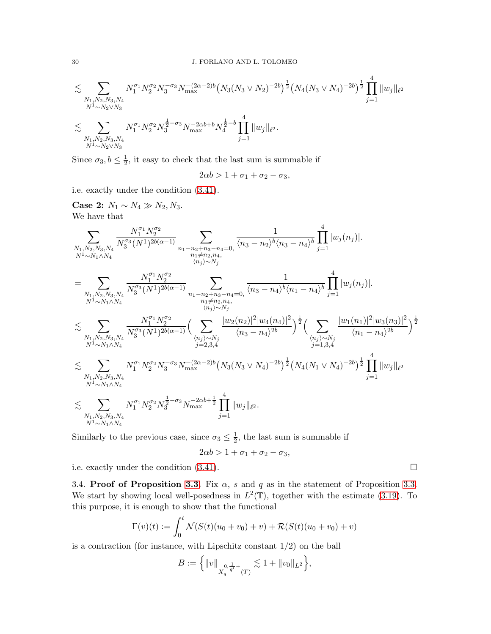$$
\lesssim \sum_{\substack{N_1, N_2, N_3, N_4\\N^1 \sim N_2 \vee N_3}} N_1^{\sigma_1} N_2^{\sigma_2} N_3^{-\sigma_3} N_{\max}^{-(2\alpha-2)b} \left(N_3(N_3 \vee N_2)^{-2b}\right)^{\frac{1}{2}} \left(N_4(N_3 \vee N_4)^{-2b}\right)^{\frac{1}{2}} \prod_{j=1}^4 \|w_j\|_{\ell^2}
$$
  

$$
\lesssim \sum_{\substack{N_1, N_2, N_3, N_4\\N^1 \sim N_2 \vee N_3}} N_1^{\sigma_1} N_2^{\sigma_2} N_3^{\frac{1}{2}-\sigma_3} N_{\max}^{-2\alpha b+b} N_4^{\frac{1}{2}-b} \prod_{j=1}^4 \|w_j\|_{\ell^2}.
$$

Since  $\sigma_3, b \leq \frac{1}{2}$  $\frac{1}{2}$ , it easy to check that the last sum is summable if

$$
2\alpha b > 1 + \sigma_1 + \sigma_2 - \sigma_3,
$$

i.e. exactly under the condition [\(3.41\)](#page-26-1).

Case 2:  $N_1 \sim N_4 \gg N_2, N_3$ . We have that  $\sum$  $N_1, N_2, N_3, N_4$ <br> $N^1 ∼ N_1 ∧ N_4$  $N_1^{\sigma_1} N_2^{\sigma_2}$  $\frac{N_1^{\sigma_3}(N^1)^{2b(\alpha-1)}}{N_3^{\sigma_3}(N^1)^{2b(\alpha-1)}} \sum_{n_1-n_2+n_3}$  $n_1-n_2+n_3-n_4=0,$  $n_1 \neq n_2, n_4$  $\langle n_j \rangle \sim N_j$ 1  $\langle n_3 - n_2 \rangle^b \langle n_3 - n_4 \rangle^b$  $\frac{4}{11}$  $j=1$  $|w_j(n_j)|.$  $=$   $\sum$  $N_1, N_2, N_3, N_4$ <br> $N^1$ ∼ $N_1$ ∧ $N_4$  $N_1^{\sigma_1} N_2^{\sigma_2}$  $\frac{N_1^{a_1}N_2^{a_2}}{N_3^{a_3}(N^1)^{2b(\alpha-1)}} \sum_{n_1-n_2+n_3}$  $n_1-n_2+n_3-n_4=0,$  $n_1 \neq n_2, n_4$ ,  $\langle n_j \rangle \sim N_j$ 1  $\frac{1}{\langle n_3-n_4\rangle^b\langle n_1-n_4\rangle^b}\prod_{j=1}^4$  $j=1$  $|w_j(n_j)|.$  $\leq$   $\sum$  $N_1, N_2, N_3, N_4$ <br> $N^1 ∼ N_1 ∧ N_4$  $N_1^{\sigma_1} N_2^{\sigma_2}$  $\frac{N_1^{\sigma_1} N_2^{\sigma_2}}{N_3^{\sigma_3}(N^1)^{2b(\alpha-1)}} \Big(\sum_{\langle n, \rangle, \sim \sigma_2}$  $\langle n_j \rangle \sim N_j$  $j=2,3,4$  $|w_2(n_2)|^2 |w_4(n_4)|^2$  $\langle n_3-n_4\rangle^{2b}$  $\frac{1}{2}$   $\left( \nabla \right)$  $\langle n_j \rangle \sim N_j$  $_{j=1,3,4}$  $|w_1(n_1)|^2|w_3(n_3)|^2$  $\langle n_1 - n_4 \rangle^{2b}$  $\sqrt{\frac{1}{2}}$  $\lesssim$   $\sum$  $N_1, N_2, N_3, N_4$ <br> $N^1$ ∼ $N_1$ ∧ $N_4$  $N_{1}^{\sigma_{1}}N_{2}^{\sigma_{2}}N_{3}^{-\sigma_{3}}N_{\mathrm{max}}^{-(2\alpha-2)b}\big(N_{3}(N_{3}\vee N_{4})^{-2b}\big)^{\frac{1}{2}}\big(N_{4}(N_{1}\vee N_{4})^{-2b}\big)^{\frac{1}{2}}\prod^{4}$  $j=1$  $||w_j||_{\ell^2}$  $\lesssim$   $\sum$  $N_1, N_2, N_3, N_4$ <br> $N^1 ∼ N_1 ∧ N_4$  $N^{\sigma_1}_1 N^{\sigma_2}_2 N^{\frac{1}{2} - \sigma_3}_3 N^{-2\alpha b + \frac{1}{2}}_{\max} \prod^4$  $j=1$  $||w_j||_{\ell^2}$ .

Similarly to the previous case, since  $\sigma_3 \leq \frac{1}{2}$  $\frac{1}{2}$ , the last sum is summable if

$$
2\alpha b > 1 + \sigma_1 + \sigma_2 - \sigma_3,
$$

<span id="page-29-0"></span>i.e. exactly under the condition  $(3.41)$ .

3.4. Proof of Proposition [3.3.](#page-18-1) Fix  $\alpha$ , s and q as in the statement of Proposition 3.3. We start by showing local well-posedness in  $L^2(\mathbb{T})$ , together with the estimate [\(3.19\)](#page-19-0). To this purpose, it is enough to show that the functional

$$
\Gamma(v)(t) := \int_0^t \mathcal{N}(S(t)(u_0 + v_0) + v) + \mathcal{R}(S(t)(u_0 + v_0) + v)
$$

is a contraction (for instance, with Lipschitz constant  $1/2$ ) on the ball

$$
B := \left\{ ||v||_{X^{0,\frac{1}{q'}+}_q(T)} \lesssim 1 + ||v_0||_{L^2} \right\},\
$$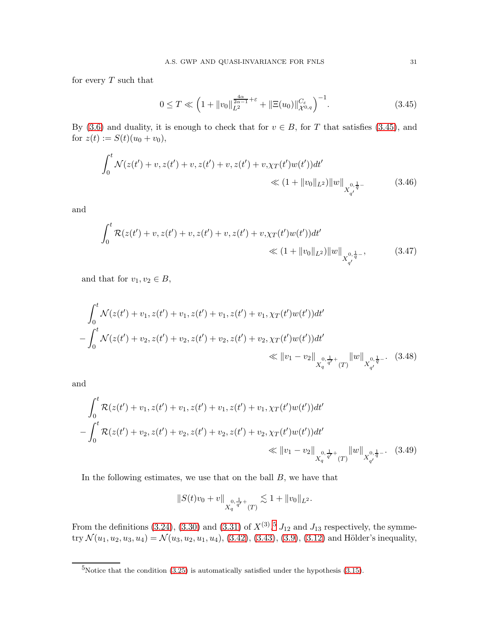for every  $T$  such that

<span id="page-30-5"></span><span id="page-30-2"></span><span id="page-30-0"></span>
$$
0 \le T \ll \left(1 + \|v_0\|_{L^2}^{\frac{4\alpha}{2\alpha - 1} + \varepsilon} + \|\Xi(u_0)\|_{\mathcal{X}^{0,q}}^{C_{\varepsilon}}\right)^{-1}.\tag{3.45}
$$

By [\(3.6\)](#page-17-0) and duality, it is enough to check that for  $v \in B$ , for T that satisfies [\(3.45\)](#page-30-0), and for  $z(t) := S(t)(u_0 + v_0)$ ,

$$
\int_0^t \mathcal{N}(z(t') + v, z(t') + v, z(t') + v, z(t') + v, \chi_T(t')w(t'))dt' \ll (1 + \|v_0\|_{L^2}) \|w\|_{X_{q'}^{0, \frac{1}{q} -}}
$$
(3.46)

and

$$
\int_0^t \mathcal{R}(z(t') + v, z(t') + v, z(t') + v, z(t') + v, \chi_T(t')w(t'))dt' \ll (1 + \|v_0\|_{L^2}) \|w\|_{X_{q'}^{0, \frac{1}{q}-}},
$$
\n(3.47)

and that for  $v_1, v_2 \in B$ ,

$$
\int_{0}^{t} \mathcal{N}(z(t') + v_1, z(t') + v_1, z(t') + v_1, z(t') + v_1, \chi_T(t')w(t'))dt'
$$
  
 
$$
- \int_{0}^{t} \mathcal{N}(z(t') + v_2, z(t') + v_2, z(t') + v_2, z(t') + v_2, \chi_T(t')w(t'))dt'
$$
  

$$
\ll ||v_1 - v_2||_{X_{q}^{0, \frac{1}{q'} + \frac{1}{(T)}}} ||w||_{X_{q'}^{0, \frac{1}{q} - \frac{1}{(T)}}.
$$
 (3.48)

and

$$
\int_0^t \mathcal{R}(z(t') + v_1, z(t') + v_1, z(t') + v_1, z(t') + v_1, \chi_T(t')w(t'))dt'
$$
  
 
$$
- \int_0^t \mathcal{R}(z(t') + v_2, z(t') + v_2, z(t') + v_2, z(t') + v_2, \chi_T(t')w(t'))dt'
$$
  
 
$$
\ll ||v_1 - v_2||_{\mathcal{L}_q^{0, \frac{1}{q'} +} (T)} ||w||_{X_{q'}^{0, \frac{1}{q} -} } . \quad (3.49)
$$

In the following estimates, we use that on the ball  $B$ , we have that

<span id="page-30-4"></span><span id="page-30-3"></span>
$$
||S(t)v_0 + v||_{X_q^{0,\frac{1}{q'}+}(T)} \lesssim 1 + ||v_0||_{L^2}.
$$

From the definitions [\(3.24\)](#page-21-0), [\(3.30\)](#page-23-1) and [\(3.31\)](#page-23-2) of  $X^{(3)}$ ,  $J_{12}$  and  $J_{13}$  respectively, the symmetry  $\mathcal{N}(u_1, u_2, u_3, u_4) = \mathcal{N}(u_3, u_2, u_1, u_4), (3.42), (3.43), (3.9), (3.12)$  $\mathcal{N}(u_1, u_2, u_3, u_4) = \mathcal{N}(u_3, u_2, u_1, u_4), (3.42), (3.43), (3.9), (3.12)$  $\mathcal{N}(u_1, u_2, u_3, u_4) = \mathcal{N}(u_3, u_2, u_1, u_4), (3.42), (3.43), (3.9), (3.12)$  $\mathcal{N}(u_1, u_2, u_3, u_4) = \mathcal{N}(u_3, u_2, u_1, u_4), (3.42), (3.43), (3.9), (3.12)$  $\mathcal{N}(u_1, u_2, u_3, u_4) = \mathcal{N}(u_3, u_2, u_1, u_4), (3.42), (3.43), (3.9), (3.12)$  $\mathcal{N}(u_1, u_2, u_3, u_4) = \mathcal{N}(u_3, u_2, u_1, u_4), (3.42), (3.43), (3.9), (3.12)$  $\mathcal{N}(u_1, u_2, u_3, u_4) = \mathcal{N}(u_3, u_2, u_1, u_4), (3.42), (3.43), (3.9), (3.12)$  $\mathcal{N}(u_1, u_2, u_3, u_4) = \mathcal{N}(u_3, u_2, u_1, u_4), (3.42), (3.43), (3.9), (3.12)$  and Hölder's inequality,

<span id="page-30-1"></span> ${}^{5}$ Notice that the condition [\(3.25\)](#page-21-3) is automatically satisfied under the hypothesis [\(3.15\)](#page-18-2).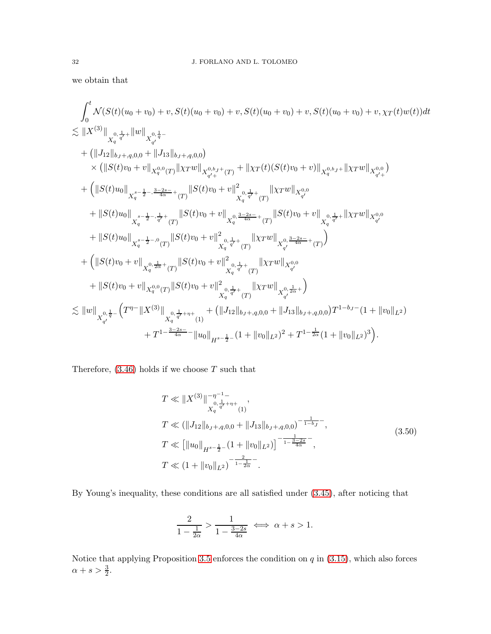we obtain that

$$
\begin{split} &\int_0^t \mathcal{N}(S(t)(u_0+v_0)+v, S(t)(u_0+v_0)+v, S(t)(u_0+v_0)+v, S(t)(u_0+v_0)+v, \chi_T(t)w(t))dt\\ \lesssim \|X^{(3)}\|_{X^{0,\frac{1}{q'}}+}\|w\|_{X^{0,\frac{1}{q'}}_{q'}}=\\ &+\left(\|J_{12}\|_{b_J+,q,0,0}+\|J_{13}\|_{b_J+,q,0,0}\right)\\ &\quad\times\left(\|S(t)v_0+v\|_{X^{0,0}_q(T)}\| \chi T w\|_{X^{0,b_J+}_{q'+}(T)}+\| \chi_T(t)(S(t)v_0+v)\|_{X^{0,b_J+}_q}\| \chi T w\|_{X^{0,0}_{q'}}\right)\\ &+\left(\|S(t)u_0\|_{X^{s-\frac{1}{2}-,\frac{3-2s-}{4\alpha}-}(T)}\|S(t)v_0+v\|_{X^{0,\frac{1}{q'}}+(T)}\| \chi_T w\|_{X^{0,0}_{q'}}\\ &\quad+ \|S(t)u_0\|_{X^{s-\frac{1}{2}-,\frac{1}{q'}+(T)}_q\| S(t)v_0+v\|_{X^{0,\frac{3-2s-}{4\alpha}-}(T)}\| S(t)v_0+v\|_{X^{0,\frac{1}{q'}}_{q'}+}\| \chi_T w\|_{X^{0,0}_{q'}}\\ &\quad+ \|S(t)u_0\|_{X^{s-\frac{1}{2}-,0}_{q}(T)}\| S(t)v_0+v\|_{X^{0,\frac{1}{q'}}+(T)}\| \chi_T w\|_{X^{0,\frac{3-2s-}{4\alpha}-}(T)} \right)\\ &+\left(\|S(t)v_0+v\|_{X^{0,\frac{1}{2\alpha}+}(T)}\| S(t)v_0+v\|_{X^{0,\frac{1}{q'}}+(T)}\| \chi_T w\|_{X^{0,\frac{1}{q'}}} \right)\\ &+\|S(t)v_0+v\|_{X^{0,\frac{1}{2\alpha}+}(T)}\| S(t)v_0+v\|_{X^{0,\frac{1}{q'}}+(T)}\| \chi_T w\|_{X^{0,\frac{1}{q'}}+} \right)\\ &\lesssim \|w\|_{X^{0,\frac{1}{q'}}}\left(T^{\eta-}\| X^{(3)}\|_{X^{0,\frac{1}{q'}}+\eta+1}+\left(\|J_{12}\|_{b_J+,q,0,0
$$

Therefore,  $(3.46)$  holds if we choose  $T$  such that

<span id="page-31-0"></span>
$$
T \ll \|X^{(3)}\|_{\Lambda_q^{0,\frac{1}{q'}+\eta+1}}^{-\eta-1},
$$
  
\n
$$
T \ll (\|J_{12}\|_{b_J+,q,0,0} + \|J_{13}\|_{b_J+,q,0,0})^{-\frac{1}{1-b_J}},
$$
  
\n
$$
T \ll \left[\|u_0\|_{H^{s-\frac{1}{2}-1}}(1+\|v_0\|_{L^2})\right]^{-\frac{1}{1-\frac{3-2s}{4\alpha}}-1},
$$
  
\n
$$
T \ll (1+\|v_0\|_{L^2})^{-\frac{2}{1-\frac{1}{2\alpha}}-1}.
$$
\n(3.50)

By Young's inequality, these conditions are all satisfied under [\(3.45\)](#page-30-0), after noticing that

$$
\frac{2}{1-\frac{1}{2\alpha}} > \frac{1}{1-\frac{3-2s}{4\alpha}} \iff \alpha+s>1.
$$

Notice that applying Proposition [3.5](#page-21-1) enforces the condition on  $q$  in  $(3.15)$ , which also forces  $\alpha + s > \frac{3}{2}$ .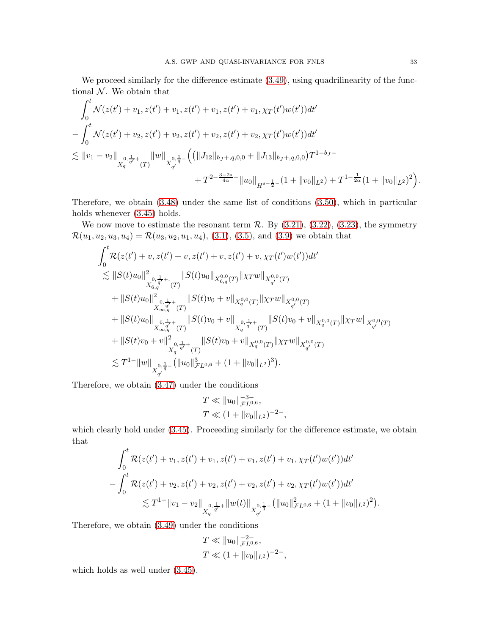We proceed similarly for the difference estimate  $(3.49)$ , using quadrilinearity of the functional  $N$ . We obtain that

$$
\int_0^t \mathcal{N}(z(t') + v_1, z(t') + v_1, z(t') + v_1, z(t') + v_1, \chi_T(t')w(t'))dt'
$$
\n
$$
-\int_0^t \mathcal{N}(z(t') + v_2, z(t') + v_2, z(t') + v_2, z(t') + v_2, \chi_T(t')w(t'))dt'
$$
\n
$$
\lesssim ||v_1 - v_2||_{X_q^{0, \frac{1}{q'} + (T)}} ||w||_{X_{q'}^{0, \frac{1}{q} -}} \Big( (||J_{12}||_{b_J +, q, 0, 0} + ||J_{13}||_{b_J +, q, 0, 0})T^{1 - b_J -}
$$
\n
$$
+ T^{2 - \frac{3 - 2s}{4\alpha} -} ||u_0||_{H^{s - \frac{1}{2} -}} (1 + ||v_0||_{L^2}) + T^{1 - \frac{1}{2\alpha}} (1 + ||v_0||_{L^2})^2 \Big).
$$

Therefore, we obtain [\(3.48\)](#page-30-4) under the same list of conditions [\(3.50\)](#page-31-0), which in particular holds whenever [\(3.45\)](#page-30-0) holds.

We now move to estimate the resonant term  $\mathcal{R}$ . By  $(3.21)$ ,  $(3.22)$ ,  $(3.23)$ , the symmetry  $\mathcal{R}(u_1, u_2, u_3, u_4) = \mathcal{R}(u_3, u_2, u_1, u_4), (3.1), (3.5), \text{ and } (3.9)$  $\mathcal{R}(u_1, u_2, u_3, u_4) = \mathcal{R}(u_3, u_2, u_1, u_4), (3.1), (3.5), \text{ and } (3.9)$  $\mathcal{R}(u_1, u_2, u_3, u_4) = \mathcal{R}(u_3, u_2, u_1, u_4), (3.1), (3.5), \text{ and } (3.9)$  $\mathcal{R}(u_1, u_2, u_3, u_4) = \mathcal{R}(u_3, u_2, u_1, u_4), (3.1), (3.5), \text{ and } (3.9)$  $\mathcal{R}(u_1, u_2, u_3, u_4) = \mathcal{R}(u_3, u_2, u_1, u_4), (3.1), (3.5), \text{ and } (3.9)$  $\mathcal{R}(u_1, u_2, u_3, u_4) = \mathcal{R}(u_3, u_2, u_1, u_4), (3.1), (3.5), \text{ and } (3.9)$  we obtain that

$$
\begin{aligned} &\int_0^t \mathcal{R}(z(t') + v, z(t') + v, z(t') + v, z(t') + v, \chi_T(t')w(t'))dt' \\ &\lesssim \|S(t)u_0\|_{\mathcal{X}_{6,q}^{0,\frac{1}{q'}+}}^2 \|S(t)u_0\|_{X_{6,q}^{0,0}(T)} \| \chi_T w\|_{X_{q'}^{0,0}(T)} \\&+ \|S(t)u_0\|_{\mathcal{X}_{\infty,q}^{0,\frac{1}{q'}+}}^2 \|S(t)v_0 + v\|_{X_q^{0,0}(T)} \| \chi_T w\|_{X_{q'}^{0,0}(T)} \\&+ \|S(t)u_0\|_{\mathcal{X}_{\infty,q}^{0,\frac{1}{q'}+}} \|S(t)v_0 + v\|_{X_{q}^{0,\frac{1}{q'}+}} \|S(t)v_0 + v\|_{X_{q}^{0,0}(T)} \| \chi_T w\|_{X_{q'}^{0,0}(T)} \\&+ \|S(t)v_0 + v\|_{X_{q}^{0,\frac{1}{q'}+}}^2 \|S(t)v_0 + v\|_{X_{q}^{0,0}(T)} \| \chi_T w\|_{X_{q'}^{0,0}(T)} \\&\lesssim T^{1-} \|w\|_{X_{q'}^{0,\frac{1}{q}}-} \big( \|u_0\|_{\mathcal{F}L^{0,6}}^3 + (1+ \|v_0\|_{L^2})^3 \big). \end{aligned}
$$

Therefore, we obtain [\(3.47\)](#page-30-5) under the conditions

$$
T \ll \|u_0\|_{\mathcal{F}L^{0,6}}^{-3-},
$$
  

$$
T \ll (1 + \|v_0\|_{L^2})^{-2-},
$$

which clearly hold under  $(3.45)$ . Proceeding similarly for the difference estimate, we obtain that

$$
\int_0^t \mathcal{R}(z(t') + v_1, z(t') + v_1, z(t') + v_1, z(t') + v_1, \chi_T(t')w(t'))dt'
$$
  
- 
$$
\int_0^t \mathcal{R}(z(t') + v_2, z(t') + v_2, z(t') + v_2, z(t') + v_2, \chi_T(t')w(t'))dt'
$$
  

$$
\lesssim T^{1-} ||v_1 - v_2||_{\mathcal{L}_{q,q}^{0, \frac{1}{q'}} + ||w(t)||_{\mathcal{X}_{q'}^{0, \frac{1}{q'}} - (||u_0||_{\mathcal{F}_L^{0,6}}^2 + (1 + ||v_0||_{L^2})^2).
$$

Therefore, we obtain [\(3.49\)](#page-30-3) under the conditions

$$
T \ll \|u_0\|_{\mathcal{F}L^{0,6}}^{-2-},
$$
  

$$
T \ll (1 + \|v_0\|_{L^2})^{-2-},
$$

which holds as well under [\(3.45\)](#page-30-0).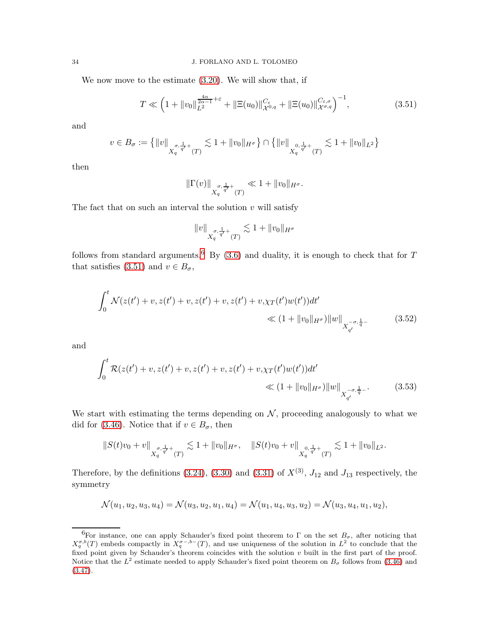We now move to the estimate [\(3.20\)](#page-19-1). We will show that, if

<span id="page-33-1"></span>
$$
T \ll \left(1 + \|v_0\|_{L^2}^{\frac{4\alpha}{2\alpha - 1} + \varepsilon} + \|\Xi(u_0)\|_{\mathcal{X}^{0,q}}^{C_{\varepsilon}} + \|\Xi(u_0)\|_{\mathcal{X}^{\sigma,q}}^{C_{\varepsilon,\sigma}}\right)^{-1},\tag{3.51}
$$

and

$$
v\in B_{\sigma}:=\left\{\|v\|_{X^{\sigma,\frac{1}{q'}+}_q(T)}\lesssim 1+\|v_0\|_{H^{\sigma}}\right\}\cap \left\{\|v\|_{X^{\,0,\frac{1}{q'}+}_q(T)}\lesssim 1+\|v_0\|_{L^2}\right\}
$$

then

$$
\|\Gamma(v)\|_{X^{\sigma,\frac{1}{q'}+}_q(T)} \ll 1 + \|v_0\|_{H^{\sigma}}.
$$

The fact that on such an interval the solution  $v$  will satisfy

<span id="page-33-3"></span><span id="page-33-2"></span>
$$
||v||_{X^{\sigma,\frac{1}{q'}+}_q(T)} \lesssim 1 + ||v_0||_{H^{\sigma}}
$$

follows from standard arguments.<sup>[6](#page-33-0)</sup> By  $(3.6)$  and duality, it is enough to check that for T that satisfies [\(3.51\)](#page-33-1) and  $v \in B_{\sigma}$ ,

$$
\int_0^t \mathcal{N}(z(t') + v, z(t') + v, z(t') + v, z(t') + v, \chi_T(t')w(t'))dt' \ll (1 + \|v_0\|_{H^{\sigma}}) \|w\|_{X_{q'}^{-\sigma, \frac{1}{q} -}}
$$
(3.52)

and

$$
\int_0^t \mathcal{R}(z(t') + v, z(t') + v, z(t') + v, z(t') + v, \chi_T(t')w(t'))dt' \ll (1 + \|v_0\|_{H^{\sigma}}) \|w\|_{X_{q'}^{-\sigma, \frac{1}{q} - 1}}.
$$
\n(3.53)

We start with estimating the terms depending on  $N$ , proceeding analogously to what we did for [\(3.46\)](#page-30-2). Notice that if  $v \in B_{\sigma}$ , then

$$
\|S(t)v_0 + v\|_{X^{\sigma,\frac{1}{q'}+}_q(T)} \lesssim 1 + \|v_0\|_{H^\sigma}, \quad \|S(t)v_0 + v\|_{X^{\frac{0}{q'}+}_q(T)} \lesssim 1 + \|v_0\|_{L^2}.
$$

Therefore, by the definitions [\(3.24\)](#page-21-0), [\(3.30\)](#page-23-1) and [\(3.31\)](#page-23-2) of  $X^{(3)}$ ,  $J_{12}$  and  $J_{13}$  respectively, the symmetry

$$
\mathcal{N}(u_1, u_2, u_3, u_4) = \mathcal{N}(u_3, u_2, u_1, u_4) = \mathcal{N}(u_1, u_4, u_3, u_2) = \mathcal{N}(u_3, u_4, u_1, u_2),
$$

<span id="page-33-0"></span><sup>&</sup>lt;sup>6</sup>For instance, one can apply Schauder's fixed point theorem to  $\Gamma$  on the set  $B_{\sigma}$ , after noticing that  $X_q^{\sigma,b}(T)$  embeds compactly in  $X_q^{\sigma-,b-}(T)$ , and use uniqueness of the solution in  $L^2$  to conclude that the fixed point given by Schauder's theorem coincides with the solution  $v$  built in the first part of the proof. Notice that the  $L^2$  estimate needed to apply Schauder's fixed point theorem on  $B_{\sigma}$  follows from [\(3.46\)](#page-30-2) and  $(3.47).$  $(3.47).$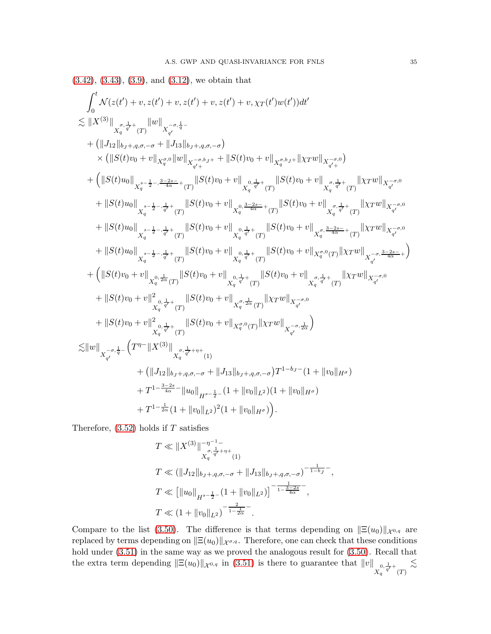$$
(3.42), (3.43), (3.9), and (3.12), we obtain that\n
$$
\int_{0}^{t} \mathcal{N}(z(t') + v, z(t') + v, z(t') + v, x(t')w(t'))dt'
$$
\n
$$
\lesssim ||X^{(3)}||_{\mathcal{S}_{q}^{-\frac{1}{q}+}} ||w||_{X_{q}^{-\sigma,\frac{1}{q}-}}
$$
\n
$$
+ (||J_{12}||_{bJ+4,q,\sigma,-\sigma} + ||J_{13}||_{bJ+4,q,\sigma,-\sigma})
$$
\n
$$
\times (||S(t)v_{0} + v||_{X_{q}^{\sigma,0}}||w||_{X_{q}^{-\sigma,\frac{1}{q}+}} + ||S(t)v_{0} + v||_{X_{q}^{\sigma,\frac{1}{q}+}}||\chi_{T}w||_{X_{q}^{-\sigma,\frac{1}{q}-}}
$$
\n
$$
+ (||S(t)u_{0}||_{X_{q}^{\sigma,\frac{1}{q}-\frac{1}{2},\frac{3-2\sigma}{4\sigma}-+}}||S(t)v_{0} + v||_{X_{q}^{\sigma,\frac{1}{q}+}}(||S(t)v_{0} + v||_{X_{q}^{\sigma,\frac{1}{q}+}}(||\chi_{T}w||_{X_{q}^{-\sigma,0}}
$$
\n
$$
+ ||S(t)u_{0}||_{X_{q}^{\sigma,\frac{1}{q}-\frac{1}{2},\frac{1}{q}+}}(||S(t)v_{0} + v||_{X_{q}^{\sigma,\frac{3-2\sigma}{4\sigma}}+}||S(t)v_{0} + v||_{X_{q}^{\sigma,\frac{1}{q}+}}(||\chi_{T}w||_{X_{q}^{-\sigma,0}}
$$
\n
$$
+ ||S(t)u_{0}||_{X_{q}^{\sigma,\frac{1}{2}-,\frac{1}{q}+}}(||S(t)v_{0} + v||_{X_{q}^{\sigma,\frac{1}{q}+}(-||S(t)v_{0} + v||_{X_{q}^{\sigma,\frac{3-2\sigma}{4\sigma}-\frac{1}{4}}(T)||X\tau_{w}||_{X_{q}^{-\sigma,0}}
$$
\n
$$
+ ||S(t)v_{0}||_{X_{q}^{\sigma,\frac{1}{2}-,\frac{1}{q}+}(T)||S(t)v_{0} + v||_{X_{q}^{\sigma,\frac{1}{q}+}(T)||S(t)v_{0} + v||
$$
$$

Therefore,  $(3.52)$  holds if T satisfies

$$
T \ll \|X^{(3)}\|_{X^{0,\frac{1}{q'}+\eta+}(1)}^{-\eta^{-1}-}
$$
  
\n
$$
T \ll (\|J_{12}\|_{b_J+,q,\sigma,-\sigma} + \|J_{13}\|_{b_J+,q,\sigma,-\sigma})^{-\frac{1}{1-b_J}-},
$$
  
\n
$$
T \ll \left[\|u_0\|_{H^{s-\frac{1}{2}-}}(1+\|v_0\|_{L^2})\right]^{-\frac{1}{1-\frac{3-2s}{4\alpha}}-},
$$
  
\n
$$
T \ll (1+\|v_0\|_{L^2})^{-\frac{2}{1-\frac{1}{2\alpha}}-}.
$$

Compare to the list [\(3.50\)](#page-31-0). The difference is that terms depending on  $\|\Xi(u_0)\|_{\mathcal{X}^{0,q}}$  are replaced by terms depending on  $\|\Xi(u_0)\|_{\mathcal{X}^{\sigma,q}}$ . Therefore, one can check that these conditions hold under  $(3.51)$  in the same way as we proved the analogous result for  $(3.50)$ . Recall that the extra term depending  $\|\Xi(u_0)\|_{\mathcal{X}^{0,q}}$  in [\(3.51\)](#page-33-1) is there to guarantee that  $\|v\|_{X_q^{0,\frac{1}{q'}+}}(T)$  $\lesssim$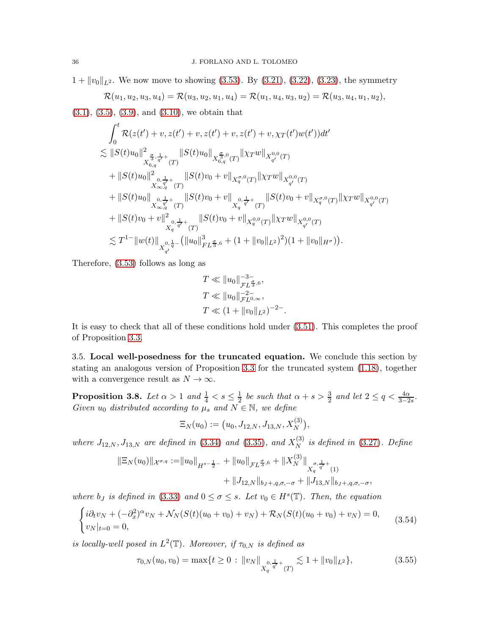$1 + ||v_0||_{L^2}$ . We now move to showing [\(3.53\)](#page-33-3). By [\(3.21\)](#page-20-1), [\(3.22\)](#page-20-2), [\(3.23\)](#page-20-3), the symmetry

$$
\mathcal{R}(u_1, u_2, u_3, u_4) = \mathcal{R}(u_3, u_2, u_1, u_4) = \mathcal{R}(u_1, u_4, u_3, u_2) = \mathcal{R}(u_3, u_4, u_1, u_2),
$$

[\(3.1\)](#page-16-5), [\(3.5\)](#page-16-2), [\(3.9\)](#page-17-3), and [\(3.10\)](#page-17-4), we obtain that

$$
\int_{0}^{t} \mathcal{R}(z(t') + v, z(t') + v, z(t') + v, z(t') + v, \chi_{T}(t')w(t'))dt'
$$
\n
$$
\lesssim ||S(t)u_{0}||^{2}_{\mathcal{L}^{\frac{q}{3}, \frac{1}{q'}}_{\mathcal{K}_{6,q}} (T)} ||S(t)u_{0}||_{X_{6,q}^{\frac{q}{3}, 0}(T)} ||\chi_{T}w||_{X_{q'}^{0,0}(T)}
$$
\n
$$
+ ||S(t)u_{0}||^{2}_{\mathcal{L}^{0, \frac{1}{q'}+}_{0, q_{\tau}^+}(T)} ||S(t)v_{0} + v||_{X_{q'}^{\sigma,0}(T)} ||\chi_{T}w||_{X_{q'}^{0,0}(T)}
$$
\n
$$
+ ||S(t)u_{0}||_{\mathcal{L}^{0, \frac{1}{q'}+}_{0, q_{\tau}^+}(T)} ||S(t)v_{0} + v||_{\mathcal{L}^{0, \frac{1}{q'}+}_{0, q_{\tau}^+}(T)} ||S(t)v_{0} + v||_{X_{q'}^{\sigma,0}(T)} ||\chi_{T}w||_{X_{q'}^{0,0}(T)}
$$
\n
$$
+ ||S(t)v_{0} + v||^{2}_{\mathcal{L}^{0, \frac{1}{q'}+}_{0, q_{\tau}^+}(T)} ||S(t)v_{0} + v||_{X_{q'}^{0,0}(T)} ||\chi_{T}w||_{X_{q'}^{0,0}(T)}
$$
\n
$$
\lesssim T^{1-} ||w(t)||_{X_{q'}^{0, \frac{1}{q}-}_{q'} (||u_{0}||_{FL^{\frac{q}{3}, 6}}^{3} + (1 + ||v_{0}||_{L^{2}})^{2})(1 + ||v_{0}||_{H^{\sigma}})).
$$

Therefore, [\(3.53\)](#page-33-3) follows as long as

$$
T \ll ||u_0||_{\mathcal{F}L^{\frac{\sigma}{3},6}}^{-3-},
$$
  
\n
$$
T \ll ||u_0||_{\mathcal{F}L^{0,\infty}}^{-2-},
$$
  
\n
$$
T \ll (1 + ||v_0||_{L^2})^{-2-}.
$$

It is easy to check that all of these conditions hold under [\(3.51\)](#page-33-1). This completes the proof of Proposition [3.3.](#page-18-1)

<span id="page-35-0"></span>3.5. Local well-posedness for the truncated equation. We conclude this section by stating an analogous version of Proposition [3.3](#page-18-1) for the truncated system [\(1.18\)](#page-6-3), together with a convergence result as  $N \to \infty$ .

<span id="page-35-1"></span>**Proposition 3.8.** Let  $\alpha > 1$  and  $\frac{1}{4} < s \leq \frac{1}{2}$  be such that  $\alpha + s > \frac{3}{2}$  and let  $2 \leq q < \frac{4\alpha}{3-2s}$ . Given  $u_0$  distributed according to  $\mu_s$  and  $N \in \mathbb{N}$ , we define

<span id="page-35-3"></span>
$$
\Xi_N(u_0) := \big(u_0, J_{12,N}, J_{13,N}, X_N^{(3)}\big),
$$

where  $J_{12,N}, J_{13,N}$  are defined in [\(3.34\)](#page-23-6) and [\(3.35\)](#page-23-7), and  $X_N^{(3)}$  $_N^{(3)}$  is defined in [\(3.27\)](#page-21-6). Define

$$
\|\Xi_N(u_0)\|_{\mathcal{X}^{\sigma,q}} := \|u_0\|_{H^{s-\frac{1}{2}-}} + \|u_0\|_{\mathcal{F}L^{\frac{\sigma}{3},6}} + \|X_N^{(3)}\|_{X_q^{\sigma,\frac{1}{q'}}+}(1) + \|J_{12,N}\|_{b_J+,q,\sigma,-\sigma} + \|J_{13,N}\|_{b_J+,q,\sigma,-\sigma},
$$

where  $b_J$  is defined in [\(3.33\)](#page-23-3) and  $0 \le \sigma \le s$ . Let  $v_0 \in H^s(\mathbb{T})$ . Then, the equation

<span id="page-35-2"></span>
$$
\begin{cases}\ni\partial_t v_N + (-\partial_x^2)^\alpha v_N + \mathcal{N}_N(S(t)(u_0 + v_0) + v_N) + \mathcal{R}_N(S(t)(u_0 + v_0) + v_N) = 0, \\
v_N|_{t=0} = 0,\n\end{cases} \tag{3.54}
$$

is locally-well posed in  $L^2(\mathbb{T})$ . Moreover, if  $\tau_{0,N}$  is defined as

$$
\tau_{0,N}(u_0, v_0) = \max\{t \ge 0 : ||v_N||_{X_q^{0, \frac{1}{q'} + \binom{T}{l}}} \lesssim 1 + ||v_0||_{L^2}\},\tag{3.55}
$$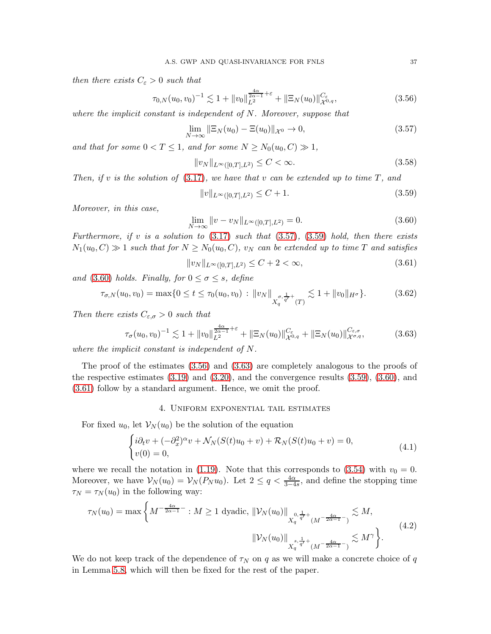then there exists  $C_{\varepsilon} > 0$  such that

$$
\tau_{0,N}(u_0, v_0)^{-1} \lesssim 1 + \|v_0\|_{L^2}^{\frac{4\alpha}{2\alpha - 1} + \varepsilon} + \|\Xi_N(u_0)\|_{\mathcal{X}^{0,q}}^{C_{\varepsilon}},\tag{3.56}
$$

where the implicit constant is independent of  $N$ . Moreover, suppose that

<span id="page-36-1"></span>
$$
\lim_{N \to \infty} \|\Xi_N(u_0) - \Xi(u_0)\|_{\mathcal{X}^0} \to 0,\tag{3.57}
$$

and that for some  $0 < T \leq 1$ , and for some  $N \geq N_0(u_0, C) \gg 1$ ,

<span id="page-36-10"></span><span id="page-36-4"></span>
$$
||v_N||_{L^{\infty}([0,T],L^2)} \le C < \infty.
$$
\n(3.58)

Then, if v is the solution of  $(3.17)$ , we have that v can be extended up to time T, and

<span id="page-36-2"></span>
$$
||v||_{L^{\infty}([0,T],L^2)} \leq C + 1.
$$
\n(3.59)

Moreover, in this case,

<span id="page-36-3"></span>
$$
\lim_{N \to \infty} ||v - v_N||_{L^{\infty}([0,T],L^2)} = 0.
$$
\n(3.60)

Furthermore, if v is a solution to  $(3.17)$  such that  $(3.57)$ ,  $(3.59)$  hold, then there exists  $N_1(u_0, C) \gg 1$  such that for  $N \geq N_0(u_0, C)$ ,  $v_N$  can be extended up to time T and satisfies

<span id="page-36-7"></span><span id="page-36-6"></span><span id="page-36-5"></span>
$$
||v_N||_{L^{\infty}([0,T],L^2)} \le C + 2 < \infty,
$$
\n(3.61)

and [\(3.60\)](#page-36-3) holds. Finally, for  $0 \le \sigma \le s$ , define

$$
\tau_{\sigma,N}(u_0, v_0) = \max\{0 \le t \le \tau_0(u_0, v_0) : ||v_N||_{\substack{\sigma, \frac{1}{q'} + \frac{1}{(T)}}{X_q^{\sigma, \frac{1}{q'} + \frac{1}{(T)}}}} \lesssim 1 + ||v_0||_{H^{\sigma}}\}.
$$
 (3.62)

Then there exists  $C_{\varepsilon,\sigma} > 0$  such that

$$
\tau_{\sigma}(u_0, v_0)^{-1} \lesssim 1 + \|v_0\|_{L^2}^{\frac{4\alpha}{2\alpha - 1} + \varepsilon} + \|\Xi_N(u_0)\|_{\mathcal{X}^{0,q}}^{C_{\varepsilon}} + \|\Xi_N(u_0)\|_{\mathcal{X}^{\sigma,q}}^{C_{\varepsilon,\sigma}},\tag{3.63}
$$

where the implicit constant is independent of N.

The proof of the estimates [\(3.56\)](#page-36-4) and [\(3.63\)](#page-36-5) are completely analogous to the proofs of the respective estimates  $(3.19)$  and  $(3.20)$ , and the convergence results  $(3.59)$ ,  $(3.60)$ , and [\(3.61\)](#page-36-6) follow by a standard argument. Hence, we omit the proof.

# 4. Uniform exponential tail estimates

<span id="page-36-0"></span>For fixed  $u_0$ , let  $\mathcal{V}_N(u_0)$  be the solution of the equation

<span id="page-36-9"></span>
$$
\begin{cases}\ni\partial_t v + (-\partial_x^2)^{\alpha} v + \mathcal{N}_N(S(t)u_0 + v) + \mathcal{R}_N(S(t)u_0 + v) = 0, \\
v(0) = 0,\n\end{cases} \tag{4.1}
$$

where we recall the notation in [\(1.19\)](#page-7-1). Note that this corresponds to [\(3.54\)](#page-35-2) with  $v_0 = 0$ . Moreover, we have  $\mathcal{V}_N(u_0) = \mathcal{V}_N(P_N u_0)$ . Let  $2 \le q < \frac{4\alpha}{3-4s}$ , and define the stopping time  $\tau_N = \tau_N(u_0)$  in the following way:

<span id="page-36-8"></span>
$$
\tau_N(u_0) = \max \bigg\{ M^{-\frac{4\alpha}{2\alpha - 1}} \cdot M \ge 1 \text{ dyadic}, \|\mathcal{V}_N(u_0)\|_{X_q^{0, \frac{1}{q'} + (M^{-\frac{4\alpha}{2\alpha - 1}} -)}} \lesssim M,
$$
  

$$
\|\mathcal{V}_N(u_0)\|_{X_q^{s, \frac{1}{q'} + (M^{-\frac{4\alpha}{2\alpha - 1}} -)}} \lesssim M^{\gamma} \bigg\}.
$$
 (4.2)

We do not keep track of the dependence of  $\tau_N$  on q as we will make a concrete choice of q in Lemma [5.8,](#page-49-1) which will then be fixed for the rest of the paper.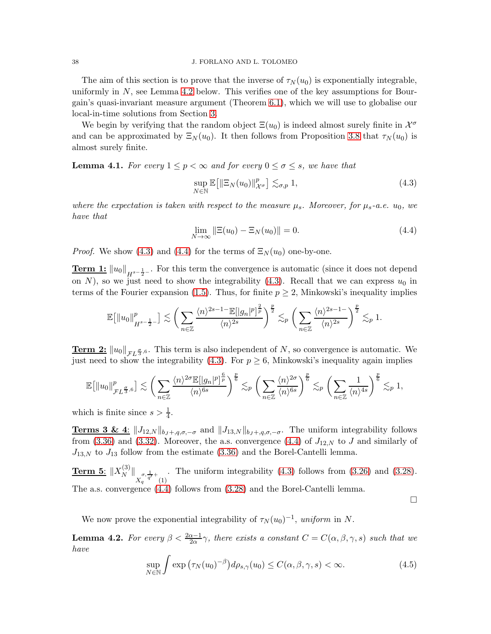The aim of this section is to prove that the inverse of  $\tau_N(u_0)$  is exponentially integrable, uniformly in  $N$ , see Lemma [4.2](#page-37-0) below. This verifies one of the key assumptions for Bourgain's quasi-invariant measure argument (Theorem [6.1\)](#page-55-1), which we will use to globalise our local-in-time solutions from Section [3.](#page-16-0)

We begin by verifying that the random object  $\Xi(u_0)$  is indeed almost surely finite in  $\mathcal{X}^{\sigma}$ and can be approximated by  $\Xi_N(u_0)$ . It then follows from Proposition [3.8](#page-35-1) that  $\tau_N(u_0)$  is almost surely finite.

**Lemma 4.1.** For every  $1 \leq p < \infty$  and for every  $0 \leq \sigma \leq s$ , we have that

<span id="page-37-1"></span>
$$
\sup_{N \in \mathbb{N}} \mathbb{E} \big[ \|\Xi_N(u_0)\|_{\mathcal{X}^\sigma}^p \big] \lesssim_{\sigma, p} 1,
$$
\n(4.3)

where the expectation is taken with respect to the measure  $\mu_s$ . Moreover, for  $\mu_s$ -a.e.  $u_0$ , we have that

<span id="page-37-2"></span>
$$
\lim_{N \to \infty} \|\Xi(u_0) - \Xi_N(u_0)\| = 0.
$$
\n(4.4)

*Proof.* We show [\(4.3\)](#page-37-1) and [\(4.4\)](#page-37-2) for the terms of  $\Xi_N(u_0)$  one-by-one.

**Term 1:**  $||u_0||_{H^{s-\frac{1}{2}-}}$ . For this term the convergence is automatic (since it does not depend on N), so we just need to show the integrability  $(4.3)$ . Recall that we can express  $u_0$  in terms of the Fourier expansion [\(1.5\)](#page-2-1). Thus, for finite  $p \geq 2$ , Minkowski's inequality implies

$$
\mathbb{E}\big[\|u_0\|_{H^{s-\frac{1}{2}-}}^p\big] \lesssim \bigg(\sum_{n\in\mathbb{Z}}\frac{\langle n\rangle^{2s-1-\mathbb{E}}[|g_n|^p]^{\frac{2}{p}}}{\langle n\rangle^{2s}}\bigg)^{\frac{p}{2}} \lesssim_p \bigg(\sum_{n\in\mathbb{Z}}\frac{\langle n\rangle^{2s-1-\delta}}{\langle n\rangle^{2s}}\bigg)^{\frac{p}{2}} \lesssim_p 1.
$$

**Term 2:**  $||u_0||_{\mathcal{F}L^{\frac{q}{3},6}}$ . This term is also independent of N, so convergence is automatic. We just need to show the integrability [\(4.3\)](#page-37-1). For  $p \geq 6$ , Minkowski's inequality again implies

$$
\mathbb{E}\big[\|u_0\|_{\mathcal{F}L^{\frac{\sigma}{3},6}}^p\big] \lesssim \bigg(\sum_{n\in\mathbb{Z}}\frac{\langle n\rangle^{2\sigma}\mathbb{E}[|g_n|^p]^{\frac{6}{p}}}{\langle n\rangle^{6s}}\bigg)^{\frac{p}{6}}\lesssim_p\bigg(\sum_{n\in\mathbb{Z}}\frac{\langle n\rangle^{2\sigma}}{\langle n\rangle^{6s}}\bigg)^{\frac{p}{6}}\lesssim_p\bigg(\sum_{n\in\mathbb{Z}}\frac{1}{\langle n\rangle^{4s}}\bigg)^{\frac{p}{6}}\lesssim_p1,
$$

which is finite since  $s > \frac{1}{4}$ .

**Terms 3 & 4:**  $||J_{12,N}||_{b_J+,q,\sigma,-\sigma}$  and  $||J_{13,N}||_{b_J+,q,\sigma,-\sigma}$ . The uniform integrability follows from [\(3.36\)](#page-23-4) and [\(3.32\)](#page-23-8). Moreover, the a.s. convergence [\(4.4\)](#page-37-2) of  $J_{12,N}$  to  $J$  and similarly of  $J_{13,N}$  to  $J_{13}$  follow from the estimate [\(3.36\)](#page-23-4) and the Borel-Cantelli lemma.

 $\textbf{Term 5: } \|X_N^{(3)}$  $\frac{\dot{N}}{N}$  $\frac{q^{\sigma},\frac{1}{q'}+}{q(1)}$ . The uniform integrability [\(4.3\)](#page-37-1) follows from [\(3.26\)](#page-21-2) and [\(3.28\)](#page-21-4). The a.s. convergence [\(4.4\)](#page-37-2) follows from [\(3.28\)](#page-21-4) and the Borel-Cantelli lemma.

 $\Box$ 

We now prove the exponential integrability of  $\tau_N(u_0)^{-1}$ , uniform in N.

<span id="page-37-0"></span>**Lemma 4.2.** For every  $\beta < \frac{2\alpha-1}{2\alpha}\gamma$ , there exists a constant  $C = C(\alpha, \beta, \gamma, s)$  such that we have

<span id="page-37-3"></span>
$$
\sup_{N \in \mathbb{N}} \int \exp\left(\tau_N(u_0)^{-\beta}\right) d\rho_{s,\gamma}(u_0) \le C(\alpha, \beta, \gamma, s) < \infty. \tag{4.5}
$$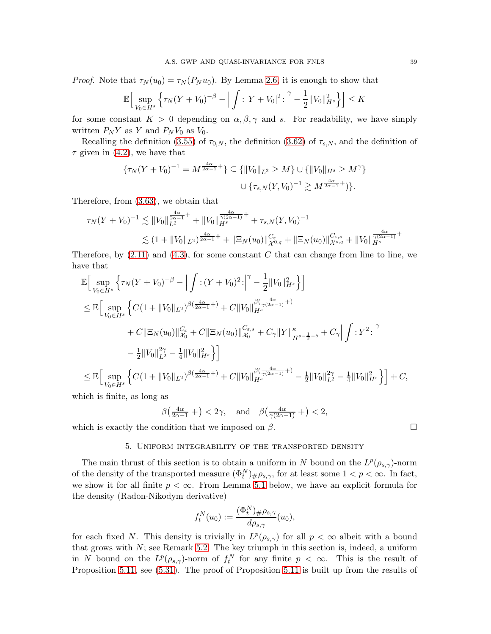*Proof.* Note that  $\tau_N(u_0) = \tau_N(P_N u_0)$ . By Lemma [2.6,](#page-13-6) it is enough to show that

$$
\mathbb{E}\Big[\sup_{V_0 \in H^s} \Big\{\tau_N(Y+V_0)^{-\beta} - \Big|\int : |Y+V_0|^2: \Big|^{\gamma} - \frac{1}{2}||V_0||_{H^s}^2\Big\}\Big] \le K
$$

for some constant  $K > 0$  depending on  $\alpha, \beta, \gamma$  and s. For readability, we have simply written  $P_N Y$  as Y and  $P_N V_0$  as  $V_0$ .

Recalling the definition [\(3.55\)](#page-35-3) of  $\tau_{0,N}$ , the definition [\(3.62\)](#page-36-7) of  $\tau_{s,N}$ , and the definition of  $\tau$  given in [\(4.2\)](#page-36-8), we have that

$$
\{\tau_N(Y+V_0)^{-1} = M^{\frac{4\alpha}{2\alpha-1}+}\} \subseteq \{\|V_0\|_{L^2} \ge M\} \cup \{\|V_0\|_{H^s} \ge M^{\gamma}\}\
$$

$$
\cup \{\tau_{s,N}(Y,V_0)^{-1} \gtrsim M^{\frac{4\alpha}{2\alpha-1}+}\}.
$$

Therefore, from [\(3.63\)](#page-36-5), we obtain that

$$
\tau_N(Y+V_0)^{-1} \lesssim ||V_0||_{L^2}^{\frac{4\alpha}{2\alpha-1}+} + ||V_0||_{H^s}^{\frac{4\alpha}{\gamma(2\alpha-1)}+} + \tau_{s,N}(Y,V_0)^{-1}
$$
  

$$
\lesssim (1+||V_0||_{L^2})^{\frac{4\alpha}{2\alpha-1}+} + ||\Xi_N(u_0)||_{X^{0,q}}^{C_{\varepsilon}} + ||\Xi_N(u_0)||_{X^{s,q}}^{C_{\varepsilon,s}} + ||V_0||_{H^s}^{\frac{4\alpha}{\gamma(2\alpha-1)}+}
$$

Therefore, by  $(2.11)$  and  $(4.3)$ , for some constant C that can change from line to line, we have that

$$
\mathbb{E}\Big[\sup_{V_0\in H^s}\Big\{\tau_N(Y+V_0)^{-\beta} - \Big|\int \left| (Y+V_0)^2\right|^{\gamma} - \frac{1}{2}||V_0||_{H^s}^2\Big\}\Big]
$$
\n
$$
\leq \mathbb{E}\Big[\sup_{V_0\in H^s}\Big\{C(1+||V_0||_{L^2})^{\beta(\frac{4\alpha}{2\alpha-1}+)} + C||V_0||_{H^s}^{\beta(\frac{4\alpha}{\gamma(2\alpha-1)}+)} \\ + C||\Xi_N(u_0)||_{\mathcal{X}_0}^{C_{\varepsilon}} + C||\Xi_N(u_0)||_{\mathcal{X}_0}^{C_{\varepsilon,s}} + C_{\gamma}||Y||_{H^{s-\frac{1}{2}-\delta}}^{\kappa} + C_{\gamma}\Big|\int \left| Y^2\right|^{\gamma} - \frac{1}{2}||V_0||_{L^2}^{2\gamma} - \frac{1}{4}||V_0||_{H^s}^2\Big\}\Big]\n\n
$$
\leq \mathbb{E}\Big[\sup_{V_0\in H^s}\Big\{C(1+||V_0||_{L^2})^{\beta(\frac{4\alpha}{2\alpha-1}+)} + C||V_0||_{H^s}^{\beta(\frac{4\alpha}{\gamma(2\alpha-1)}+)} - \frac{1}{2}||V_0||_{L^2}^{2\gamma} - \frac{1}{4}||V_0||_{H^s}^2\Big\}\Big] + C,
$$
$$

which is finite, as long as

$$
\beta\left(\frac{4\alpha}{2\alpha-1}+\right) < 2\gamma, \quad \text{and} \quad \beta\left(\frac{4\alpha}{\gamma(2\alpha-1)}+\right) < 2,
$$

<span id="page-38-0"></span>which is exactly the condition that we imposed on  $\beta$ .

### 5. Uniform integrability of the transported density

The main thrust of this section is to obtain a uniform in N bound on the  $L^p(\rho_{s,\gamma})$ -norm of the density of the transported measure  $(\Phi_t^N)_{\#}\rho_{s,\gamma}$ , for at least some  $1 < p < \infty$ . In fact, we show it for all finite  $p < \infty$ . From Lemma [5.1](#page-39-1) below, we have an explicit formula for the density (Radon-Nikodym derivative)

$$
f_t^N(u_0) := \frac{(\Phi_t^N)_{\# \rho_{s,\gamma}}}{d\rho_{s,\gamma}}(u_0),
$$

for each fixed N. This density is trivially in  $L^p(\rho_{s,\gamma})$  for all  $p < \infty$  albeit with a bound that grows with  $N$ ; see Remark [5.2.](#page-40-1) The key triumph in this section is, indeed, a uniform in N bound on the  $L^p(\rho_{s,\gamma})$ -norm of  $f_t^N$  for any finite  $p < \infty$ . This is the result of Proposition [5.11,](#page-53-1) see [\(5.31\)](#page-53-0). The proof of Proposition [5.11](#page-53-1) is built up from the results of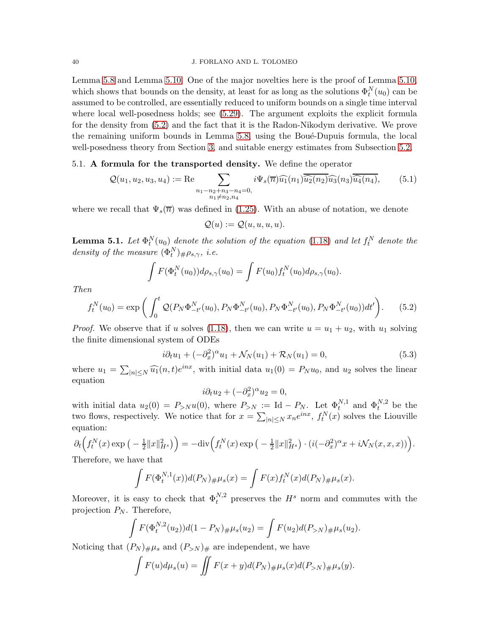Lemma [5.8](#page-49-1) and Lemma [5.10.](#page-52-0) One of the major novelties here is the proof of Lemma [5.10,](#page-52-0) which shows that bounds on the density, at least for as long as the solutions  $\Phi_t^N(u_0)$  can be assumed to be controlled, are essentially reduced to uniform bounds on a single time interval where local well-posedness holds; see  $(5.29)$ . The argument exploits the explicit formula for the density from [\(5.2\)](#page-39-2) and the fact that it is the Radon-Nikodym derivative. We prove the remaining uniform bounds in Lemma [5.8,](#page-49-1) using the Boué-Dupuis formula, the local well-posedness theory from Section [3,](#page-16-0) and suitable energy estimates from Subsection [5.2.](#page-41-0)

# <span id="page-39-0"></span>5.1. A formula for the transported density. We define the operator

<span id="page-39-3"></span>
$$
Q(u_1, u_2, u_3, u_4) := \text{Re} \sum_{\substack{n_1 - n_2 + n_3 - n_4 = 0, \\ n_1 \neq n_2, n_4}} i \Psi_s(\overline{n}) \widehat{u_1}(n_1) \overline{\widehat{u_2}(n_2)} \widehat{u_3}(n_3) \overline{\widehat{u_4}(n_4)},
$$
(5.1)

where we recall that  $\Psi_s(\overline{n})$  was defined in [\(1.25\)](#page-10-2). With an abuse of notation, we denote

$$
\mathcal{Q}(u) := \mathcal{Q}(u, u, u, u).
$$

<span id="page-39-1"></span>**Lemma 5.1.** Let  $\Phi_t^N(u_0)$  denote the solution of the equation [\(1.18\)](#page-6-3) and let  $f_t^N$  denote the density of the measure  $(\Phi_t^N)_{\# \rho_{s,\gamma}}, i.e.$ 

$$
\int F(\Phi_t^N(u_0))d\rho_{s,\gamma}(u_0) = \int F(u_0)f_t^N(u_0)d\rho_{s,\gamma}(u_0).
$$

Then

<span id="page-39-2"></span>
$$
f_t^N(u_0) = \exp\bigg(\int_0^t \mathcal{Q}(P_N \Phi_{-t'}^N(u_0), P_N \Phi_{-t'}^N(u_0), P_N \Phi_{-t'}^N(u_0), P_N \Phi_{-t'}^N(u_0))dt'\bigg). \tag{5.2}
$$

*Proof.* We observe that if u solves [\(1.18\)](#page-6-3), then we can write  $u = u_1 + u_2$ , with  $u_1$  solving the finite dimensional system of ODEs

<span id="page-39-4"></span>
$$
i\partial_t u_1 + (-\partial_x^2)^\alpha u_1 + \mathcal{N}_N(u_1) + \mathcal{R}_N(u_1) = 0,
$$
\n(5.3)

where  $u_1 = \sum_{|n| \le N} \widehat{u_1}(n, t) e^{inx}$ , with initial data  $u_1(0) = P_N u_0$ , and  $u_2$  solves the linear equation

$$
i\partial_t u_2 + (-\partial_x^2)^\alpha u_2 = 0,
$$

with initial data  $u_2(0) = P_{>N}u(0)$ , where  $P_{>N} := \text{Id} - P_N$ . Let  $\Phi_t^{N,1}$  and  $\Phi_t^{N,2}$  be the two flows, respectively. We notice that for  $x = \sum_{|n| \leq N} x_n e^{inx}$ ,  $f_t^N(x)$  solves the Liouville equation:

$$
\partial_t \Big( f_t^N(x) \exp \Big( - \frac{1}{2} \|x\|_{H^s}^2 \Big) \Big) = -\text{div} \Big( f_t^N(x) \exp \Big( - \frac{1}{2} \|x\|_{H^s}^2 \Big) \cdot \big( i(-\partial_x^2)^{\alpha} x + i \mathcal{N}_N(x, x, x) \big) \Big).
$$
\nTherefore, we have that

Therefore, we have that

$$
\int F(\Phi_t^{N,1}(x))d(P_N)_\#\mu_s(x) = \int F(x)f_t^N(x)d(P_N)_\#\mu_s(x).
$$

Moreover, it is easy to check that  $\Phi_t^{N,2}$  preserves the  $H^s$  norm and commutes with the projection  $P_N$ . Therefore,

$$
\int F(\Phi_t^{N,2}(u_2))d(1-P_N)_\#\mu_s(u_2) = \int F(u_2)d(P_{>N})_\#\mu_s(u_2).
$$

Noticing that  $(P_N)_{\#}\mu_s$  and  $(P_{>N})_{\#}$  are independent, we have

$$
\int F(u)d\mu_s(u) = \iint F(x+y)d(P_N)_\# \mu_s(x)d(P_{>N})_\# \mu_s(y).
$$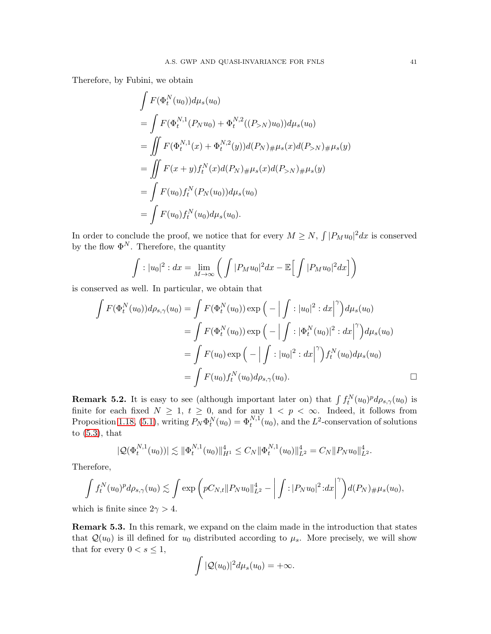Therefore, by Fubini, we obtain

$$
\int F(\Phi_t^N(u_0))d\mu_s(u_0)
$$
\n
$$
= \int F(\Phi_t^{N,1}(P_N u_0) + \Phi_t^{N,2}((P_{>N})u_0))d\mu_s(u_0)
$$
\n
$$
= \iint F(\Phi_t^{N,1}(x) + \Phi_t^{N,2}(y))d(P_N)_{\#}\mu_s(x)d(P_{>N})_{\#}\mu_s(y)
$$
\n
$$
= \iint F(x + y)f_t^N(x)d(P_N)_{\#}\mu_s(x)d(P_{>N})_{\#}\mu_s(y)
$$
\n
$$
= \int F(u_0)f_t^N(P_N(u_0))d\mu_s(u_0)
$$
\n
$$
= \int F(u_0)f_t^N(u_0)d\mu_s(u_0).
$$

In order to conclude the proof, we notice that for every  $M \ge N$ ,  $\int |P_M u_0|^2 dx$  is conserved by the flow  $\Phi^N$ . Therefore, the quantity

$$
\int : |u_0|^2 : dx = \lim_{M \to \infty} \left( \int |P_M u_0|^2 dx - \mathbb{E} \Big[ \int |P_M u_0|^2 dx \Big] \right)
$$

is conserved as well. In particular, we obtain that

$$
\int F(\Phi_t^N(u_0))d\rho_{s,\gamma}(u_0) = \int F(\Phi_t^N(u_0)) \exp\left(-\left|\int : |u_0|^2 : dx\right|^\gamma\right) d\mu_s(u_0)
$$

$$
= \int F(\Phi_t^N(u_0)) \exp\left(-\left|\int : |\Phi_t^N(u_0)|^2 : dx\right|^\gamma\right) d\mu_s(u_0)
$$

$$
= \int F(u_0) \exp\left(-\left|\int : |u_0|^2 : dx\right|^\gamma\right) f_t^N(u_0) d\mu_s(u_0)
$$

$$
= \int F(u_0) f_t^N(u_0) d\rho_{s,\gamma}(u_0).
$$

<span id="page-40-1"></span>**Remark 5.2.** It is easy to see (although important later on) that  $\int f_t^N(u_0)^p d\rho_{s,\gamma}(u_0)$  is finite for each fixed  $N \geq 1$ ,  $t \geq 0$ , and for any  $1 \leq p \leq \infty$ . Indeed, it follows from Proposition [1.18,](#page-6-3) [\(5.1\)](#page-39-3), writing  $P_N \Phi_t^N(u_0) = \Phi_t^{N,1}(u_0)$ , and the  $L^2$ -conservation of solutions to [\(5.3\)](#page-39-4), that

$$
|\mathcal{Q}(\Phi_t^{N,1}(u_0))| \lesssim \|\Phi_t^{N,1}(u_0)\|_{H^1}^4 \leq C_N \|\Phi_t^{N,1}(u_0)\|_{L^2}^4 = C_N \|P_N u_0\|_{L^2}^4.
$$

Therefore,

$$
\int f_t^N(u_0)^p d\rho_{s,\gamma}(u_0) \lesssim \int \exp\left(pC_{N,t} || P_N u_0 ||_{L^2}^4 - \left| \int : |P_N u_0|^2 \, dx \right|^{\gamma}\right) d(P_N)_\# \mu_s(u_0),
$$

which is finite since  $2\gamma > 4$ .

<span id="page-40-0"></span>Remark 5.3. In this remark, we expand on the claim made in the introduction that states that  $\mathcal{Q}(u_0)$  is ill defined for  $u_0$  distributed according to  $\mu_s$ . More precisely, we will show that for every  $0 < s \leq 1$ ,

$$
\int |\mathcal{Q}(u_0)|^2 d\mu_s(u_0) = +\infty.
$$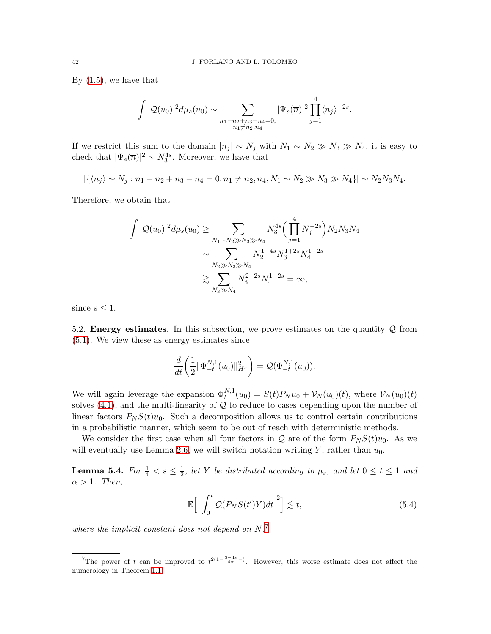By [\(1.5\)](#page-2-1), we have that

$$
\int |\mathcal{Q}(u_0)|^2 d\mu_s(u_0) \sim \sum_{\substack{n_1 - n_2 + n_3 - n_4 = 0, \\ n_1 \neq n_2, n_4}} |\Psi_s(\overline{n})|^2 \prod_{j=1}^4 \langle n_j \rangle^{-2s}.
$$

If we restrict this sum to the domain  $|n_j| \sim N_j$  with  $N_1 \sim N_2 \gg N_3 \gg N_4$ , it is easy to check that  $|\Psi_s(\overline{n})|^2 \sim N_3^{4s}$ . Moreover, we have that

$$
|\{\langle n_j \rangle \sim N_j : n_1 - n_2 + n_3 - n_4 = 0, n_1 \neq n_2, n_4, N_1 \sim N_2 \gg N_3 \gg N_4\}| \sim N_2 N_3 N_4.
$$

Therefore, we obtain that

$$
\int |\mathcal{Q}(u_0)|^2 d\mu_s(u_0) \ge \sum_{N_1 \sim N_2 \gg N_3 \gg N_4} N_3^{4s} \Big( \prod_{j=1}^4 N_j^{-2s} \Big) N_2 N_3 N_4
$$
  

$$
\sim \sum_{N_2 \gg N_3 \gg N_4} N_2^{1-4s} N_3^{1+2s} N_4^{1-2s}
$$
  

$$
\ge \sum_{N_3 \gg N_4} N_3^{2-2s} N_4^{1-2s} = \infty,
$$

<span id="page-41-0"></span>since  $s \leq 1$ .

5.2. Energy estimates. In this subsection, we prove estimates on the quantity  $Q$  from [\(5.1\)](#page-39-3). We view these as energy estimates since

$$
\frac{d}{dt}\bigg(\frac{1}{2}\|\Phi_{-t}^{N,1}(u_0)\|_{H^s}^2\bigg) = \mathcal{Q}(\Phi_{-t}^{N,1}(u_0)).
$$

We will again leverage the expansion  $\Phi_t^{N,1}(u_0) = S(t)P_N u_0 + \mathcal{V}_N(u_0)(t)$ , where  $\mathcal{V}_N(u_0)(t)$ solves  $(4.1)$ , and the multi-linearity of  $\mathcal Q$  to reduce to cases depending upon the number of linear factors  $P_N S(t)u_0$ . Such a decomposition allows us to control certain contributions in a probabilistic manner, which seem to be out of reach with deterministic methods.

We consider the first case when all four factors in Q are of the form  $P_N S(t)u_0$ . As we will eventually use Lemma [2.6,](#page-13-6) we will switch notation writing Y, rather than  $u_0$ .

Lemma 5.4. For  $\frac{1}{4} < s \leq \frac{1}{2}$  $\frac{1}{2}$ , let Y be distributed according to  $\mu_s$ , and let  $0 \leq t \leq 1$  and  $\alpha > 1$ . Then,

<span id="page-41-2"></span>
$$
\mathbb{E}\Big[\Big|\int_{0}^{t} \mathcal{Q}(P_N S(t')Y)dt\Big|^2\Big] \lesssim t,
$$
\n(5.4)

where the implicit constant does not depend on  $N$ .<sup>[7](#page-41-1)</sup>

<span id="page-41-1"></span><sup>&</sup>lt;sup>7</sup>The power of t can be improved to  $t^{2(1-\frac{3-4s}{4\alpha}-)}$ . However, this worse estimate does not affect the numerology in Theorem [1.1.](#page-4-1)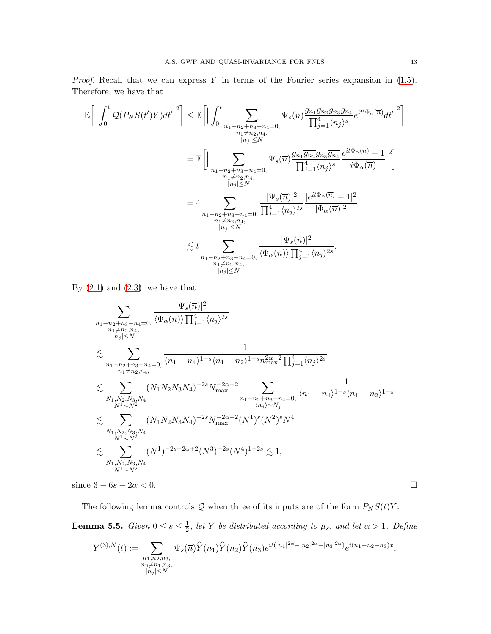*Proof.* Recall that we can express Y in terms of the Fourier series expansion in  $(1.5)$ . Therefore, we have that

$$
\mathbb{E}\left[\left|\int_{0}^{t} \mathcal{Q}(P_{N}S(t^{\prime})Y)dt^{\prime}\right|^{2}\right] \leq \mathbb{E}\left[\left|\int_{0}^{t} \sum_{\substack{n_{1}=n_{2}+n_{3}-n_{4}=0,\\n_{1}\neq n_{2},n_{4},\\|n_{j}|\leq N}}\Psi_{s}(\overline{n})\frac{g_{n_{1}}\overline{g_{n_{2}}}g_{n_{3}}\overline{g_{n_{4}}}}{\prod_{j=1}^{4}\langle n_{j}\rangle^{s}}e^{it^{\prime}\Phi_{\alpha}(\overline{n})}dt^{\prime}\right|^{2}\right]
$$
\n
$$
=\mathbb{E}\left[\left|\sum_{\substack{n_{1}=n_{2}+n_{3}-n_{4}=0,\\n_{1}\neq n_{2},n_{4},\\|n_{j}|\leq N}}\Psi_{s}(\overline{n})\frac{g_{n_{1}}\overline{g_{n_{2}}}g_{n_{3}}\overline{g_{n_{4}}}e^{it\Phi_{\alpha}(\overline{n})}-1}{\prod_{j=1}^{4}\langle n_{j}\rangle^{s}}\frac{e^{it\Phi_{\alpha}(\overline{n})}-1}{i\Phi_{\alpha}(\overline{n})}\right|^{2}\right]
$$
\n
$$
=4\sum_{\substack{n_{1}=n_{2}+n_{3}-n_{4}=0,\\n_{1}\neq n_{2},n_{4},\\|n_{j}|\leq N}}\frac{|\Psi_{s}(\overline{n})|^{2}}{\prod_{j=1}^{4}\langle n_{j}\rangle^{2s}}\frac{|e^{it\Phi_{\alpha}(\overline{n})}-1|^{2}}{|\Phi_{\alpha}(\overline{n})|^{2}}
$$
\n
$$
\lesssim t\sum_{\substack{n_{1}=n_{2}+n_{3}-n_{4}=0,\\n_{1}\neq n_{2},n_{4},\\|n_{j}|\leq N}}\frac{|\Psi_{s}(\overline{n})|^{2}}{\langle\Phi_{\alpha}(\overline{n})\rangle\prod_{j=1}^{4}\langle n_{j}\rangle^{2s}}.
$$

By  $(2.1)$  and  $(2.3)$ , we have that

$$
\sum_{\substack{n_1 - n_2 + n_3 - n_4 = 0, \ n_1 \neq n_2, n_4, \\ |n_j| \le N}} \frac{|\Psi_s(\overline{n})|^2}{\langle \Phi_\alpha(\overline{n}) \rangle \prod_{j=1}^4 \langle n_j \rangle^{2s}} \times \sum_{\substack{n_1 - n_2 + n_3 - n_4 = 0, \\ n_1 \neq n_2, n_4, \\ n_1 \neq n_2, n_4, \\ N^1, N^2, N^3, N^4}} \frac{1}{\langle n_1 - n_4 \rangle^{1 - s} \langle n_1 - n_2 \rangle^{1 - s} n_{\text{max}}^{2\alpha - 2} \prod_{j=1}^4 \langle n_j \rangle^{2s}} \times \sum_{\substack{N_1, N_2, N_3, N_4 \\ N^1 \sim N^2}} \frac{\langle N_1 N_2 N_3 N_4 \rangle^{-2s} N_{\text{max}}^{-2\alpha + 2}}{\langle n_1 - n_2 + n_3 - n_4 = 0, \langle n_1 - n_4 \rangle^{1 - s} \langle n_1 - n_2 \rangle^{1 - s}} \times \sum_{\substack{N_1, N_2, N_3, N_4 \\ N^1 \sim N^2}} \frac{\langle N_1 N_2 N_3 N_4 \rangle^{-2s} N_{\text{max}}^{-2\alpha + 2} \langle N^1 \rangle^s \langle N^2 \rangle^s N^4}{\langle N^1 \rangle^{1 - N} N^2} \times 1, \times \sum_{\substack{N_1, N_2, N_3, N_4 \\ N^1 \sim N^2}} \frac{\langle N^1 \rangle^{-2s - 2\alpha + 2} \langle N^3 \rangle^{-2s} \langle N^4 \rangle^{1 - 2s}}{\langle N^4 \rangle^{1 - 2s} \langle N^4 \rangle^{1 - 2s}} \times 1, \times \sum_{\substack{N_1, N_2, N_3, N_4 \\ N^1 \sim N^2}} \frac{\langle N^1 \rangle^{-2s - 2\alpha + 2}}{\langle N^1 \rangle^{1 - 2s} \langle N^1 \rangle^{-2s}} \times 0. \qquad \Box
$$

The following lemma controls  ${\mathcal Q}$  when three of its inputs are of the form  $P_N S(t)Y.$ 

**Lemma 5.5.** Given  $0 \leq s \leq \frac{1}{2}$  $\frac{1}{2}$ , let Y be distributed according to  $\mu_s$ , and let  $\alpha > 1$ . Define

$$
Y^{(3),N}(t) := \sum_{\substack{n_1, n_2, n_3, \\ n_2 \neq n_1, n_3, \\ |n_j| \le N}} \Psi_s(\overline{n}) \widehat{Y}(n_1) \overline{\widehat{Y}(n_2)} \widehat{Y}(n_3) e^{it(|n_1|^{2\alpha} - |n_2|^{2\alpha} + |n_3|^{2\alpha})} e^{i(n_1 - n_2 + n_3)x}
$$

.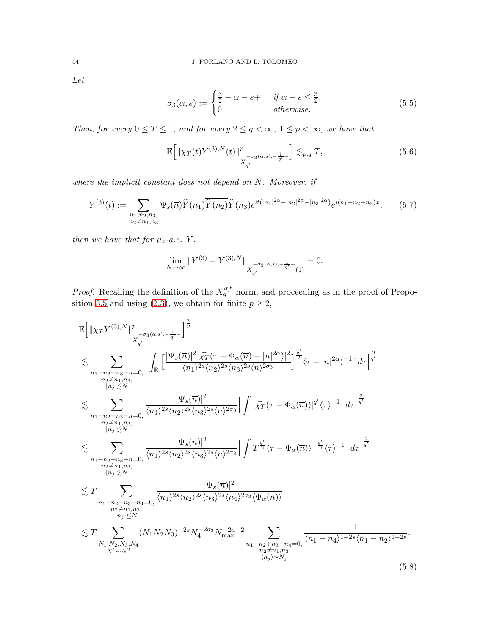Let

<span id="page-43-1"></span>
$$
\sigma_3(\alpha, s) := \begin{cases} \frac{3}{2} - \alpha - s + & \text{if } \alpha + s \le \frac{3}{2}, \\ 0 & \text{otherwise.} \end{cases}
$$
\n
$$
(5.5)
$$

Then, for every  $0 \le T \le 1$ , and for every  $2 \le q < \infty$ ,  $1 \le p < \infty$ , we have that

<span id="page-43-3"></span>
$$
\mathbb{E}\Big[\|\chi_T(t)Y^{(3),N}(t)\|^p_{X_{q'}^{-\sigma_3(\alpha,s),-\frac{1}{q'}}-}\Big] \lesssim_{p,q} T,\tag{5.6}
$$

where the implicit constant does not depend on N. Moreover, if

<span id="page-43-2"></span>
$$
Y^{(3)}(t) := \sum_{\substack{n_1, n_2, n_3, \\ n_2 \neq n_1, n_3}} \Psi_s(\overline{n}) \widehat{Y}(n_1) \overline{\widehat{Y}(n_2)} \widehat{Y}(n_3) e^{it(|n_1|^{2\alpha} - |n_2|^{2\alpha} + |n_3|^{2\alpha})} e^{i(n_1 - n_2 + n_3)x}, \qquad (5.7)
$$

then we have that for  $\mu_s\mbox{-} a.e.$ <br> $Y,$ 

<span id="page-43-0"></span>
$$
\lim_{N \to \infty} ||Y^{(3)} - Y^{(3),N}||_{X_{q'}^{-\sigma_3(\alpha,s), -\frac{1}{q'} - }(1)} = 0.
$$

*Proof.* Recalling the definition of the  $X_q^{\sigma,b}$  norm, and proceeding as in the proof of Propo-sition [3.5](#page-21-1) and using [\(2.3\)](#page-12-1), we obtain for finite  $p \ge 2$ ,

$$
\mathbb{E}\Big[\|\chi_{T}Y^{(3),N}\|^{p}_{X_{q'}}\Big]_{X_{q'}}^{\pi_{\sigma_{3}(\alpha,s),-\frac{1}{q'}}}\Big]^{\frac{2}{p}}\n\n\lesssim \sum_{\substack{n_{1}-n_{2}+n_{3}-n_{0},\\n_{2}\neq n_{1},n_{3},\\n_{1}\leq N}}\Big|\int_{\mathbb{R}}\Big[\frac{|\Psi_{s}(\overline{n})|^{2}|\widehat{\chi}_{T}(\tau-\Phi_{\alpha}(\overline{n})-|n|^{2\alpha})|^{2}}{\langle n_{1}\rangle^{2s}\langle n_{2}\rangle^{2s}\langle n_{3}\rangle^{2s}\langle n\rangle^{2\sigma_{3}}}\Big]^{q'}(\tau-|n|^{2\alpha})^{-1-d\tau}\Big|^{\frac{2}{q'}}\n\n\lesssim \sum_{\substack{n_{1}-n_{2}+n_{3}-n_{0},\\n_{2}\neq n_{1},n_{3},\\n_{1}\leq N}}\frac{|\Psi_{s}(\overline{n})|^{2}}{\langle n_{1}\rangle^{2s}\langle n_{2}\rangle^{2s}\langle n_{3}\rangle^{2s}\langle n\rangle^{2\sigma_{3}}}\Big|\int |\widehat{\chi}_{T}(\tau-\Phi_{\alpha}(\overline{n}))|^{q'}(\tau)^{-1-d\tau}\Big|^{\frac{2}{q'}}\n\n\lesssim \sum_{\substack{n_{1}-n_{2}+n_{3}-n_{0},\\n_{2}\neq n_{1},n_{3},\\n_{1}\leq N}}\frac{|\Psi_{s}(\overline{n})|^{2}}{\langle n_{1}\rangle^{2s}\langle n_{2}\rangle^{2s}\langle n_{3}\rangle^{2s}\langle n\rangle^{2\sigma_{3}}}\Big|\int T^{\frac{q'}{2}}\langle \tau-\Phi_{\alpha}(\overline{n})\rangle^{-\frac{q'}{2}}\langle \tau\rangle^{-1-d\tau}\Big|^{\frac{2}{q'}}\n\n\lesssim T\sum_{\substack{n_{1}-n_{2}+n_{3}-n_{4}=0,\\n_{1}\leq N\\n_{1}\leq N}}\frac{|\Psi_{s}(\overline{n})|^{2}}{\langle n_{1}\rangle^{2s}\langle n_{2}\rangle^{2s}\langle n_{3}\rangle^{2s}\langle n_{4}\rangle^{2\sigma_{3}}\langle \Phi_{\alpha}(\overline{n})\rangle}\n\n\lesssim T\sum_{\substack{N_{1},N_{2},N_{3},N_{4}\
$$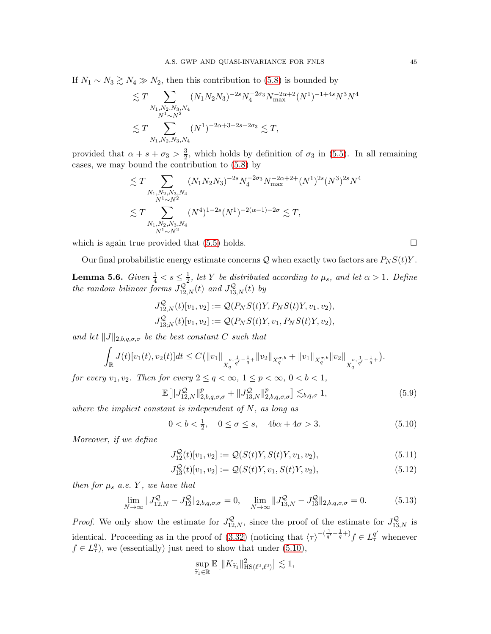If  $N_1 \sim N_3 \gtrsim N_4 \gg N_2$ , then this contribution to [\(5.8\)](#page-43-0) is bounded by

$$
\lesssim T \sum_{\substack{N_1, N_2, N_3, N_4\\N^1 \sim N^2}} (N_1 N_2 N_3)^{-2s} N_4^{-2\sigma_3} N_{\text{max}}^{-2\alpha+2} (N^1)^{-1+4s} N^3 N^4
$$
  

$$
\lesssim T \sum_{N_1, N_2, N_3, N_4} (N^1)^{-2\alpha+3-2s-2\sigma_3} \lesssim T,
$$

provided that  $\alpha + s + \sigma_3 > \frac{3}{2}$  $\frac{3}{2}$ , which holds by definition of  $\sigma_3$  in [\(5.5\)](#page-43-1). In all remaining cases, we may bound the contribution to [\(5.8\)](#page-43-0) by

$$
\lesssim T \sum_{\substack{N_1, N_2, N_3, N_4\\N^1 \sim N^2}} (N_1 N_2 N_3)^{-2s} N_4^{-2\sigma_3} N_{\text{max}}^{-2\alpha + 2 + (N^1)^{2s}} (N^3)^{2s} N^4
$$
  

$$
\lesssim T \sum_{\substack{N_1, N_2, N_3, N_4\\N^1 \sim N^2}} (N^4)^{1 - 2s} (N^1)^{-2(\alpha - 1) - 2\sigma} \lesssim T,
$$

which is again true provided that  $(5.5)$  holds.

Our final probabilistic energy estimate concerns  $\mathcal Q$  when exactly two factors are  $P_N S(t) Y$ .

<span id="page-44-0"></span>**Lemma 5.6.** Given  $\frac{1}{4} < s \leq \frac{1}{2}$  $\frac{1}{2}$ , let Y be distributed according to  $\mu_s$ , and let  $\alpha > 1$ . Define the random bilinear forms  $J_{12,N}^{\mathcal{Q}}(t)$  and  $J_{13,N}^{\mathcal{Q}}(t)$  by

$$
J_{12,N}^{\mathcal{Q}}(t)[v_1, v_2] := \mathcal{Q}(P_N S(t)Y, P_N S(t)Y, v_1, v_2),
$$
  

$$
J_{13,N}^{\mathcal{Q}}(t)[v_1, v_2] := \mathcal{Q}(P_N S(t)Y, v_1, P_N S(t)Y, v_2),
$$

and let  $||J||_{2,b,q,\sigma,\sigma}$  be the best constant C such that

$$
\int_{\mathbb{R}} J(t)[v_1(t), v_2(t)]dt \leq C(||v_1||_{X_q^{\sigma, \frac{1}{q'} - \frac{1}{q}+}} ||v_2||_{X_q^{\sigma, b}} + ||v_1||_{X_q^{\sigma, b}} ||v_2||_{X_q^{\sigma, \frac{1}{q'} - \frac{1}{q}+}}).
$$

for every  $v_1, v_2$ . Then for every  $2 \le q < \infty$ ,  $1 \le p < \infty$ ,  $0 < b < 1$ ,

<span id="page-44-2"></span>
$$
\mathbb{E}\big[\|J_{12,N}^{\mathcal{Q}}\|_{2,b,q,\sigma,\sigma}^{p} + \|J_{13,N}^{\mathcal{Q}}\|_{2,b,q,\sigma,\sigma}^{p}\big] \lesssim_{b,q,\sigma} 1,
$$
\n(5.9)

where the implicit constant is independent of  $N$ , as long as

<span id="page-44-1"></span>
$$
0 < b < \frac{1}{2}, \quad 0 \le \sigma \le s, \quad 4b\alpha + 4\sigma > 3. \tag{5.10}
$$

Moreover, if we define

$$
J_{12}^{\mathcal{Q}}(t)[v_1, v_2] := \mathcal{Q}(S(t)Y, S(t)Y, v_1, v_2), \tag{5.11}
$$

$$
J_{13}^{\mathcal{Q}}(t)[v_1, v_2] := \mathcal{Q}(S(t)Y, v_1, S(t)Y, v_2), \tag{5.12}
$$

then for  $\mu_s$  a.e. Y, we have that

<span id="page-44-3"></span>
$$
\lim_{N \to \infty} \|J_{12,N}^{\mathcal{Q}} - J_{12}^{\mathcal{Q}}\|_{2,b,q,\sigma,\sigma} = 0, \quad \lim_{N \to \infty} \|J_{13,N}^{\mathcal{Q}} - J_{13}^{\mathcal{Q}}\|_{2,b,q,\sigma,\sigma} = 0.
$$
\n(5.13)

*Proof.* We only show the estimate for  $J_{12,N}^{\mathcal{Q}}$ , since the proof of the estimate for  $J_{13,N}^{\mathcal{Q}}$  is identical. Proceeding as in the proof of [\(3.32\)](#page-23-8) (noticing that  $\langle \tau \rangle^{-(\frac{1}{q'}-\frac{1}{q}+)} f \in L^{q'}_{\tau}$  whenever  $f \in L^q_\tau$ , we (essentially) just need to show that under [\(5.10\)](#page-44-1),

$$
\sup_{\widetilde{\tau}_1 \in \mathbb{R}} \mathbb{E} \big[ \| K_{\widetilde{\tau}_1} \|_{\mathrm{HS}(\ell^2, \ell^2)}^2 \big] \lesssim 1,
$$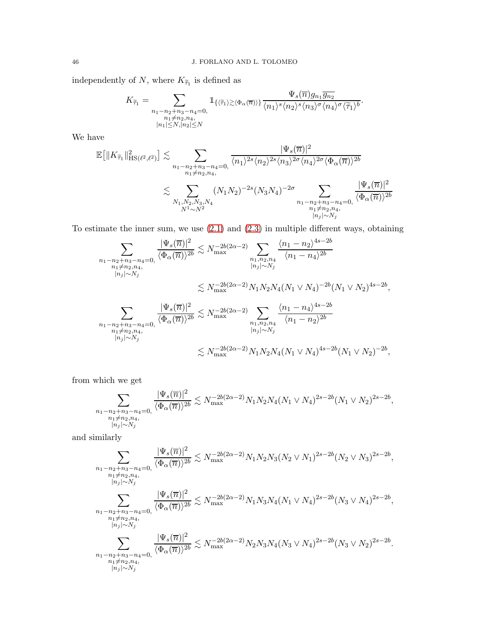independently of N, where  $K_{\widetilde{\tau}_1}$  is defined as

$$
K_{\widetilde{\tau}_1} = \sum_{\substack{n_1 - n_2 + n_3 - n_4 = 0, \\ n_1 \neq n_2, n_4, \\ |n_1| \le N, |n_2| \le N}} 1_{\{\langle \widetilde{\tau}_1 \rangle \gtrsim \langle \Phi_\alpha(\overline{n}) \rangle\}} \frac{\Psi_s(\overline{n}) g_{n_1} \overline{g_{n_2}}}{\langle n_1 \rangle^s \langle n_2 \rangle^s \langle n_3 \rangle^{\sigma} \langle n_4 \rangle^{\sigma} \langle \widetilde{\tau}_1 \rangle^b}.
$$

We have

$$
\mathbb{E}\big[\|K_{\widetilde{\tau}_1}\|_{\mathrm{HS}(\ell^2,\ell^2)}^2\big] \lesssim \sum_{\substack{n_1 - n_2 + n_3 - n_4 = 0, \ n_1 \neq n_2, n_4,}} \frac{|\Psi_s(\overline{n})|^2}{\langle n_1 \rangle^{2s} \langle n_2 \rangle^{2s} \langle n_3 \rangle^{2\sigma} \langle n_4 \rangle^{2\sigma} \langle \Phi_\alpha(\overline{n}) \rangle^{2b}} \lesssim \sum_{\substack{N_1, N_2, N_3, N_4 \ N^1 \sim N^2}} \frac{|N_s(\overline{n})|^{2\sigma}}{\langle N_1 N_2 \rangle^{2s} \langle N_3 N_4 \rangle^{-2\sigma} \sum_{\substack{n_1 - n_2 + n_3 - n_4 = 0, \ n_1 \neq n_2, n_4, \ n_1 \neq n_2, n_4,}} \frac{|\Psi_s(\overline{n})|^2}{\langle \Phi_\alpha(\overline{n}) \rangle^{2b}}
$$

To estimate the inner sum, we use [\(2.1\)](#page-11-3) and [\(2.3\)](#page-12-1) in multiple different ways, obtaining

$$
\sum_{\substack{n_1 - n_2 + n_3 - n_4 = 0, \ \langle \Phi_{\alpha}(\overline{n}) \rangle^{2b}}} \frac{|\Psi_s(\overline{n})|^2}{\langle \Phi_{\alpha}(\overline{n}) \rangle^{2b}} \lesssim N_{\max}^{-2b(2\alpha - 2)} \sum_{\substack{n_1, n_2, n_4 \ n_1 \neq n_2, n_4, \ n_2 \in N_j}} \frac{\langle n_1 - n_2 \rangle^{4s - 2b}}{\langle n_1 - n_4 \rangle^{2b}}
$$
\n
$$
\lesssim N_{\max}^{-2b(2\alpha - 2)} N_1 N_2 N_4 (N_1 \vee N_4)^{-2b} (N_1 \vee N_2)^{4s - 2b},
$$
\n
$$
\sum_{\substack{n_1 - n_2 + n_3 - n_4 = 0, \ \langle \Phi_{\alpha}(\overline{n}) \rangle^{2b}}} \frac{|\Psi_s(\overline{n})|^2}{\langle \Phi_{\alpha}(\overline{n}) \rangle^{2b}} \lesssim N_{\max}^{-2b(2\alpha - 2)} \sum_{\substack{n_1, n_2, n_4 \ n_1 \neq n_2, n_4, \ n_1 \neq n_2, n_4}} \frac{\langle n_1 - n_4 \rangle^{4s - 2b}}{\langle n_1 - n_2 \rangle^{2b}} \left(\frac{n_1 - n_4}{n_1 - n_2}\right)^{2b}
$$
\n
$$
\lesssim N_{\max}^{-2b(2\alpha - 2)} N_1 N_2 N_4 (N_1 \vee N_4)^{4s - 2b} (N_1 \vee N_2)^{-2b},
$$

from which we get

$$
\sum_{\substack{n_1 - n_2 + n_3 - n_4 = 0, \ n_1 \neq n_2, n_4, \\ n_1 \neq n_2, n_4, \\ |n_j| \sim N_j}} \frac{|\Psi_s(\overline{n})|^2}{\langle \Phi_\alpha(\overline{n}) \rangle^{2b}} \lesssim N_{\text{max}}^{-2b(2\alpha - 2)} N_1 N_2 N_4 (N_1 \vee N_4)^{2s - 2b} (N_1 \vee N_2)^{2s - 2b},
$$

and similarly

$$
\sum_{\substack{n_1-n_2+n_3-n_4=0,\\ n_1\neq n_2,n_4,\\ |n_j|\sim N_j}}\frac{|\Psi_s(\overline{n})|^2}{\langle\Phi_\alpha(\overline{n})\rangle^{2b}} \lesssim N_{\max}^{-2b(2\alpha-2)}N_1N_2N_3(N_2\vee N_1)^{2s-2b}(N_2\vee N_3)^{2s-2b},
$$
  

$$
\sum_{\substack{n_1+n_2+n_3-n_4=0,\\ n_1\neq n_2,n_4,\\ |n_j|\sim N_j}}\frac{|\Psi_s(\overline{n})|^2}{\langle\Phi_\alpha(\overline{n})\rangle^{2b}} \lesssim N_{\max}^{-2b(2\alpha-2)}N_1N_3N_4(N_1\vee N_4)^{2s-2b}(N_3\vee N_4)^{2s-2b},
$$
  

$$
\sum_{\substack{n_1+n_2,n_4,\\ n_1\neq n_2,n_4,\\ n_1\neq n_2,n_4,\\ |n_j|\sim N_j}}\frac{|\Psi_s(\overline{n})|^2}{\langle\Phi_\alpha(\overline{n})\rangle^{2b}} \lesssim N_{\max}^{-2b(2\alpha-2)}N_2N_3N_4(N_3\vee N_4)^{2s-2b}(N_3\vee N_2)^{2s-2b}.
$$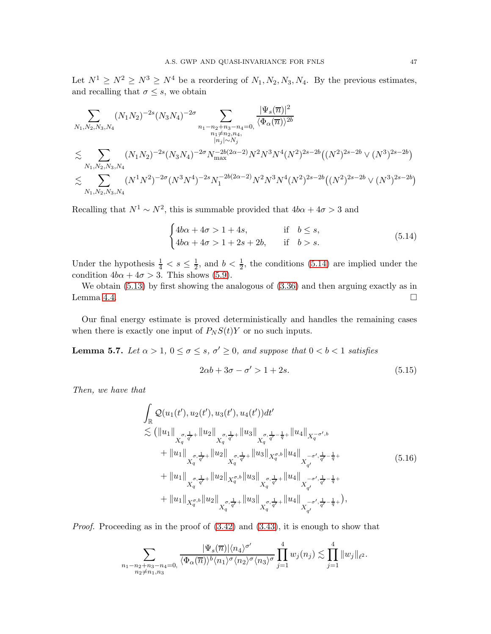Let  $N^1 \geq N^2 \geq N^3 \geq N^4$  be a reordering of  $N_1, N_2, N_3, N_4$ . By the previous estimates, and recalling that  $\sigma \leq s$ , we obtain

$$
\sum_{N_1, N_2, N_3, N_4} (N_1 N_2)^{-2s} (N_3 N_4)^{-2\sigma} \sum_{\substack{n_1 - n_2 + n_3 - n_4 = 0, \ n_1 \neq n_2, n_4, \ n_2 \neq n_3, n_4}} \frac{|\Psi_s(\overline{n})|^2}{\langle \Phi_\alpha(\overline{n})\rangle^{2b}}
$$
\n
$$
\lesssim \sum_{N_1, N_2, N_3, N_4} (N_1 N_2)^{-2s} (N_3 N_4)^{-2\sigma} N_{\text{max}}^{-2b(2\alpha - 2)} N^2 N^3 N^4 (N^2)^{2s - 2b} ((N^2)^{2s - 2b} \vee (N^3)^{2s - 2b})
$$
\n
$$
\lesssim \sum_{N_1, N_2, N_3, N_4} (N^1 N^2)^{-2\sigma} (N^3 N^4)^{-2s} N_1^{-2b(2\alpha - 2)} N^2 N^3 N^4 (N^2)^{2s - 2b} ((N^2)^{2s - 2b} \vee (N^3)^{2s - 2b})
$$

Recalling that  $N^1 \sim N^2$ , this is summable provided that  $4b\alpha + 4\sigma > 3$  and

<span id="page-46-1"></span>
$$
\begin{cases} 4b\alpha + 4\sigma > 1 + 4s, & \text{if } b \le s, \\ 4b\alpha + 4\sigma > 1 + 2s + 2b, & \text{if } b > s. \end{cases}
$$
 (5.14)

Under the hypothesis  $\frac{1}{4} < s \leq \frac{1}{2}$ , and  $b < \frac{1}{2}$ , the conditions [\(5.14\)](#page-46-1) are implied under the condition  $4b\alpha + 4\sigma > 3$ . This shows [\(5.9\)](#page-44-2).

We obtain  $(5.13)$  by first showing the analogous of  $(3.36)$  and then arguing exactly as in Lemma [4.4.](#page-37-2)  $\Box$ 

Our final energy estimate is proved deterministically and handles the remaining cases when there is exactly one input of  $P_N S(t) Y$  or no such inputs.

<span id="page-46-0"></span>**Lemma 5.7.** Let  $\alpha > 1$ ,  $0 \le \sigma \le s$ ,  $\sigma' \ge 0$ , and suppose that  $0 < b < 1$  satisfies

<span id="page-46-2"></span>
$$
2\alpha b + 3\sigma - \sigma' > 1 + 2s. \tag{5.15}
$$

Then, we have that

<span id="page-46-3"></span>
$$
\int_{\mathbb{R}} \mathcal{Q}(u_{1}(t'), u_{2}(t'), u_{3}(t'), u_{4}(t'))dt'
$$
\n
$$
\lesssim (\|u_{1}\|_{X_{q}^{\sigma,\frac{1}{q'}}+}\|u_{2}\|_{X_{q}^{\sigma,\frac{1}{q'}}+}\|u_{3}\|_{X_{q}^{\sigma,\frac{1}{q'}}-\frac{1}{q}+}\|u_{4}\|_{X_{q}^{\sigma',b}}
$$
\n
$$
+\|u_{1}\|_{X_{q}^{\sigma,\frac{1}{q'}}+}\|u_{2}\|_{X_{q}^{\sigma,\frac{1}{q'}}+}\|u_{3}\|_{X_{q}^{\sigma,b}}\|u_{4}\|_{X_{q'}^{\sigma',\frac{1}{q'}}-\frac{1}{q}+}
$$
\n
$$
+\|u_{1}\|_{X_{q}^{\sigma,\frac{1}{q'}}+}\|u_{2}\|_{X_{q}^{\sigma,b}}\|u_{3}\|_{X_{q}^{\sigma,\frac{1}{q'}}+}\|u_{4}\|_{X_{q'}^{\sigma',\frac{1}{q'}}-\frac{1}{q}+}
$$
\n
$$
+\|u_{1}\|_{X_{q}^{\sigma,b}}\|u_{2}\|_{X_{q}^{\sigma,\frac{1}{q'}}+}\|u_{3}\|_{X_{q'}^{\sigma,\frac{1}{q'}}+}\|u_{4}\|_{X_{q'}^{\sigma',\frac{1}{q'}}-\frac{1}{q}+},
$$
\n
$$
+\|u_{1}\|_{X_{q}^{\sigma,b}}\|u_{2}\|_{X_{q}^{\sigma,\frac{1}{q'}}+}\|u_{3}\|_{X_{q'}^{\sigma,\frac{1}{q'}}+}\|u_{4}\|_{X_{q'}^{\sigma',\frac{1}{q'}}-\frac{1}{q}+}),
$$
\n(5.16)

*Proof.* Proceeding as in the proof of  $(3.42)$  and  $(3.43)$ , it is enough to show that

$$
\sum_{\substack{n_1-n_2+n_3-n_4=0,\\n_2\neq n_1,n_3}}\frac{|\Psi_s(\overline{n})|\langle n_4\rangle^{\sigma'}}{\langle\Phi_\alpha(\overline{n})\rangle^b\langle n_1\rangle^{\sigma}\langle n_2\rangle^{\sigma}\langle n_3\rangle^{\sigma}}\prod_{j=1}^4w_j(n_j)\lesssim \prod_{j=1}^4\|w_j\|_{\ell^2}.
$$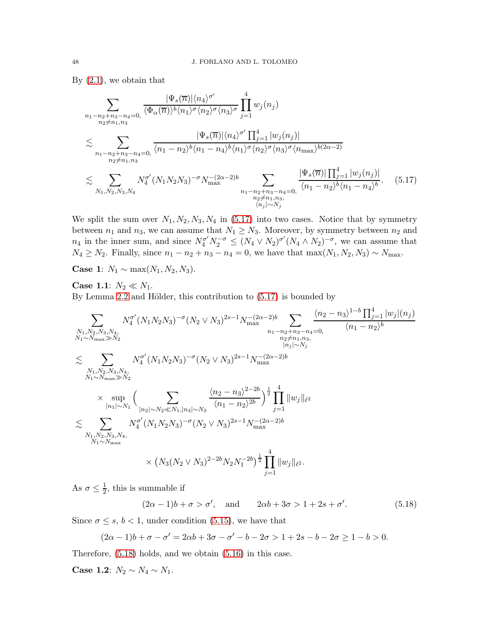By  $(2.1)$ , we obtain that

<span id="page-47-0"></span>
$$
\sum_{\substack{n_1 - n_2 + n_3 - n_4 = 0, \\ n_2 \neq n_1, n_3}} \frac{|\Psi_s(\overline{n})| \langle n_4 \rangle^{\sigma'}}{\langle \Phi_\alpha(\overline{n}) \rangle^b \langle n_1 \rangle^{\sigma} \langle n_2 \rangle^{\sigma} \langle n_3 \rangle^{\sigma}} \prod_{j=1}^4 w_j(n_j)
$$
\n
$$
\lesssim \sum_{\substack{n_1 - n_2 + n_3 - n_4 = 0, \\ n_2 \neq n_1, n_3}} \frac{|\Psi_s(\overline{n})| \langle n_4 \rangle^{\sigma'} \prod_{j=1}^4 |w_j(n_j)|}{\langle n_1 - n_2 \rangle^b \langle n_1 - n_4 \rangle^b \langle n_1 \rangle^{\sigma} \langle n_2 \rangle^{\sigma} \langle n_3 \rangle^{\sigma} \langle n_{\text{max}} \rangle^{b(2\alpha - 2)}}
$$
\n
$$
\lesssim \sum_{\substack{N_1, N_2, N_3, N_4}} N_4^{\sigma'} (N_1 N_2 N_3)^{-\sigma} N_{\text{max}}^{-(2\alpha - 2)b} \sum_{\substack{n_1 - n_2 + n_3 - n_4 = 0, \\ n_2 \neq n_1, n_3, \\ \langle n_j \rangle \sim N_j}} \frac{|\Psi_s(\overline{n})| \prod_{j=1}^4 |w_j(n_j)|}{\langle n_1 - n_2 \rangle^b \langle n_1 - n_4 \rangle^b}.
$$
\n(5.17)

We split the sum over  $N_1, N_2, N_3, N_4$  in [\(5.17\)](#page-47-0) into two cases. Notice that by symmetry between  $n_1$  and  $n_3$ , we can assume that  $N_1 \ge N_3$ . Moreover, by symmetry between  $n_2$  and  $n_4$  in the inner sum, and since  $N_4^{\sigma'} N_2^{-\sigma} \leq (N_4 \vee N_2)^{\sigma'} (N_4 \wedge N_2)^{-\sigma}$ , we can assume that  $N_4 \ge N_2$ . Finally, since  $n_1 - n_2 + n_3 - n_4 = 0$ , we have that  $\max(N_1, N_2, N_3) \sim N_{\max}$ .

Case 1:  $N_1$  ∼ max $(N_1, N_2, N_3)$ .

**Case 1.1:**  $N_2 \ll N_1$ .

By Lemma  $2.2$  and Hölder, this contribution to  $(5.17)$  is bounded by

$$
\sum_{\substack{N_1, N_2, N_3, N_4, N_1, N_2, N_3, N_4, N_1, N_2, N_3, N_4, N_1, N_2, N_3, N_4, N_1, N_1, N_2, N_3, N_4, N_1, N_1, N_2, N_3, N_4, N_1, N_1, N_2, N_3, N_4}}} \frac{N_1 N_1 N_2 N_3 N_2}{N_1 N_1 N_2 N_3 N_2} \times \sum_{\substack{N_1, N_2, N_3, N_4, N_1, N_3, N_4, N_1, N_2, N_3, N_4, N_1, N_1, N_2, N_3, N_4, N_1, N_1, N_2, N_3, N_4}} \frac{N_1 N_2 N_3 N_4}{N_1 N_1 N_1 N_2 N_3 N_2} \times \sup_{\substack{|n_1| \sim N_1}} \left( \sum_{\substack{|n_2| \sim N_2 \ll N_1, |n_3| \sim N_3}} \frac{\langle n_2 - n_3 \rangle^{2 - 2b}}{\langle n_1 - n_2 \rangle^{2b}} \right)^{\frac{1}{2}} \prod_{j=1}^{4} ||w_j||_{\ell^2}
$$
\n
$$
\leq \sum_{\substack{N_1, N_2, N_3, N_4, N_1, N_2, N_3, N_4, N_1, N_1, N_1, N_3, N_4}} N_1 \times (N_3(N_2 \vee N_3)^{2 - 2b} N_2 N_1^{-2b})^{\frac{1}{2}} \prod_{j=1}^{4} ||w_j||_{\ell^2}.
$$

As  $\sigma \leq \frac{1}{2}$  $\frac{1}{2}$ , this is summable if

<span id="page-47-1"></span>
$$
(2\alpha - 1)b + \sigma > \sigma', \quad \text{and} \qquad 2\alpha b + 3\sigma > 1 + 2s + \sigma'. \tag{5.18}
$$

Since  $\sigma \leq s, b < 1$ , under condition [\(5.15\)](#page-46-2), we have that

$$
(2\alpha - 1)b + \sigma - \sigma' = 2\alpha b + 3\sigma - \sigma' - b - 2\sigma > 1 + 2s - b - 2\sigma \ge 1 - b > 0.
$$

Therefore, [\(5.18\)](#page-47-1) holds, and we obtain [\(5.16\)](#page-46-3) in this case.

Case 1.2:  $N_2 \sim N_4 \sim N_1$ .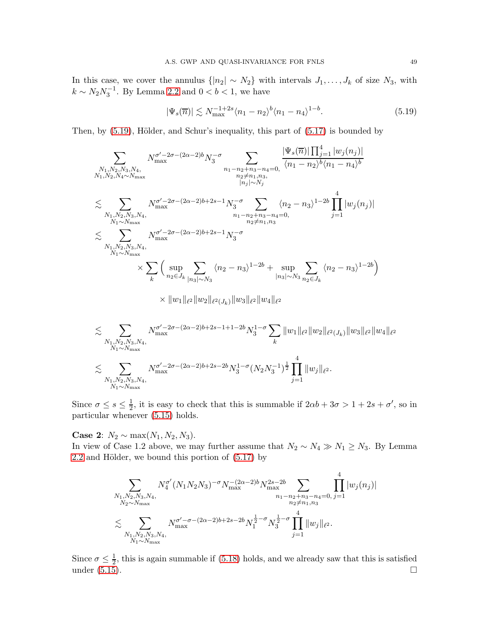In this case, we cover the annulus  $\{|n_2| \sim N_2\}$  with intervals  $J_1, \ldots, J_k$  of size  $N_3$ , with  $k \sim N_2 N_3^{-1}$ . By Lemma [2.2](#page-12-4) and  $0 < b < 1$ , we have

<span id="page-48-0"></span>
$$
|\Psi_s(\overline{n})| \lesssim N_{\text{max}}^{-1+2s} \langle n_1 - n_2 \rangle^b \langle n_1 - n_4 \rangle^{1-b}.
$$
 (5.19)

Then, by  $(5.19)$ , Hölder, and Schur's inequality, this part of  $(5.17)$  is bounded by

$$
\sum_{\substack{N_1, N_2, N_3, N_4, \dots, N_{\text{max}} \\ N_1, N_2, N_4 \sim N_{\text{max}} \\ N_1, N_2, N_4 \sim N_{\text{max}}}} N_{\text{max}}^{\sigma' - 2\sigma - (2\alpha - 2)b} N_3^{-\sigma} \sum_{\substack{n_1 - n_2 + n_3 - n_4 = 0, \dots, N_{\text{max}} \\ n_2 \neq n_1, n_3, \dots, N_{\text{max}} \\ |n_j| \sim N_j}} \frac{|\Psi_s(\overline{n})| \prod_{j=1}^4 |w_j(n_j)|}{\langle n_1 - n_2 \rangle^b \langle n_1 - n_4 \rangle^b}
$$
\n
$$
\lesssim \sum_{\substack{N_1, N_2, N_3, N_4, \dots, N_{\text{max}} \\ N_1 \sim N_{\text{max}} \\ N_1, N_2, N_3, N_4, \dots, N_{\text{max}} \\ N_1 \sim N_{\text{max}} \\ N_1 \sim N_{\text{max}}}} N_{\text{max}}^{\sigma' - 2\sigma - (2\alpha - 2)b + 2s - 1} N_3^{-\sigma} \sum_{\substack{n_2 \neq n_1, n_3 \\ n_2 \neq n_1, n_3}} \langle n_2 - n_3 \rangle^{1 - 2b} + \sup_{\substack{n_2 \neq n_1 \\ n_3 \sim N_3}} \sum_{n_2 \in J_k} \langle n_2 - n_3 \rangle^{1 - 2b} \rangle
$$

 $\times \|w_1\|_{\ell^2} \|w_2\|_{\ell^2(J_k)} \|w_3\|_{\ell^2} \|w_4\|_{\ell^2}$ 

. X N1,N2,N3,N4, N1∼Nmax N σ ′−2σ−(2α−2)b+2s−1+1−2b max N 1−σ 3 X k kw1k<sup>ℓ</sup> <sup>2</sup> kw2k<sup>ℓ</sup> <sup>2</sup>(Jk)kw3k<sup>ℓ</sup> <sup>2</sup> kw4k<sup>ℓ</sup> 2 . X N1,N2,N3,N4, N1∼Nmax N σ ′−2σ−(2α−2)b+2s−2b max N 1−σ 3 (N2N −1 3 ) 1 2 Y 4 j=1 kwjk<sup>ℓ</sup> 2 .

Since  $\sigma \leq s \leq \frac{1}{2}$  $\frac{1}{2}$ , it is easy to check that this is summable if  $2\alpha b + 3\sigma > 1 + 2s + \sigma'$ , so in particular whenever [\(5.15\)](#page-46-2) holds.

Case 2:  $N_2$  ∼ max( $N_1, N_2, N_3$ ).

In view of Case 1.2 above, we may further assume that  $N_2 \sim N_4 \gg N_1 \ge N_3$ . By Lemma  $2.2$  and Hölder, we bound this portion of  $(5.17)$  by

$$
\sum_{\substack{N_1, N_2, N_3, N_4, \ N_2 \sim N_{\max} \\ N_2 \sim N_{\max}}} N_4^{\sigma'} (N_1 N_2 N_3)^{-\sigma} N_{\max}^{-(2\alpha-2)b} N_{\max}^{2s-2b} \sum_{\substack{n_1 - n_2 + n_3 - n_4 = 0, j = 1 \\ n_2 \neq n_1, n_3}} \prod_{j=1}^4 |w_j(n_j)|
$$
  

$$
\lesssim \sum_{\substack{N_1, N_2, N_3, N_4, \ N_1 \sim N_{\max}}} N_{\max}^{\sigma' - \sigma - (2\alpha - 2)b + 2s - 2b} N_1^{\frac{1}{2} - \sigma} N_3^{\frac{1}{2} - \sigma} \prod_{j=1}^4 \|w_j\|_{\ell^2}.
$$

Since  $\sigma \leq \frac{1}{2}$  $\frac{1}{2}$ , this is again summable if [\(5.18\)](#page-47-1) holds, and we already saw that this is satisfied under  $(5.15)$ .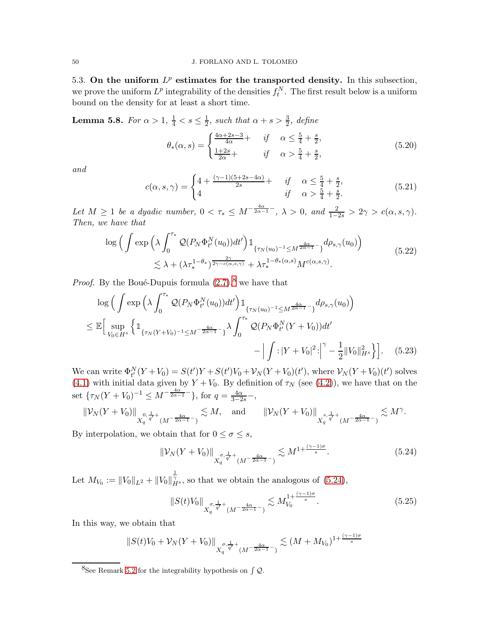<span id="page-49-0"></span>5.3. On the uniform  $L^p$  estimates for the transported density. In this subsection, we prove the uniform  $L^p$  integrability of the densities  $f_t^N$ . The first result below is a uniform bound on the density for at least a short time.

<span id="page-49-1"></span>**Lemma 5.8.** For  $\alpha > 1, \frac{1}{4} < s \leq \frac{1}{2}$  $\frac{1}{2}$ , such that  $\alpha + s > \frac{3}{2}$ , define

<span id="page-49-7"></span><span id="page-49-6"></span>
$$
\theta_{*}(\alpha, s) = \begin{cases} \frac{4\alpha + 2s - 3}{4\alpha} + & \text{if } \alpha \le \frac{5}{4} + \frac{s}{2}, \\ \frac{1+2s}{2\alpha} + & \text{if } \alpha > \frac{5}{4} + \frac{s}{2}, \end{cases}
$$
(5.20)

and

<span id="page-49-8"></span>
$$
c(\alpha, s, \gamma) = \begin{cases} 4 + \frac{(\gamma - 1)(5 + 2s - 4\alpha)}{2s} + & \text{if } \alpha \le \frac{5}{4} + \frac{s}{2}, \\ 4 & \text{if } \alpha > \frac{5}{4} + \frac{s}{2}. \end{cases}
$$
(5.21)

Let  $M \geq 1$  be a dyadic number,  $0 < \tau_* \leq M^{-\frac{4\alpha}{2\alpha-1}}$ ,  $\lambda > 0$ , and  $\frac{2}{1-2s} > 2\gamma > c(\alpha, s, \gamma)$ . Then, we have that

$$
\log \left( \int \exp \left( \lambda \int_0^{\tau_*} \mathcal{Q}(P_N \Phi_{t'}^N(u_0)) dt' \right) \mathbb{1}_{\{\tau_N(u_0)^{-1} \le M^{\frac{4\alpha}{2\alpha - 1} -} \}} d\rho_{s,\gamma}(u_0) \right) \tag{5.22}
$$
  

$$
\lesssim \lambda + (\lambda \tau_*^{1 - \theta_*})^{\frac{2\gamma}{2\gamma - c(\alpha, s, \gamma)}} + \lambda \tau_*^{1 - \theta_*(\alpha, s)} M^{c(\alpha, s, \gamma)}.
$$

*Proof.* By the Boué-Dupuis formula  $(2.7)$ ,<sup>[8](#page-49-2)</sup> we have that

$$
\log \left( \int \exp \left( \lambda \int_0^{\tau_*} \mathcal{Q}(P_N \Phi_{t'}^N(u_0)) dt' \right) \mathbb{1}_{\{\tau_N(u_0)^{-1} \le M^{\frac{4\alpha}{2\alpha - 1} - \}} d\rho_{s,\gamma}(u_0) \right) \n\le \mathbb{E} \Big[ \sup_{V_0 \in H^s} \left\{ \mathbb{1}_{\{\tau_N(Y + V_0)^{-1} \le M^{-\frac{4\alpha}{2\alpha - 1} - \}} \lambda} \int_0^{\tau_*} \mathcal{Q}(P_N \Phi_{t'}^N(Y + V_0)) dt' - \Big| \int : |Y + V_0|^2 : \Big|^\gamma - \frac{1}{2} ||V_0||_{H^s}^2 \Big] \Big]. \tag{5.23}
$$

We can write  $\Phi_{t'}^{N}(Y+V_0) = S(t')Y + S(t')V_0 + V_N(Y+V_0)(t')$ , where  $V_N(Y+V_0)(t')$  solves [\(4.1\)](#page-36-9) with initial data given by  $Y + V_0$ . By definition of  $\tau_N$  (see [\(4.2\)](#page-36-8)), we have that on the set  $\{\tau_N(Y+V_0)^{-1} \leq M^{-\frac{4\alpha}{2\alpha-1}}\}$ , for  $q = \frac{4\alpha}{3-2s}$ ,

$$
\|\mathcal{V}_N(Y+V_0)\|_{X^{0,\frac{1}{q'}+}_q(M^{-\frac{4\alpha}{2\alpha-1}-})}\lesssim M,\quad \text{and}\quad \quad \|\mathcal{V}_N(Y+V_0)\|_{X^{s,\frac{1}{q'}+}_q(M^{-\frac{4\alpha}{2\alpha-1}-})}\lesssim M^\gamma.
$$

By interpolation, we obtain that for  $0\leq\sigma\leq s,$ 

<span id="page-49-5"></span><span id="page-49-3"></span>
$$
\|\mathcal{V}_N(Y+V_0)\|_{X_q^{\sigma,\frac{1}{q'}+}(M^{-\frac{4\alpha}{2\alpha-1}-})} \lesssim M^{1+\frac{(\gamma-1)\sigma}{s}}.
$$
\n(5.24)

Let  $M_{V_0} := ||V_0||_{L^2} + ||V_0||_{H^s}^{\frac{1}{\gamma}}$ , so that we obtain the analogous of [\(5.24\)](#page-49-3),

<span id="page-49-4"></span>
$$
||S(t)V_0||_{X_q^{\sigma,\frac{1}{q'}+}(M^{-\frac{4\alpha}{2\alpha-1}-})} \lesssim M_{V_0}^{1+\frac{(\gamma-1)\sigma}{s}}.
$$
 (5.25)

In this way, we obtain that

$$
||S(t)V_0 + \mathcal{V}_N(Y + V_0)||_{X_q^{\sigma, \frac{1}{q'} +} (M^{-\frac{4\alpha}{2\alpha - 1} -})} \lesssim (M + M_{V_0})^{1 + \frac{(\gamma - 1)\sigma}{s}}
$$

<span id="page-49-2"></span><sup>&</sup>lt;sup>8</sup>See Remark [5.2](#page-40-1) for the integrability hypothesis on  $\int Q$ .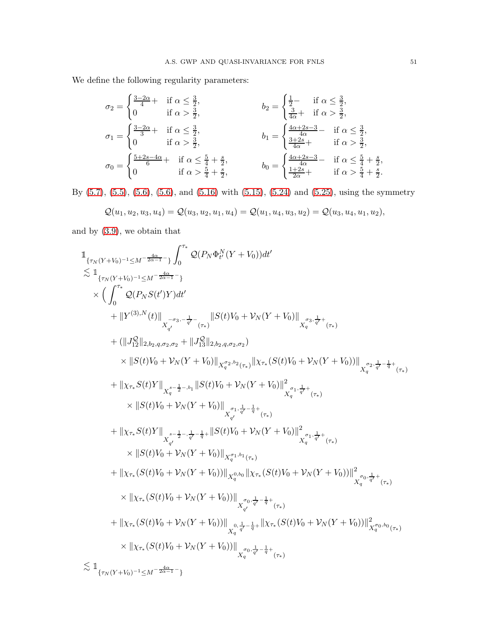We define the following regularity parameters:

$$
\sigma_2 = \begin{cases}\n\frac{3-2\alpha}{4} + \text{ if } \alpha \leq \frac{3}{2}, \\
0 & \text{if } \alpha > \frac{3}{2}, \\
0 & \text{if } \alpha \leq \frac{3}{2},\n\end{cases}
$$
\n
$$
\sigma_1 = \begin{cases}\n\frac{3-2\alpha}{3} + \text{ if } \alpha \leq \frac{3}{2}, \\
0 & \text{if } \alpha > \frac{3}{2}, \\
0 & \text{if } \alpha > \frac{3}{2},\n\end{cases}
$$
\n
$$
\sigma_0 = \begin{cases}\n\frac{5+2s-4\alpha}{6} + \text{ if } \alpha \leq \frac{5}{4} + \frac{5}{2}, \\
0 & \text{if } \alpha > \frac{5}{4} + \frac{5}{2},\n\end{cases}
$$
\n
$$
\sigma_0 = \begin{cases}\n\frac{5+2s-4\alpha}{6} + \text{ if } \alpha \leq \frac{5}{4} + \frac{5}{2}, \\
0 & \text{if } \alpha > \frac{5}{4} + \frac{5}{2},\n\end{cases}
$$
\n
$$
\sigma_0 = \begin{cases}\n\frac{4\alpha+2s-3}{4\alpha} - \text{ if } \alpha \leq \frac{5}{4} + \frac{5}{2}, \\
\frac{1+2s}{2\alpha} + \text{ if } \alpha > \frac{5}{4} + \frac{5}{2}.\n\end{cases}
$$

By [\(5.7\)](#page-43-2), [\(5.5\)](#page-43-1), [\(5.6\)](#page-44-0), [\(5.6\)](#page-44-0), and [\(5.16\)](#page-46-3) with [\(5.15\)](#page-46-2), [\(5.24\)](#page-49-3) and [\(5.25\)](#page-49-4), using the symmetry

$$
\mathcal{Q}(u_1, u_2, u_3, u_4) = \mathcal{Q}(u_3, u_2, u_1, u_4) = \mathcal{Q}(u_1, u_4, u_3, u_2) = \mathcal{Q}(u_3, u_4, u_1, u_2),
$$

and by [\(3.9\)](#page-17-3), we obtain that

$$
\begin{split} &1_{\{\tau_{N}(Y+V_{0})^{-1}\leq M^{-\frac{4\alpha}{2\alpha-1}-\}}\int_{0}^{\tau_{*}}\mathcal{Q}(P_{N}\Phi_{t'}^{N}(Y+V_{0}))dt' \\ &\lesssim 1_{\{\tau_{N}(Y+V_{0})^{-1}\leq M^{-\frac{4\alpha}{2\alpha-1}-\}}\\ &\times\Big(\int_{0}^{\tau_{*}}\mathcal{Q}(P_{N}S(t')Y)dt' \\ &+\|Y^{(3),N}(t)\|_{X_{q'}^{-\sigma_{3},-\frac{1}{q'}-}}_{q_{\sigma_{r}}}\|S(t)V_{0}+\mathcal{V}_{N}(Y+V_{0})\|_{X_{q}^{\sigma_{3},\frac{1}{q'}+}}_{q_{\sigma_{r}}}\| \\ &+(\|J_{12}^{\Omega}\|_{2,b_{2},q,\sigma_{2},\sigma_{2}}+\|J_{13}^{\Omega}\|_{2,b_{2},q,\sigma_{2},\sigma_{2}}) \\ &\times\|S(t)V_{0}+\mathcal{V}_{N}(Y+V_{0})\|_{X_{q}^{\sigma_{2},b_{2}}(\tau_{*})}\|\chi_{\tau_{*}}(S(t)V_{0}+\mathcal{V}_{N}(Y+V_{0}))\|_{X_{q}^{\sigma_{2},\frac{1}{q'}-\frac{1}{q}+}}\\ &+\|\chi_{\tau_{*}}S(t)Y\|_{X_{q}^{\bar{s}-\frac{1}{2}-,b_{1}}}\|S(t)V_{0}+\mathcal{V}_{N}(Y+V_{0})\|_{X_{q}^{\sigma_{1},\frac{1}{q'}+}}^{2}\\ &\times\|S(t)V_{0}+\mathcal{V}_{N}(Y+V_{0})\|_{X_{q'}^{\sigma_{1},\frac{1}{q'}-\frac{1}{q}+}}^{2}\\ &+\|\chi_{\tau_{*}}S(t)Y\|_{X_{q'}^{\bar{s}-\frac{1}{q'}-\frac{1}{q'}-\frac{1}{q}+}\|S(t)V_{0}+\mathcal{V}_{N}(Y+V_{0})\|_{X_{q}^{\sigma_{1},\frac{1}{q'}+\frac{1}{q'}-\frac{1}{q'}},\\ &\times\|S(t)V_{0}+\mathcal{V}_{N}(Y+V_{0})\|_{X_{q'}^{\sigma_{1},\frac{1}{q'}-\frac{1}{q}+}}^{2}\\ &\times\|S(t)V_{0}+\mathcal{V}_{N}(Y+V_{0})\|_{X_{q}^{\
$$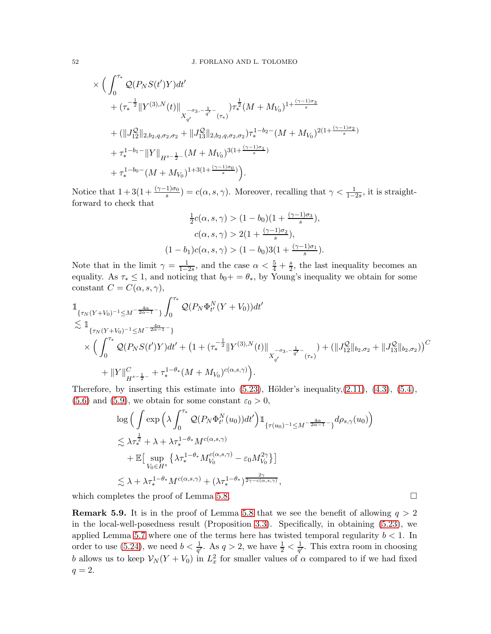$$
\times \Big( \int_0^{\tau_*} \mathcal{Q}(P_N S(t')Y) dt' \n+ (\tau_*^{-\frac{1}{2}} \|Y^{(3),N}(t)\|_{X_{q'}^{-\sigma_3,-\frac{1}{q'}-}(\tau_*)}) \tau_*^{\frac{1}{2}} (M+M_{V_0})^{1+\frac{(\gamma-1)\sigma_3}{s}} \n+ (\|J_{12}^{\mathcal{Q}}\|_{2,b_2,q,\sigma_2,\sigma_2} + \|J_{13}^{\mathcal{Q}}\|_{2,b_2,q,\sigma_2,\sigma_2}) \tau_*^{1-b_2-} (M+M_{V_0})^{2(1+\frac{(\gamma-1)\sigma_2}{s})} \n+ \tau_*^{1-b_1-} \|Y\|_{H^{s-\frac{1}{2}-}(M+M_{V_0})^{3(1+\frac{(\gamma-1)\sigma_1}{s})} \n+ \tau_*^{1-b_0-} (M+M_{V_0})^{1+3(1+\frac{(\gamma-1)\sigma_0}{s})}.
$$

Notice that  $1+3(1+\frac{(\gamma-1)\sigma_0}{s})=c(\alpha,s,\gamma)$ . Moreover, recalling that  $\gamma<\frac{1}{1-2s}$ , it is straightforward to check that

$$
\frac{1}{2}c(\alpha, s, \gamma) > (1 - b_0)(1 + \frac{(\gamma - 1)\sigma_3}{s}),
$$
  

$$
c(\alpha, s, \gamma) > 2(1 + \frac{(\gamma - 1)\sigma_2}{s}),
$$
  

$$
(1 - b_1)c(\alpha, s, \gamma) > (1 - b_0)3(1 + \frac{(\gamma - 1)\sigma_1}{s}).
$$

Note that in the limit  $\gamma = \frac{1}{1-\gamma}$  $\frac{1}{1-2s}$ , and the case  $\alpha < \frac{5}{4} + \frac{s}{2}$  $\frac{s}{2}$ , the last inequality becomes an equality. As  $\tau_* \leq 1$ , and noticing that  $b_0 += \theta_*$ , by Young's inequality we obtain for some constant  $C = C(\alpha, s, \gamma)$ ,

$$
\begin{split}\n&\mathbb{1}_{\{\tau_N(Y+V_0)^{-1}\leq M^{-\frac{4\alpha}{2\alpha-1}}\}} \int_0^{\tau_*} \mathcal{Q}(P_N \Phi_t^N(Y+V_0)) dt' \\
&\lesssim \mathbb{1}_{\{\tau_N(Y+V_0)^{-1}\leq M^{-\frac{4\alpha}{2\alpha-1}}\}} \\
&\times \left( \int_0^{\tau_*} \mathcal{Q}(P_N S(t')Y) dt' + \left( 1 + (\tau_*^{-\frac{1}{2}} \| Y^{(3),N}(t) \|_{X_{q'}^{-\sigma_3,-\frac{1}{q'}(-\tau_*)}} ) + (\|J_{12}^{\mathcal{Q}}\|_{b_2,\sigma_2} + \|J_{13}^{\mathcal{Q}}\|_{b_2,\sigma_2}) \right)^C \\
&\quad + \|Y\|_{H^{s-\frac{1}{2}-}}^C + \tau_*^{1-\theta_*}(M + M_{V_0})^{c(\alpha,s,\gamma)} \right).\n\end{split}
$$

Therefore, by inserting this estimate into  $(5.23)$ , Hölder's inequality, $(2.11)$ ,  $(4.3)$ ,  $(5.4)$ , [\(5.6\)](#page-43-3) and [\(5.9\)](#page-44-2), we obtain for some constant  $\varepsilon_0 > 0$ ,

$$
\log \left( \int \exp \left( \lambda \int_0^{\tau_*} \mathcal{Q}(P_N \Phi_{t'}^N(u_0)) dt' \right) \mathbb{1}_{\{\tau(u_0)^{-1} \leq M^{-\frac{4\alpha}{2\alpha - 1}} - \}} d\rho_{s,\gamma}(u_0) \right)
$$
  
\n
$$
\lesssim \lambda \tau_*^{\frac{1}{2}} + \lambda + \lambda \tau_*^{1 - \theta_*} M^{c(\alpha, s, \gamma)}_{V_0} + \mathbb{E} \big[ \sup_{V_0 \in H^s} \{ \lambda \tau_*^{1 - \theta_*} M_{V_0}^{c(\alpha, s, \gamma)} - \varepsilon_0 M_{V_0}^{2\gamma} \} \big]
$$
  
\n
$$
\lesssim \lambda + \lambda \tau_*^{1 - \theta_*} M^{c(\alpha, s, \gamma)} + (\lambda \tau_*^{1 - \theta_*})^{\frac{2\gamma}{2\gamma - c(\alpha, s, \gamma)}},
$$

which completes the proof of Lemma [5.8.](#page-49-1)  $\Box$ 

<span id="page-51-0"></span>**Remark 5.9.** It is in the proof of Lemma [5.8](#page-49-1) that we see the benefit of allowing  $q > 2$ in the local-well-posedness result (Proposition [3.3\)](#page-18-1). Specifically, in obtaining [\(5.23\)](#page-49-5), we applied Lemma [5.7](#page-46-0) where one of the terms here has twisted temporal regularity  $b < 1$ . In order to use [\(5.24\)](#page-49-3), we need  $b < \frac{1}{q'}$ . As  $q > 2$ , we have  $\frac{1}{2} < \frac{1}{q'}$  $\frac{1}{q'}$ . This extra room in choosing b allows us to keep  $\mathcal{V}_N(Y + V_0)$  in  $L_x^2$  for smaller values of  $\alpha$  compared to if we had fixed  $q=2$ .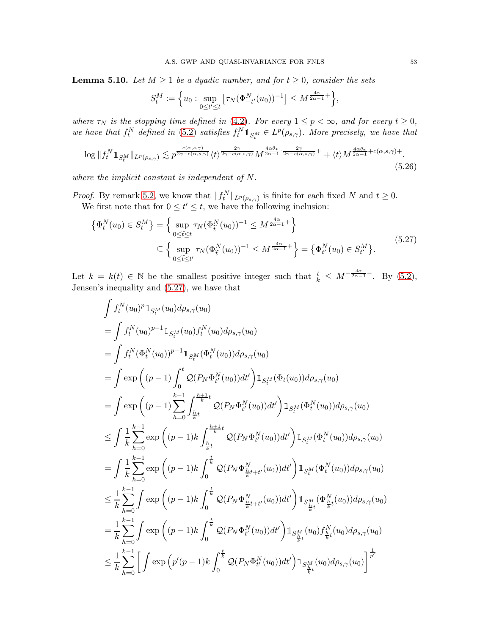<span id="page-52-0"></span>**Lemma 5.10.** Let  $M \geq 1$  be a dyadic number, and for  $t \geq 0$ , consider the sets

<span id="page-52-1"></span>
$$
S_t^M := \Big\{ u_0 : \sup_{0 \le t' \le t} \big[ \tau_N(\Phi_{-t'}^N(u_0))^{-1} \big] \le M^{\frac{4\alpha}{2\alpha - 1} +} \Big\},\,
$$

where  $\tau_N$  is the stopping time defined in [\(4.2\)](#page-36-8). For every  $1 \leq p < \infty$ , and for every  $t \geq 0$ , we have that  $f_t^N$  defined in [\(5.2\)](#page-39-2) satisfies  $f_t^N \mathbb{1}_{S_t^M} \in L^p(\rho_{s,\gamma})$ . More precisely, we have that

<span id="page-52-2"></span>
$$
\log \|f_t^N 1_{S_t^M}\|_{L^p(\rho_{s,\gamma})} \lesssim p^{\frac{c(\alpha,s,\gamma)}{2\gamma - c(\alpha,s,\gamma)}} \langle t \rangle^{\frac{2\gamma}{2\gamma - c(\alpha,s,\gamma)}} M^{\frac{4\alpha\theta_*}{2\alpha - 1} \cdot \frac{2\gamma}{2\gamma - c(\alpha,s,\gamma)}+} + \langle t \rangle M^{\frac{4\alpha\theta_*}{2\alpha - 1} + c(\alpha,s,\gamma)+}. \tag{5.26}
$$

where the implicit constant is independent of N.

*Proof.* By remark [5.2,](#page-40-1) we know that  $||f_t^N||_{L^p(\rho_{s,\gamma})}$  is finite for each fixed N and  $t \ge 0$ . We first note that for  $0 \le t' \le t$ , we have the following inclusion:

$$
\begin{aligned} \left\{ \Phi_t^N(u_0) \in S_t^M \right\} &= \left\{ \sup_{0 \le \tilde{t} \le t} \tau_N(\Phi_{\tilde{t}}^N(u_0))^{-1} \le M^{\frac{4\alpha}{2\alpha - 1} +} \right\} \\ &\subseteq \left\{ \sup_{0 \le \tilde{t} \le t'} \tau_N(\Phi_{\tilde{t}}^N(u_0))^{-1} \le M^{\frac{4\alpha}{2\alpha - 1} +} \right\} = \left\{ \Phi_{t'}^N(u_0) \in S_{t'}^M \right\}. \end{aligned} \tag{5.27}
$$

Let  $k = k(t) \in \mathbb{N}$  be the smallest positive integer such that  $\frac{t}{k} \leq M^{-\frac{4\alpha}{2\alpha - 1}}$ . By [\(5.2\)](#page-39-2), Jensen's inequality and [\(5.27\)](#page-52-1), we have that

$$
\int f_t^N(u_0)^p 1_{S_t^M}(u_0) d\rho_{s,\gamma}(u_0)
$$
\n=
$$
\int f_t^N(u_0)^{p-1} 1_{S_t^M}(u_0) f_t^N(u_0) d\rho_{s,\gamma}(u_0)
$$
\n=
$$
\int f_t^N(\Phi_t^N(u_0))^{p-1} 1_{S_t^M}(\Phi_t^N(u_0)) d\rho_{s,\gamma}(u_0)
$$
\n=
$$
\int \exp \left( (p-1) \int_0^t \mathcal{Q}(P_N \Phi_t^N(u_0)) dt' \right) 1_{S_t^M}(\Phi_t(u_0)) d\rho_{s,\gamma}(u_0)
$$
\n=
$$
\int \exp \left( (p-1) \sum_{h=0}^{k-1} \int_{\frac{h}{k}t}^{\frac{h+1}{k}t} \mathcal{Q}(P_N \Phi_t^N(u_0)) dt' \right) 1_{S_t^M}(\Phi_t^N(u_0)) d\rho_{s,\gamma}(u_0)
$$
\n
$$
\leq \int \frac{1}{k} \sum_{h=0}^{k-1} \exp \left( (p-1) k \int_{\frac{h}{k}t}^{\frac{h+1}{k}t} \mathcal{Q}(P_N \Phi_t^N(u_0)) dt' \right) 1_{S_t^M}(\Phi_t^N(u_0)) d\rho_{s,\gamma}(u_0)
$$
\n=
$$
\int \frac{1}{k} \sum_{h=0}^{k-1} \exp \left( (p-1) k \int_0^{\frac{t}{k}} \mathcal{Q}(P_N \Phi_{\frac{h}{k}t+t'}^N(u_0)) dt' \right) 1_{S_t^M}(\Phi_t^N(u_0)) d\rho_{s,\gamma}(u_0)
$$
\n
$$
\leq \frac{1}{k} \sum_{h=0}^{k-1} \int \exp \left( (p-1) k \int_0^{\frac{t}{k}} \mathcal{Q}(P_N \Phi_{\frac{h}{k}t+t'}^N(u_0)) dt' \right) 1_{S_{\frac{h}{k}t}^M}(\Phi_t^N(u_0)) d\rho_{s,\gamma}(u_0)
$$
\n=
$$
\frac{1}{k} \sum_{h=0}^{k-1} \int \exp \left( (p-1) k \int_0^{\frac{t}{k}} \mathcal{Q}(P_N \Phi_{t'}^N(u_0)) dt' \right
$$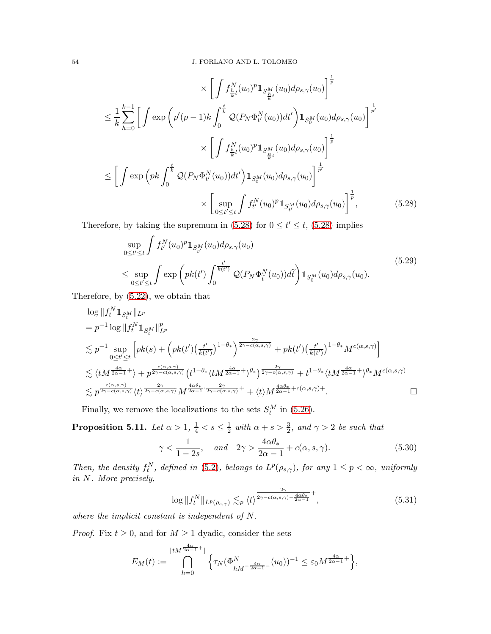$$
\times \left[ \int f_{\frac{h}{k}t}^{N}(u_{0})^{p} \mathbb{1}_{S_{\frac{h}{k}t}^{M}}(u_{0}) d\rho_{s,\gamma}(u_{0}) \right]^{\frac{1}{p}} \n\leq \frac{1}{k} \sum_{h=0}^{k-1} \left[ \int \exp \left( p'(p-1)k \int_{0}^{\frac{t}{k}} \mathcal{Q}(P_{N} \Phi_{t'}^{N}(u_{0})) dt' \right) \mathbb{1}_{S_{0}^{M}}(u_{0}) d\rho_{s,\gamma}(u_{0}) \right]^{\frac{1}{p'}} \n\times \left[ \int f_{\frac{h}{k}t}^{N}(u_{0})^{p} \mathbb{1}_{S_{\frac{h}{k}t}^{M}}(u_{0}) d\rho_{s,\gamma}(u_{0}) \right]^{\frac{1}{p}} \n\leq \left[ \int \exp \left( pk \int_{0}^{\frac{t}{k}} \mathcal{Q}(P_{N} \Phi_{t'}^{N}(u_{0})) dt' \right) \mathbb{1}_{S_{0}^{M}}(u_{0}) d\rho_{s,\gamma}(u_{0}) \right]^{\frac{1}{p'}} \n\times \left[ \sup_{0 \leq t' \leq t} \int f_{t'}^{N}(u_{0})^{p} \mathbb{1}_{S_{t'}^{M}}(u_{0}) d\rho_{s,\gamma}(u_{0}) \right]^{\frac{1}{p}}, \tag{5.28}
$$

Therefore, by taking the supremum in [\(5.28\)](#page-53-3) for  $0 \le t' \le t$ , (5.28) implies

<span id="page-53-3"></span><span id="page-53-2"></span>
$$
\sup_{0 \le t' \le t} \int f_{t'}^N(u_0)^p 1_{S_{t'}^M}(u_0) d\rho_{s,\gamma}(u_0)
$$
\n
$$
\le \sup_{0 \le t' \le t} \int \exp\left( p k(t') \int_0^{\frac{t'}{k(t')}} \mathcal{Q}(P_N \Phi_t^N(u_0)) d\tilde{t} \right) 1_{S_0^M}(u_0) d\rho_{s,\gamma}(u_0).
$$
\n(5.29)

Therefore, by [\(5.22\)](#page-49-6), we obtain that

$$
\log ||f_t^N \mathbb{1}_{S_t^M}||_{L^p}
$$
\n
$$
= p^{-1} \log ||f_t^N \mathbb{1}_{S_t^M}||_{L^p}^p
$$
\n
$$
\lesssim p^{-1} \sup_{0 \le t' \le t} \left[ pk(s) + \left( pk(t') \left( \frac{t'}{k(t')} \right)^{1-\theta_*} \right)^{\frac{2\gamma}{2\gamma - c(\alpha,s,\gamma)}} + pk(t') \left( \frac{t'}{k(t')} \right)^{1-\theta_*} M^{c(\alpha,s,\gamma)} \right]
$$
\n
$$
\lesssim \langle tM^{\frac{4\alpha}{2\alpha - 1}} + \rangle + p^{\frac{c(\alpha,s,\gamma)}{2\gamma - c(\alpha,s,\gamma)}} \left( t^{1-\theta_*} \langle tM^{\frac{4\alpha}{2\alpha - 1}} + \rangle^{\theta_*} \right)^{\frac{2\gamma}{2\gamma - c(\alpha,s,\gamma)}} + t^{1-\theta_*} \langle tM^{\frac{4\alpha}{2\alpha - 1}} + \rangle^{\theta_*} M^{c(\alpha,s,\gamma)}
$$
\n
$$
\lesssim p^{\frac{c(\alpha,s,\gamma)}{2\gamma - c(\alpha,s,\gamma)}} \langle t \rangle^{\frac{2\gamma}{2\gamma - c(\alpha,s,\gamma)}} M^{\frac{4\alpha\theta_*}{2\alpha - 1} \cdot \frac{2\gamma}{2\gamma - c(\alpha,s,\gamma)}} + \langle t \rangle M^{\frac{4\alpha\theta_*}{2\alpha - 1} + c(\alpha,s,\gamma)+}.
$$

Finally, we remove the localizations to the sets  $S_t^M$  in [\(5.26\)](#page-52-2).

<span id="page-53-1"></span>**Proposition 5.11.** Let  $\alpha > 1$ ,  $\frac{1}{4} < s \leq \frac{1}{2}$  with  $\alpha + s > \frac{3}{2}$ , and  $\gamma > 2$  be such that  $\gamma < \frac{1}{1}$  $\frac{1}{1-2s}$ , and  $2\gamma > \frac{4\alpha\theta_*}{2\alpha - 4s}$  $\frac{2\alpha}{2\alpha - 1} + c(\alpha, s, \gamma).$  (5.30)

Then, the density  $f_t^N$ , defined in [\(5.2\)](#page-39-2), belongs to  $L^p(\rho_{s,\gamma})$ , for any  $1 \leq p < \infty$ , uniformly in N. More precisely,

<span id="page-53-4"></span><span id="page-53-0"></span>
$$
\log ||f_t^N||_{L^p(\rho_{s,\gamma})} \lesssim_p \langle t \rangle^{\frac{2\gamma}{2\gamma - c(\alpha,s,\gamma) - \frac{4\alpha\theta_*}{2\alpha - 1}} +},\tag{5.31}
$$

where the implicit constant is independent of N.

*Proof.* Fix  $t \geq 0$ , and for  $M \geq 1$  dyadic, consider the sets

$$
E_M(t) := \bigcap_{h=0}^{\lfloor tM^{\frac{4\alpha}{2\alpha-1}+}\rfloor} \left\{\tau_N(\Phi^N_{hM^{-\frac{4\alpha}{2\alpha-1}-}}(u_0))^{-1} \leq \varepsilon_0 M^{\frac{4\alpha}{2\alpha-1}+}\right\},\,
$$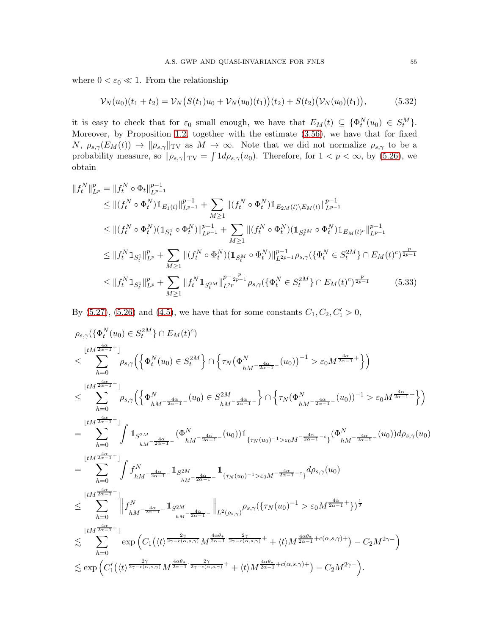where  $0 < \varepsilon_0 \ll 1$ . From the relationship

<span id="page-54-1"></span>
$$
\mathcal{V}_N(u_0)(t_1 + t_2) = \mathcal{V}_N(S(t_1)u_0 + \mathcal{V}_N(u_0)(t_1))(t_2) + S(t_2)(\mathcal{V}_N(u_0)(t_1)),\tag{5.32}
$$

it is easy to check that for  $\varepsilon_0$  small enough, we have that  $E_M(t) \subseteq {\Phi_t^N(u_0) \in S_t^M}$ . Moreover, by Proposition [1.2,](#page-7-2) together with the estimate [\(3.56\)](#page-36-4), we have that for fixed  $N, \ \rho_{s,\gamma}(E_M(t)) \to \|\rho_{s,\gamma}\|_{TV}$  as  $M \to \infty$ . Note that we did not normalize  $\rho_{s,\gamma}$  to be a probability measure, so  $\|\rho_{s,\gamma}\|_{TV} = \int 1 d\rho_{s,\gamma}(u_0)$ . Therefore, for  $1 < p < \infty$ , by [\(5.26\)](#page-52-2), we obtain

$$
||f_t^N||_{L^p}^p = ||f_t^N \circ \Phi_t||_{L^{p-1}}^{p-1}
$$
  
\n
$$
\leq ||(f_t^N \circ \Phi_t^N)1_{E_1(t)}||_{L^{p-1}}^{p-1} + \sum_{M \geq 1} ||(f_t^N \circ \Phi_t^N)1_{E_{2M}(t) \setminus E_M(t)}||_{L^{p-1}}^{p-1}
$$
  
\n
$$
\leq ||(f_t^N \circ \Phi_t^N)(1_{S_t^1} \circ \Phi_t^N)||_{L^{p-1}}^{p-1} + \sum_{M \geq 1} ||(f_t^N \circ \Phi_t^N)(1_{S_t^2M} \circ \Phi_t^N)1_{E_M(t)^c}||_{L^{p-1}}^{p-1}
$$
  
\n
$$
\leq ||f_t^N 1_{S_t^1}||_{L^p}^p + \sum_{M \geq 1} ||(f_t^N \circ \Phi_t^N)(1_{S_t^M} \circ \Phi_t^N)||_{L^{2p-1}}^{p-1} \rho_{s,\gamma}(\{\Phi_t^N \in S_t^{2M}\} \cap E_M(t)^c)^{\frac{p}{2p-1}}
$$
  
\n
$$
\leq ||f_t^N 1_{S_t^1}||_{L^p}^p + \sum_{M \geq 1} ||f_t^N 1_{S_t^{2M}}||_{L^{2p}}^{p-\frac{p}{2p-1}} \rho_{s,\gamma}(\{\Phi_t^N \in S_t^{2M}\} \cap E_M(t)^c)^{\frac{p}{2p-1}} \qquad (5.33)
$$

<span id="page-54-0"></span>By [\(5.27\)](#page-52-1), [\(5.26\)](#page-52-2) and [\(4.5\)](#page-37-3), we have that for some constants  $C_1, C_2, C_1' > 0$ ,

$$
\begin{split} & \rho_{s,\gamma}(\{\Phi_t^N(u_0)\in S_t^{2M}\}\cap E_M(t)^c)\\ &\leq \sum_{h=0}^{\lfloor tM\frac{4\alpha}{2\alpha-1}+ \rfloor}\rho_{s,\gamma}\Big(\Big\{\Phi_t^N(u_0)\in S_t^{2M}\Big\}\cap \Big\{\tau_N\big(\Phi_{hM^{-\frac{4\alpha}{2\alpha-1}-}}^N(u_0)\big)^{-1}>\varepsilon_0M^{\frac{4\alpha}{2\alpha-1}+}\Big\}\Big)\\ &\leq \sum_{h=0}^{\lfloor tM\frac{4\alpha}{2\alpha-1}+ \rfloor}\rho_{s,\gamma}\Big(\Big\{\Phi_{hM^{-\frac{4\alpha}{2\alpha-1}-}}^N(u_0)\in S_{hM^{-\frac{4\alpha}{2\alpha-1}-}}^{2M}\\ &\leq \sum_{h=0}^{\lfloor tM\frac{4\alpha}{2\alpha-1}+ \rfloor}\int \mathbbm{1}_{S^{2M}_{hM^{-\frac{4\alpha}{2\alpha-1}-}}}\big(\Phi_{hM^{-\frac{4\alpha}{2\alpha-1}-}}^N(u_0)\big)\mathbbm{1}_{\{\tau_N(u_0)^{-1}>\varepsilon_0M^{-\frac{4\alpha}{2\alpha-1}-\varepsilon}\}}\big(\Phi_{hM^{-\frac{4\alpha}{2\alpha-1}-}}^N(u_0)\big)d\rho_{s,\gamma}(u_0)\\ &=\sum_{h=0}^{\lfloor tM\frac{4\alpha}{2\alpha-1}+ \rfloor}\int f_{hM^{-\frac{4\alpha}{2\alpha-1}-}}^N\mathbbm{1}_{S^{2M}_{hM^{-\frac{4\alpha}{2\alpha-1}-}}}\mathbbm{1}_{\{\tau_N(u_0)^{-1}>\varepsilon_0M^{-\frac{4\alpha}{2\alpha-1}-\varepsilon}\}}d\rho_{s,\gamma}(u_0)\\ &\leq \sum_{h=0}^{\lfloor tM\frac{4\alpha}{2\alpha-1}+ \rfloor}\int f_{hM^{-\frac{4\alpha}{2\alpha-1}-}}^N\mathbbm{1}_{S^{2M}_{hM^{-\frac{4\alpha}{2\alpha-1}-}}}\mathbbm{1}_{\{\tau_N(u_0)^{-1}>\varepsilon_0M^{-\frac{4\alpha}{2\alpha-1}-\varepsilon}\}}d\rho_{s,\gamma}(u_0)\\ &\leq \sum_{h=0}^{\lfloor tM\frac{4\alpha}{2\alpha
$$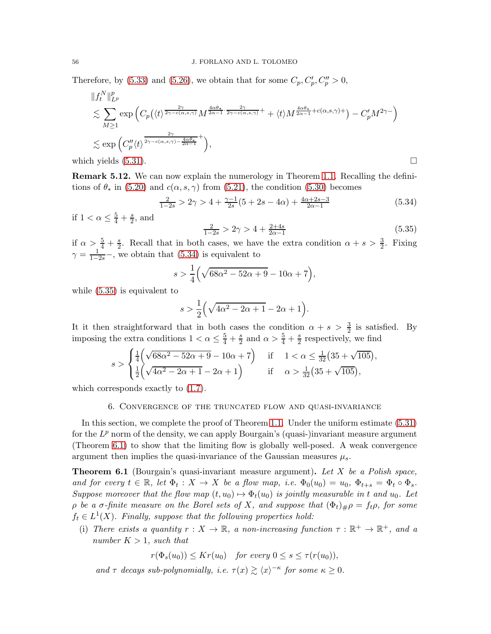Therefore, by [\(5.33\)](#page-54-0) and [\(5.26\)](#page-52-2), we obtain that for some  $C_p, C'_p, C''_p > 0$ ,

$$
\label{eq:bound:2} \begin{split} &\|f^N_t\|^p_{L^p}\\ &\lesssim \sum_{M\geq 1}\exp\Big(C_p\big(\langle t\rangle^{\frac{2\gamma}{2\gamma-c\langle\alpha,s,\gamma\rangle}}M^{\frac{4\alpha\theta_*}{2\alpha-1}\cdot\frac{2\gamma}{2\gamma-c\langle\alpha,s,\gamma\rangle}+}+\langle t\rangle M^{\frac{4\alpha\theta_*}{2\alpha-1}+c(\alpha,s,\gamma)+}\big)-C'_pM^{2\gamma-}\Big)\\ &\lesssim \exp\Big(C''_p\langle t\rangle^{\frac{2\gamma}{2\gamma-c\langle\alpha,s,\gamma\rangle-\frac{4\alpha\theta_*}{2\alpha-1}}+}\Big), \end{split}
$$

which yields  $(5.31)$ .

<span id="page-55-2"></span>Remark 5.12. We can now explain the numerology in Theorem [1.1.](#page-4-1) Recalling the definitions of  $\theta_*$  in [\(5.20\)](#page-49-7) and  $c(\alpha, s, \gamma)$  from [\(5.21\)](#page-49-8), the condition [\(5.30\)](#page-53-4) becomes

<span id="page-55-3"></span>
$$
\frac{2}{1-2s} > 2\gamma > 4 + \frac{\gamma - 1}{2s} (5 + 2s - 4\alpha) + \frac{4\alpha + 2s - 3}{2\alpha - 1}
$$
 (5.34)

if  $1 < \alpha \leq \frac{5}{4} + \frac{s}{2}$  $\frac{s}{2}$ , and

<span id="page-55-4"></span>
$$
\frac{2}{1-2s} > 2\gamma > 4 + \frac{2+4s}{2\alpha - 1}
$$
 (5.35)

if  $\alpha > \frac{5}{4} + \frac{s}{2}$ . Recall that in both cases, we have the extra condition  $\alpha + s > \frac{3}{2}$ . Fixing  $\gamma = \frac{1}{1-2s}$ , we obtain that [\(5.34\)](#page-55-3) is equivalent to

$$
s > \frac{1}{4} \left( \sqrt{68\alpha^2 - 52\alpha + 9} - 10\alpha + 7 \right),
$$

while [\(5.35\)](#page-55-4) is equivalent to

$$
s > \frac{1}{2} \left( \sqrt{4\alpha^2 - 2\alpha + 1} - 2\alpha + 1 \right).
$$

It it then straightforward that in both cases the condition  $\alpha + s > \frac{3}{2}$  is satisfied. By imposing the extra conditions  $1 < \alpha \leq \frac{5}{4} + \frac{s}{2}$  $\frac{s}{2}$  and  $\alpha > \frac{5}{4} + \frac{s}{2}$  $\frac{s}{2}$  respectively, we find

$$
s > \begin{cases} \frac{1}{4} \left( \sqrt{68\alpha^2 - 52\alpha + 9} - 10\alpha + 7 \right) & \text{if } 1 < \alpha \le \frac{1}{32} \left( 35 + \sqrt{105} \right), \\ \frac{1}{2} \left( \sqrt{4\alpha^2 - 2\alpha + 1} - 2\alpha + 1 \right) & \text{if } \alpha > \frac{1}{32} \left( 35 + \sqrt{105} \right), \end{cases}
$$

<span id="page-55-0"></span>which corresponds exactly to  $(1.7)$ .

### 6. Convergence of the truncated flow and quasi-invariance

In this section, we complete the proof of Theorem [1.1.](#page-4-1) Under the uniform estimate  $(5.31)$ for the  $L^p$  norm of the density, we can apply Bourgain's (quasi-)invariant measure argument (Theorem [6.1\)](#page-55-1) to show that the limiting flow is globally well-posed. A weak convergence argument then implies the quasi-invariance of the Gaussian measures  $\mu_s$ .

<span id="page-55-1"></span>**Theorem 6.1** (Bourgain's quasi-invariant measure argument). Let X be a Polish space, and for every  $t \in \mathbb{R}$ , let  $\Phi_t : X \to X$  be a flow map, i.e.  $\Phi_0(u_0) = u_0$ ,  $\Phi_{t+s} = \Phi_t \circ \Phi_s$ . Suppose moreover that the flow map  $(t, u_0) \mapsto \Phi_t(u_0)$  is jointly measurable in t and  $u_0$ . Let ρ be a σ-finite measure on the Borel sets of X, and suppose that  $(Φ<sub>t</sub>)<sub>#</sub>ρ = f<sub>t</sub>ρ$ , for some  $f_t \in L^1(X)$ . Finally, suppose that the following properties hold:

<span id="page-55-5"></span>(i) There exists a quantity  $r : X \to \mathbb{R}$ , a non-increasing function  $\tau : \mathbb{R}^+ \to \mathbb{R}^+$ , and a number  $K > 1$ , such that

$$
r(\Phi_s(u_0)) \le Kr(u_0) \quad \text{for every } 0 \le s \le \tau(r(u_0)),
$$

and  $\tau$  decays sub-polynomially, i.e.  $\tau(x) \gtrsim \langle x \rangle^{-\kappa}$  for some  $\kappa \geq 0$ .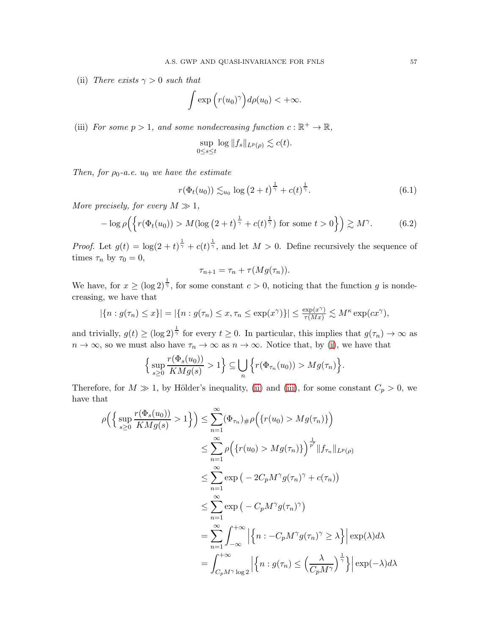<span id="page-56-0"></span>(ii) There exists  $\gamma > 0$  such that

$$
\int \exp\left(r(u_0)^\gamma\right) d\rho(u_0) < +\infty.
$$

<span id="page-56-1"></span>(iii) For some  $p > 1$ , and some nondecreasing function  $c : \mathbb{R}^+ \to \mathbb{R}$ ,

$$
\sup_{0\leq s\leq t}\log||f_s||_{L^p(\rho)}\lesssim c(t).
$$

Then, for  $\rho_0$ -a.e.  $u_0$  we have the estimate

<span id="page-56-3"></span>
$$
r(\Phi_t(u_0)) \lesssim_{u_0} \log (2+t)^{\frac{1}{\gamma}} + c(t)^{\frac{1}{\gamma}}.
$$
 (6.1)

1

More precisely, for every  $M \gg 1$ ,

<span id="page-56-2"></span>
$$
-\log \rho\Big(\Big\{r(\Phi_t(u_0)) > M(\log\left(2+t\right)^{\frac{1}{\gamma}} + c(t)^{\frac{1}{\gamma}}\Big) \text{ for some } t > 0\Big\}\Big) \gtrsim M^{\gamma}.\tag{6.2}
$$

*Proof.* Let  $g(t) = \log(2+t)^{\frac{1}{\gamma}} + c(t)^{\frac{1}{\gamma}}$ , and let  $M > 0$ . Define recursively the sequence of times  $\tau_n$  by  $\tau_0 = 0$ ,

$$
\tau_{n+1} = \tau_n + \tau(Mg(\tau_n)).
$$

We have, for  $x \geq (\log 2)^{\frac{1}{\gamma}}$ , for some constant  $c > 0$ , noticing that the function g is nondecreasing, we have that

$$
|\{n : g(\tau_n) \le x\}| = |\{n : g(\tau_n) \le x, \tau_n \le \exp(x^{\gamma})\}| \le \frac{\exp(x^{\gamma})}{\tau(Mx)} \lesssim M^{\kappa} \exp(cx^{\gamma}),
$$

and trivially,  $g(t) \geq (\log 2)^{\frac{1}{\gamma}}$  for every  $t \geq 0$ . In particular, this implies that  $g(\tau_n) \to \infty$  as  $n \to \infty$ , so we must also have  $\tau_n \to \infty$  as  $n \to \infty$ . Notice that, by [\(i\)](#page-55-5), we have that

$$
\Big\{\sup_{s\geq 0}\frac{r(\Phi_s(u_0))}{KMg(s)}>1\Big\}\subseteq \bigcup_n \Big\{r(\Phi_{\tau_n}(u_0))}>Mg(\tau_n)\Big\}.
$$

Therefore, for  $M \gg 1$ , by Hölder's inequality, [\(ii\)](#page-56-0) and [\(iii\)](#page-56-1), for some constant  $C_p > 0$ , we have that

$$
\rho\Big(\Big\{\sup_{s\geq 0}\frac{r(\Phi_s(u_0))}{KMg(s)} > 1\Big\}\Big) \leq \sum_{n=1}^{\infty} (\Phi_{\tau_n})_{\#}\rho\Big(\{r(u_0) > Mg(\tau_n)\}\Big)
$$
  

$$
\leq \sum_{n=1}^{\infty} \rho\Big(\{r(u_0) > Mg(\tau_n)\}\Big)^{\frac{1}{p'}} \|f_{\tau_n}\|_{L^p(\rho)}
$$
  

$$
\leq \sum_{n=1}^{\infty} \exp\big(-2C_pM^{\gamma}g(\tau_n)^{\gamma} + c(\tau_n)\big)
$$
  

$$
\leq \sum_{n=1}^{\infty} \exp\big(-C_pM^{\gamma}g(\tau_n)^{\gamma}\big)
$$
  

$$
= \sum_{n=1}^{\infty} \int_{-\infty}^{+\infty} \left|\left\{n:-C_pM^{\gamma}g(\tau_n)^{\gamma}\geq \lambda\right\}\right| \exp(\lambda)d\lambda
$$
  

$$
= \int_{C_pM^{\gamma}\log 2}^{+\infty} \left|\left\{n:g(\tau_n)\leq \left(\frac{\lambda}{C_pM^{\gamma}}\right)^{\frac{1}{\gamma}}\right\}\right| \exp(-\lambda)d\lambda
$$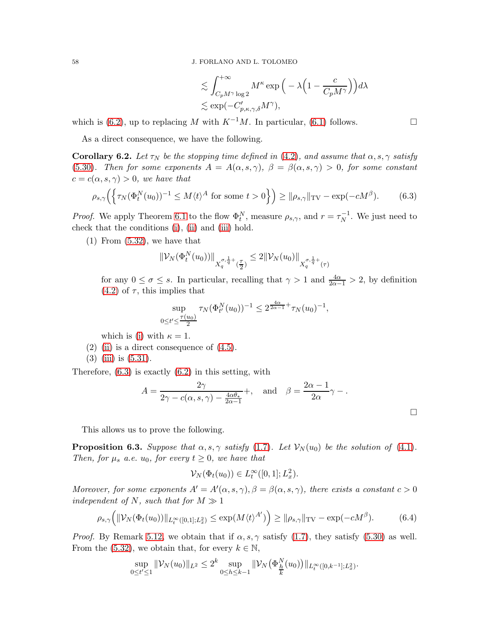$$
\lesssim \int_{C_p M^\gamma \log 2}^{+\infty} M^{\kappa} \exp \Big( -\lambda \Big( 1 - \frac{c}{C_p M^\gamma} \Big) \Big) d\lambda
$$
  
\$\lesssim \exp(-C'\_{p,\kappa,\gamma,\delta} M^\gamma),\$

which is [\(6.2\)](#page-56-2), up to replacing M with  $K^{-1}M$ . In particular, [\(6.1\)](#page-56-3) follows.

As a direct consequence, we have the following.

**Corollary 6.2.** Let  $\tau_N$  be the stopping time defined in [\(4.2\)](#page-36-8), and assume that  $\alpha, s, \gamma$  satisfy [\(5.30\)](#page-53-4). Then for some exponents  $A = A(\alpha, s, \gamma)$ ,  $\beta = \beta(\alpha, s, \gamma) > 0$ , for some constant  $c = c(\alpha, s, \gamma) > 0$ , we have that

<span id="page-57-0"></span>
$$
\rho_{s,\gamma}\Big(\Big\{\tau_N(\Phi_t^N(u_0))^{-1} \le M\langle t\rangle^A \text{ for some } t > 0\Big\}\Big) \ge \|\rho_{s,\gamma}\|_{\text{TV}} - \exp(-cM^\beta). \tag{6.3}
$$

*Proof.* We apply Theorem [6.1](#page-55-1) to the flow  $\Phi_t^N$ , measure  $\rho_{s,\gamma}$ , and  $r = \tau_N^{-1}$  $\overline{N}^{1}$ . We just need to check that the conditions [\(i\)](#page-55-5), [\(ii\)](#page-56-0) and [\(iii\)](#page-56-1) hold.

 $(1)$  From  $(5.32)$ , we have that

$$
\|\mathcal{V}_N(\Phi_t^N(u_0))\|_{X_q^{\sigma,\frac{1}{q}+}(\frac{\tau}{2})} \le 2\|\mathcal{V}_N(u_0)\|_{X_q^{\sigma,\frac{1}{q}+}(\tau)}
$$

for any  $0 \le \sigma \le s$ . In particular, recalling that  $\gamma > 1$  and  $\frac{4\alpha}{2\alpha-1} > 2$ , by definition  $(4.2)$  of  $\tau$ , this implies that

$$
\sup_{0 \le t' \le \frac{\tau(u_0)}{2}} \tau_N(\Phi_{t'}^N(u_0))^{-1} \le 2^{\frac{4\alpha}{2\alpha - 1} +} \tau_N(u_0)^{-1},
$$

which is [\(i\)](#page-55-5) with  $\kappa = 1$ .

- (2) [\(ii\)](#page-56-0) is a direct consequence of  $(4.5)$ .
- (3) [\(iii\)](#page-56-1) is [\(5.31\)](#page-53-0).

Therefore,  $(6.3)$  is exactly  $(6.2)$  in this setting, with

$$
A = \frac{2\gamma}{2\gamma - c(\alpha, s, \gamma) - \frac{4\alpha\theta_*}{2\alpha - 1}} +, \text{ and } \beta = \frac{2\alpha - 1}{2\alpha}\gamma - .
$$

This allows us to prove the following.

**Proposition 6.3.** Suppose that  $\alpha, s, \gamma$  satisfy [\(1.7\)](#page-4-2). Let  $\mathcal{V}_N(u_0)$  be the solution of [\(4.1\)](#page-36-9). Then, for  $\mu_s$  a.e.  $u_0$ , for every  $t \geq 0$ , we have that

$$
\mathcal{V}_N(\Phi_t(u_0)) \in L_t^{\infty}([0,1];L_x^2).
$$

Moreover, for some exponents  $A' = A'(\alpha, s, \gamma), \beta = \beta(\alpha, s, \gamma)$ , there exists a constant  $c > 0$ independent of N, such that for  $M \gg 1$ 

<span id="page-57-1"></span>
$$
\rho_{s,\gamma}\Big(\|\mathcal{V}_N(\Phi_t(u_0))\|_{L_t^\infty([0,1];L_x^2)} \leq \exp(M\langle t\rangle^{A'})\Big) \geq \|\rho_{s,\gamma}\|_{\text{TV}} - \exp(-cM^\beta). \tag{6.4}
$$

*Proof.* By Remark [5.12,](#page-55-2) we obtain that if  $\alpha, s, \gamma$  satisfy [\(1.7\)](#page-4-2), they satisfy [\(5.30\)](#page-53-4) as well. From the [\(5.32\)](#page-54-1), we obtain that, for every  $k \in \mathbb{N}$ ,

$$
\sup_{0 \le t' \le 1} \|\mathcal{V}_N(u_0)\|_{L^2} \le 2^k \sup_{0 \le h \le k-1} \|\mathcal{V}_N(\Phi_h^N(u_0))\|_{L_t^\infty([0,k^{-1}];L_x^2)}.
$$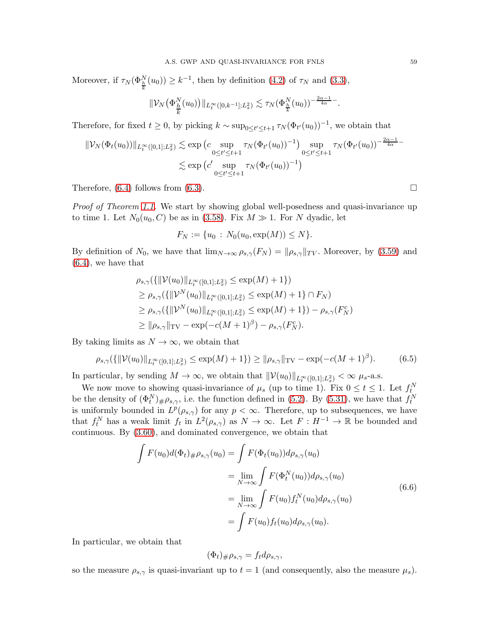Moreover, if  $\tau_N(\Phi_{\frac{h}{k}}^N(u_0)) \geq k^{-1}$ , then by definition [\(4.2\)](#page-36-8) of  $\tau_N$  and [\(3.3\)](#page-16-6),

$$
\|\mathcal{V}_N(\Phi_{\frac{h}{k}}^N(u_0))\|_{L_t^{\infty}([0,k^{-1}];L_x^2)} \lesssim \tau_N(\Phi_{\frac{h}{k}}^N(u_0))^{-\frac{2\alpha-1}{4\alpha}}.
$$

Therefore, for fixed  $t \geq 0$ , by picking  $k \sim \sup_{0 \leq t' \leq t+1} \tau_N(\Phi_{t'}(u_0))^{-1}$ , we obtain that

$$
\|\mathcal{V}_N(\Phi_t(u_0))\|_{L_t^{\infty}([0,1];L_x^2)} \lesssim \exp\left(c \sup_{0\leq t' \leq t+1} \tau_N(\Phi_{t'}(u_0))^{-1}\right) \sup_{0\leq t' \leq t+1} \tau_N(\Phi_{t'}(u_0))^{-\frac{2\alpha-1}{4\alpha}} - \sum_{0\leq t' \leq t+1} \exp\left(c' \sup_{0\leq t' \leq t+1} \tau_N(\Phi_{t'}(u_0))^{-1}\right)
$$

Therefore,  $(6.4)$  follows from  $(6.3)$ .

Proof of Theorem [1.1.](#page-4-1) We start by showing global well-posedness and quasi-invariance up to time 1. Let  $N_0(u_0, C)$  be as in [\(3.58\)](#page-36-10). Fix  $M \gg 1$ . For N dyadic, let

$$
F_N := \{u_0 : N_0(u_0, \exp(M)) \le N\}.
$$

By definition of  $N_0$ , we have that  $\lim_{N\to\infty}\rho_{s,\gamma}(F_N) = ||\rho_{s,\gamma}||_{TV}$ . Moreover, by [\(3.59\)](#page-36-2) and [\(6.4\)](#page-57-1), we have that

$$
\rho_{s,\gamma}(\{\|\mathcal{V}(u_0)\|_{L_t^{\infty}([0,1];L_x^2)} \le \exp(M) + 1\})
$$
  
\n
$$
\ge \rho_{s,\gamma}(\{\|\mathcal{V}^N(u_0)\|_{L_t^{\infty}([0,1];L_x^2)} \le \exp(M) + 1\} \cap F_N)
$$
  
\n
$$
\ge \rho_{s,\gamma}(\{\|\mathcal{V}^N(u_0)\|_{L_t^{\infty}([0,1];L_x^2)} \le \exp(M) + 1\}) - \rho_{s,\gamma}(F_N^c)
$$
  
\n
$$
\ge \|\rho_{s,\gamma}\|_{\text{TV}} - \exp(-c(M+1)^\beta) - \rho_{s,\gamma}(F_N^c).
$$

By taking limits as  $N \to \infty$ , we obtain that

$$
\rho_{s,\gamma}(\{\|\mathcal{V}(u_0)\|_{L_t^{\infty}([0,1];L_x^2)} \le \exp(M)+1\}) \ge \|\rho_{s,\gamma}\|_{\text{TV}} - \exp(-c(M+1)^{\beta}).\tag{6.5}
$$

In particular, by sending  $M \to \infty$ , we obtain that  $\|\mathcal{V}(u_0)\|_{L_t^{\infty}([0,1];L_x^2)} < \infty$   $\mu_s$ -a.s.

We now move to showing quasi-invariance of  $\mu_s$  (up to time 1). Fix  $0 \le t \le 1$ . Let  $f_{t_s}^N$ be the density of  $(\Phi_t^N)_{\#}\rho_{s,\gamma}$ , i.e. the function defined in [\(5.2\)](#page-39-2). By [\(5.31\)](#page-53-0), we have that  $f_t^N$ is uniformly bounded in  $L^p(\rho_{s,\gamma})$  for any  $p < \infty$ . Therefore, up to subsequences, we have that  $f_t^N$  has a weak limit  $f_t$  in  $L^2(\rho_{s,\gamma})$  as  $N \to \infty$ . Let  $F : H^{-1} \to \mathbb{R}$  be bounded and continuous. By [\(3.60\)](#page-36-3), and dominated convergence, we obtain that

<span id="page-58-0"></span>
$$
\int F(u_0)d(\Phi_t)_{\#}\rho_{s,\gamma}(u_0) = \int F(\Phi_t(u_0))d\rho_{s,\gamma}(u_0)
$$
  
\n
$$
= \lim_{N \to \infty} \int F(\Phi_t^N(u_0))d\rho_{s,\gamma}(u_0)
$$
  
\n
$$
= \lim_{N \to \infty} \int F(u_0)f_t^N(u_0)d\rho_{s,\gamma}(u_0)
$$
  
\n
$$
= \int F(u_0)f_t(u_0)d\rho_{s,\gamma}(u_0).
$$
\n(6.6)

In particular, we obtain that

$$
(\Phi_t)_\#\rho_{s,\gamma} = f_t d\rho_{s,\gamma},
$$

so the measure  $\rho_{s,\gamma}$  is quasi-invariant up to  $t = 1$  (and consequently, also the measure  $\mu_s$ ).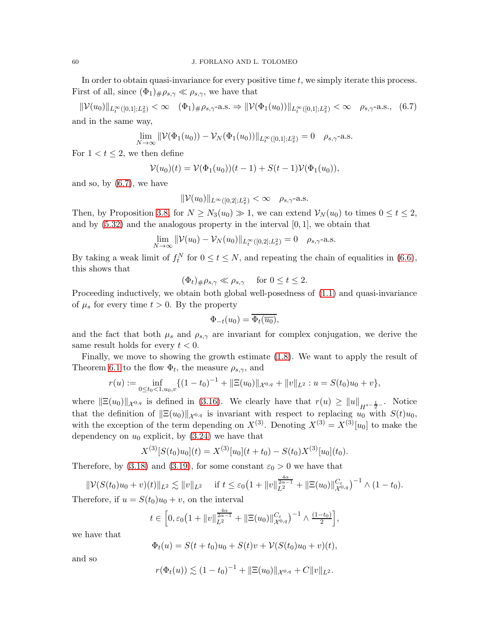In order to obtain quasi-invariance for every positive time  $t$ , we simply iterate this process. First of all, since  $(\Phi_1)_{\#}\rho_{s,\gamma} \ll \rho_{s,\gamma}$ , we have that

 $\|\mathcal{V}(u_0)\|_{L_t^{\infty}([0,1];L^2_x)} < \infty \quad (\Phi_1)_{\#}\rho_{s,\gamma}$ -a.s.  $\Rightarrow \|\mathcal{V}(\Phi_1(u_0))\|_{L_t^{\infty}([0,1];L^2_x)} < \infty \quad \rho_{s,\gamma}$ -a.s., (6.7) and in the same way,

$$
\lim_{N \to \infty} \|\mathcal{V}(\Phi_1(u_0)) - \mathcal{V}_N(\Phi_1(u_0))\|_{L_t^{\infty}([0,1];L_x^2)} = 0 \quad \rho_{s,\gamma} \text{-a.s.}
$$

For  $1 < t \leq 2$ , we then define

$$
\mathcal{V}(u_0)(t) = \mathcal{V}(\Phi_1(u_0))(t-1) + S(t-1)\mathcal{V}(\Phi_1(u_0)),
$$

and so, by [\(6.7\)](#page-59-0), we have

<span id="page-59-0"></span>
$$
\|\mathcal{V}(u_0)\|_{L^\infty([0,2];L^2_x)} < \infty \quad \rho_{s,\gamma}\text{-a.s.}
$$

Then, by Proposition [3.8,](#page-35-1) for  $N \geq N_3(u_0) \gg 1$ , we can extend  $\mathcal{V}_N(u_0)$  to times  $0 \leq t \leq 2$ , and by  $(5.32)$  and the analogous property in the interval  $[0, 1]$ , we obtain that

$$
\lim_{N \to \infty} \|\mathcal{V}(u_0) - \mathcal{V}_N(u_0)\|_{L_t^{\infty}([0,2];L_x^2)} = 0 \quad \rho_{s,\gamma} \text{-a.s.}
$$

By taking a weak limit of  $f_t^N$  for  $0 \le t \le N$ , and repeating the chain of equalities in [\(6.6\)](#page-58-0), this shows that

$$
(\Phi_t)_{\#}\rho_{s,\gamma} \ll \rho_{s,\gamma} \quad \text{ for } 0 \le t \le 2.
$$

Proceeding inductively, we obtain both global well-posedness of [\(1.1\)](#page-1-3) and quasi-invariance of  $\mu_s$  for every time  $t > 0$ . By the property

$$
\Phi_{-t}(u_0) = \Phi_t(\overline{u_0}),
$$

and the fact that both  $\mu_s$  and  $\rho_{s,\gamma}$  are invariant for complex conjugation, we derive the same result holds for every  $t < 0$ .

Finally, we move to showing the growth estimate [\(1.8\)](#page-4-7). We want to apply the result of Theorem [6.1](#page-55-1) to the flow  $\Phi_t$ , the measure  $\rho_{s,\gamma}$ , and

$$
r(u) := \inf_{0 \le t_0 < 1, u_0, v} \{ (1 - t_0)^{-1} + ||\Xi(u_0)||_{\mathcal{X}^{0,q}} + ||v||_{L^2} : u = S(t_0)u_0 + v \},\
$$

where  $\|\Xi(u_0)\|_{\mathcal{X}^{0,q}}$  is defined in [\(3.16\)](#page-19-3). We clearly have that  $r(u) \ge ||u||_{H^{s-\frac{1}{2}-}}$ . Notice that the definition of  $\Vert \Xi(u_0)\Vert_{\mathcal{X}^{0,q}}$  is invariant with respect to replacing  $u_0$  with  $S(t)u_0$ , with the exception of the term depending on  $X^{(3)}$ . Denoting  $X^{(3)} = X^{(3)}[u_0]$  to make the dependency on  $u_0$  explicit, by  $(3.24)$  we have that

$$
X^{(3)}[S(t_0)u_0](t) = X^{(3)}[u_0](t+t_0) - S(t_0)X^{(3)}[u_0](t_0).
$$

Therefore, by [\(3.18\)](#page-19-4) and [\(3.19\)](#page-19-0), for some constant  $\varepsilon_0 > 0$  we have that

$$
\|\mathcal{V}(S(t_0)u_0 + v)(t)\|_{L^2} \lesssim \|v\|_{L^2} \quad \text{if } t \leq \varepsilon_0 \left(1 + \|v\|_{L^2}^{\frac{4\alpha}{2\alpha - 1}} + \|\Xi(u_0)\|_{\mathcal{X}^{0,q}}^{C_{\varepsilon}}\right)^{-1} \wedge (1 - t_0).
$$

Therefore, if  $u = S(t_0)u_0 + v$ , on the interval

$$
t \in \left[0, \varepsilon_0 \left(1 + \|v\|_{L^2}^{\frac{4\alpha}{2\alpha - 1}} + \|\Xi(u_0)\|_{\mathcal{X}^{0,q}}^{C_{\varepsilon}}\right)^{-1} \wedge \frac{(1 - t_0)}{2}\right],
$$

we have that

$$
\Phi_t(u) = S(t+t_0)u_0 + S(t)v + \mathcal{V}(S(t_0)u_0 + v)(t),
$$

and so

$$
r(\Phi_t(u)) \lesssim (1-t_0)^{-1} + ||\Xi(u_0)||_{\mathcal{X}^{0,q}} + C||v||_{L^2}.
$$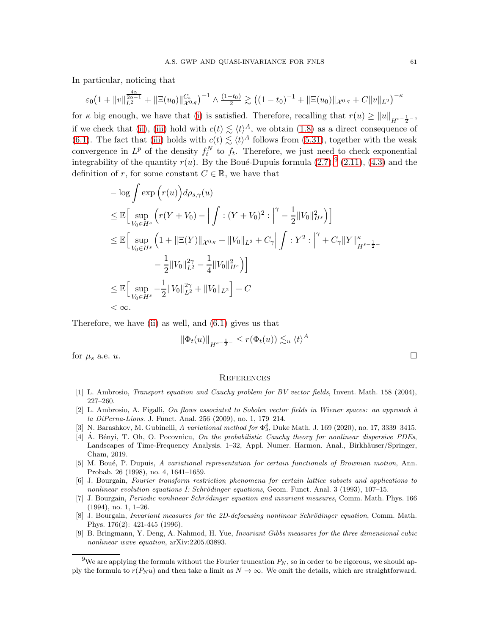In particular, noticing that

$$
\varepsilon_0 \left(1 + \|v\|_{L^2}^{\frac{4\alpha}{2\alpha - 1}} + \|\Xi(u_0)\|_{\mathcal{X}^{0,q}}^{C_{\varepsilon}}\right)^{-1} \wedge \frac{(1 - t_0)}{2} \gtrsim \left((1 - t_0)^{-1} + \|\Xi(u_0)\|_{\mathcal{X}^{0,q}} + C\|v\|_{L^2}\right)^{-\kappa}
$$

for  $\kappa$  big enough, we have that [\(i\)](#page-55-5) is satisfied. Therefore, recalling that  $r(u) \ge ||u||_{H^{s-\frac{1}{2}-}}$ , if we check that [\(ii\)](#page-56-0), [\(iii\)](#page-56-1) hold with  $c(t) \lesssim \langle t \rangle^A$ , we obtain [\(1.8\)](#page-4-7) as a direct consequence of [\(6.1\)](#page-56-3). The fact that [\(iii\)](#page-56-1) holds with  $c(t) \lesssim \langle t \rangle^A$  follows from [\(5.31\)](#page-53-0), together with the weak convergence in  $L^p$  of the density  $f_t^N$  to  $f_t$ . Therefore, we just need to check exponential integrability of the quantity  $r(u)$ . By the Boué-Dupuis formula  $(2.7),\frac{9}{9}(2.11), (4.3)$  $(2.7),\frac{9}{9}(2.11), (4.3)$  $(2.7),\frac{9}{9}(2.11), (4.3)$  $(2.7),\frac{9}{9}(2.11), (4.3)$  $(2.7),\frac{9}{9}(2.11), (4.3)$  $(2.7),\frac{9}{9}(2.11), (4.3)$  and the definition of r, for some constant  $C \in \mathbb{R}$ , we have that

$$
- \log \int \exp \left( r(u) \right) d\rho_{s,\gamma}(u)
$$
  
\n
$$
\leq \mathbb{E} \Big[ \sup_{V_0 \in H^s} \left( r(Y + V_0) - \left| \int \left| \left| (Y + V_0)^2 \right| \right|^{\gamma} - \frac{1}{2} ||V_0||_{H^s}^2 \right) \right]
$$
  
\n
$$
\leq \mathbb{E} \Big[ \sup_{V_0 \in H^s} \left( 1 + ||\Xi(Y)||_{\mathcal{X}^{0,q}} + ||V_0||_{L^2} + C_{\gamma} \Big| \int \left| \left| Y^2 \right| \right|^{\gamma} + C_{\gamma} ||Y||_{H^{s-\frac{1}{2}-\gamma}}^{\kappa}
$$
  
\n
$$
- \frac{1}{2} ||V_0||_{L^2}^{2\gamma} - \frac{1}{4} ||V_0||_{H^s}^2 \Big] \Big]
$$
  
\n
$$
\leq \mathbb{E} \Big[ \sup_{V_0 \in H^s} -\frac{1}{2} ||V_0||_{L^2}^{2\gamma} + ||V_0||_{L^2} \Big] + C
$$
  
\n
$$
< \infty.
$$

Therefore, we have [\(ii\)](#page-56-0) as well, and [\(6.1\)](#page-56-3) gives us that

$$
\|\Phi_t(u)\|_{H^{s-\frac{1}{2}-}} \le r(\Phi_t(u)) \lesssim_u \langle t \rangle^A
$$

for  $\mu_s$  a.e.  $u$ .

### <span id="page-60-0"></span>**REFERENCES**

- <span id="page-60-5"></span>[1] L. Ambrosio, *Transport equation and Cauchy problem for BV vector fields*, Invent. Math. 158 (2004), 227–260.
- <span id="page-60-6"></span>[2] L. Ambrosio, A. Figalli, On flows associated to Sobolev vector fields in Wiener spaces: an approach à la DiPerna-Lions. J. Funct. Anal. 256 (2009), no. 1, 179–214.
- <span id="page-60-7"></span>[3] N. Barashkov, M. Gubinelli, A variational method for  $\Phi_3^4$ , Duke Math. J. 169 (2020), no. 17, 3339-3415.
- [4]  $\AA$ . Bényi, T. Oh, O. Pocovnicu, On the probabilistic Cauchy theory for nonlinear dispersive PDEs, Landscapes of Time-Frequency Analysis. 1–32, Appl. Numer. Harmon. Anal., Birkhäuser/Springer, Cham, 2019.
- <span id="page-60-8"></span>[5] M. Boué, P. Dupuis, A variational representation for certain functionals of Brownian motion, Ann. Probab. 26 (1998), no. 4, 1641–1659.
- <span id="page-60-2"></span>[6] J. Bourgain, Fourier transform restriction phenomena for certain lattice subsets and applications to nonlinear evolution equations I: Schrödinger equations, Geom. Funct. Anal. 3 (1993), 107–15.
- <span id="page-60-1"></span>[7] J. Bourgain, Periodic nonlinear Schrödinger equation and invariant measures, Comm. Math. Phys. 166 (1994), no. 1, 1–26.
- <span id="page-60-3"></span>[8] J. Bourgain, *Invariant measures for the 2D-defocusing nonlinear Schrödinger equation*, Comm. Math. Phys. 176(2): 421-445 (1996).
- <span id="page-60-4"></span>[9] B. Bringmann, Y. Deng, A. Nahmod, H. Yue, Invariant Gibbs measures for the three dimensional cubic nonlinear wave equation, arXiv:2205.03893.

<span id="page-60-9"></span><sup>&</sup>lt;sup>9</sup>We are applying the formula without the Fourier truncation  $P_N$ , so in order to be rigorous, we should apply the formula to  $r(P_N u)$  and then take a limit as  $N \to \infty$ . We omit the details, which are straightforward.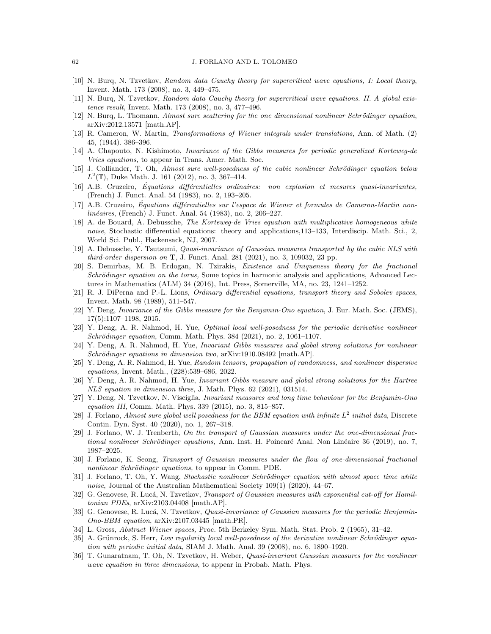### <span id="page-61-17"></span>62 J. FORLANO AND L. TOLOMEO

- <span id="page-61-18"></span>[10] N. Burq, N. Tzvetkov, Random data Cauchy theory for supercritical wave equations, I: Local theory, Invent. Math. 173 (2008), no. 3, 449–475.
- <span id="page-61-16"></span>[11] N. Burq, N. Tzvetkov, Random data Cauchy theory for supercritical wave equations. II. A global existence result, Invent. Math. 173 (2008), no. 3, 477–496.
- <span id="page-61-6"></span>[12] N. Burq, L. Thomann, Almost sure scattering for the one dimensional nonlinear Schrödinger equation, arXiv:2012.13571 [math.AP].
- [13] R. Cameron, W. Martin, Transformations of Wiener integrals under translations, Ann. of Math. (2) 45, (1944). 386–396.
- <span id="page-61-3"></span>[14] A. Chapouto, N. Kishimoto, Invariance of the Gibbs measures for periodic generalized Korteweg-de Vries equations, to appear in Trans. Amer. Math. Soc.
- <span id="page-61-20"></span>[15] J. Colliander, T. Oh, Almost sure well-posedness of the cubic nonlinear Schrödinger equation below  $L^2(\mathbb{T})$ , Duke Math. J. 161 (2012), no. 3, 367-414.
- <span id="page-61-7"></span> $[16]$  A.B. Cruzeiro, Équations différentielles ordinaires: non explosion et mesures quasi-invariantes, (French) J. Funct. Anal. 54 (1983), no. 2, 193–205.
- <span id="page-61-8"></span>[17] A.B. Cruzeiro, Équations différentielles sur l'espace de Wiener et formules de Cameron-Martin nonlinéaires, (French) J. Funct. Anal. 54 (1983), no. 2, 206–227.
- <span id="page-61-26"></span>[18] A. de Bouard, A. Debussche, The Korteweg-de Vries equation with multiplicative homogeneous white noise, Stochastic differential equations: theory and applications,113–133, Interdiscip. Math. Sci., 2, World Sci. Publ., Hackensack, NJ, 2007.
- <span id="page-61-13"></span>[19] A. Debussche, Y. Tsutsumi, Quasi-invariance of Gaussian measures transported by the cubic NLS with third-order dispersion on  $\mathbf{T}$ , J. Funct. Anal. 281 (2021), no. 3, 109032, 23 pp.
- <span id="page-61-22"></span>[20] S. Demirbas, M. B. Erdogan, N. Tzirakis, Existence and Uniqueness theory for the fractional Schrödinger equation on the torus, Some topics in harmonic analysis and applications, Advanced Lectures in Mathematics (ALM) 34 (2016), Int. Press, Somerville, MA, no. 23, 1241–1252.
- <span id="page-61-15"></span>[21] R. J. DiPerna and P.-L. Lions, *Ordinary differential equations, transport theory and Sobolev spaces*, Invent. Math. 98 (1989), 511–547.
- <span id="page-61-0"></span>[22] Y. Deng, Invariance of the Gibbs measure for the Benjamin-Ono equation, J. Eur. Math. Soc. (JEMS), 17(5):1107–1198, 2015.
- <span id="page-61-25"></span>[23] Y. Deng, A. R. Nahmod, H. Yue, Optimal local well-posedness for the periodic derivative nonlinear  $Schrödinger equation$ , Comm. Math. Phys. 384 (2021), no. 2, 1061-1107.
- <span id="page-61-2"></span>[24] Y. Deng, A. R. Nahmod, H. Yue, Invariant Gibbs measures and global strong solutions for nonlinear Schrödinger equations in dimension two,  $\ar{x}$ iv:1910.08492 [math.AP].
- <span id="page-61-21"></span>[25] Y. Deng, A. R. Nahmod, H. Yue, Random tensors, propagation of randomness, and nonlinear dispersive equations, Invent. Math., (228):539–686, 2022.
- <span id="page-61-4"></span>[26] Y. Deng, A. R. Nahmod, H. Yue, Invariant Gibbs measure and global strong solutions for the Hartree NLS equation in dimension three, J. Math. Phys. 62 (2021), 031514.
- <span id="page-61-1"></span>[27] Y. Deng, N. Tzvetkov, N. Visciglia, Invariant measures and long time behaviour for the Benjamin-Ono equation III, Comm. Math. Phys. 339 (2015), no. 3, 815–857.
- <span id="page-61-19"></span>[28] J. Forlano, Almost sure global well posedness for the BBM equation with infinite  $L^2$  initial data, Discrete Contin. Dyn. Syst. 40 (2020), no. 1, 267–318.
- <span id="page-61-12"></span>[29] J. Forlano, W. J. Trenberth, On the transport of Gaussian measures under the one-dimensional fractional nonlinear Schrödinger equations, Ann. Inst. H. Poincaré Anal. Non Linéaire 36 (2019), no. 7, 1987–2025.
- <span id="page-61-14"></span>[30] J. Forlano, K. Seong, Transport of Gaussian measures under the flow of one-dimensional fractional nonlinear Schrödinger equations, to appear in Comm. PDE.
- <span id="page-61-24"></span>[31] J. Forlano, T. Oh, Y. Wang, Stochastic nonlinear Schrödinger equation with almost space–time white noise, Journal of the Australian Mathematical Society 109(1) (2020), 44–67.
- <span id="page-61-9"></span>[32] G. Genovese, R. Lucá, N. Tzvetkov, Transport of Gaussian measures with exponential cut-off for Hamiltonian PDEs, arXiv:2103.04408 [math.AP].
- <span id="page-61-10"></span>[33] G. Genovese, R. Lucá, N. Tzvetkov, Quasi-invariance of Gaussian measures for the periodic Benjamin-Ono-BBM equation, arXiv:2107.03445 [math.PR].
- <span id="page-61-23"></span><span id="page-61-5"></span>[34] L. Gross, Abstract Wiener spaces, Proc. 5th Berkeley Sym. Math. Stat. Prob. 2 (1965), 31–42.
- [35] A. Grünrock, S. Herr, Low regularity local well-posedness of the derivative nonlinear Schrödinger equation with periodic initial data, SIAM J. Math. Anal. 39 (2008), no. 6, 1890–1920.
- <span id="page-61-11"></span>[36] T. Gunaratnam, T. Oh, N. Tzvetkov, H. Weber, Quasi-invariant Gaussian measures for the nonlinear wave equation in three dimensions, to appear in Probab. Math. Phys.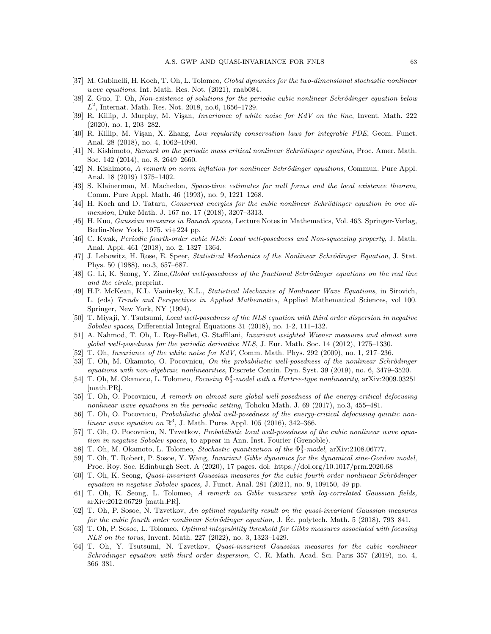- <span id="page-62-23"></span><span id="page-62-17"></span>[37] M. Gubinelli, H. Koch, T. Oh, L. Tolomeo, Global dynamics for the two-dimensional stochastic nonlinear wave equations, Int. Math. Res. Not. (2021), rnab084.
- <span id="page-62-8"></span>[38] Z. Guo, T. Oh, Non-existence of solutions for the periodic cubic nonlinear Schrödinger equation below  $L^2$ , Internat. Math. Res. Not. 2018, no.6, 1656–1729.
- <span id="page-62-26"></span>[39] R. Killip, J. Murphy, M. Visan, *Invariance of white noise for KdV on the line*, Invent. Math. 222 (2020), no. 1, 203–282.
- [40] R. Killip, M. Visan, X. Zhang, Low regularity conservation laws for integrable PDE, Geom. Funct. Anal. 28 (2018), no. 4, 1062–1090.
- <span id="page-62-4"></span><span id="page-62-3"></span>[41] N. Kishimoto, Remark on the periodic mass critical nonlinear Schrödinger equation, Proc. Amer. Math. Soc. 142 (2014), no. 8, 2649–2660.
- <span id="page-62-16"></span>[42] N. Kishimoto, A remark on norm inflation for nonlinear Schrödinger equations, Commun. Pure Appl. Anal. 18 (2019) 1375–1402.
- [43] S. Klainerman, M. Machedon, Space-time estimates for null forms and the local existence theorem, Comm. Pure Appl. Math. 46 (1993), no. 9, 1221–1268.
- <span id="page-62-25"></span><span id="page-62-9"></span>[44] H. Koch and D. Tataru, Conserved energies for the cubic nonlinear Schrödinger equation in one dimension, Duke Math. J. 167 no. 17 (2018), 3207–3313.
- <span id="page-62-14"></span>[45] H. Kuo, Gaussian measures in Banach spaces, Lecture Notes in Mathematics, Vol. 463. Springer-Verlag, Berlin-New York, 1975. vi+224 pp.
- [46] C. Kwak, Periodic fourth-order cubic NLS: Local well-posedness and Non-squeezing property, J. Math. Anal. Appl. 461 (2018), no. 2, 1327–1364.
- <span id="page-62-1"></span>[47] J. Lebowitz, H. Rose, E. Speer, Statistical Mechanics of the Nonlinear Schrödinger Equation, J. Stat. Phys. 50 (1988), no.3, 657–687.
- <span id="page-62-15"></span>[48] G. Li, K. Seong, Y. Zine, Global well-posedness of the fractional Schrödinger equations on the real line and the circle, preprint.
- <span id="page-62-0"></span>[49] H.P. McKean, K.L. Vaninsky, K.L., Statistical Mechanics of Nonlinear Wave Equations, in Sirovich, L. (eds) Trends and Perspectives in Applied Mathematics, Applied Mathematical Sciences, vol 100. Springer, New York, NY (1994).
- <span id="page-62-13"></span>[50] T. Miyaji, Y. Tsutsumi, Local well-posedness of the NLS equation with third order dispersion in negative Sobolev spaces, Differential Integral Equations 31 (2018), no. 1-2, 111–132.
- <span id="page-62-6"></span>[51] A. Nahmod, T. Oh, L. Rey-Bellet, G. Staffilani, Invariant weighted Wiener measures and almost sure global well-posedness for the periodic derivative NLS, J. Eur. Math. Soc. 14 (2012), 1275–1330.
- <span id="page-62-24"></span><span id="page-62-5"></span>[52] T. Oh, *Invariance of the white noise for KdV*, Comm. Math. Phys. 292 (2009), no. 1, 217–236.
- [53] T. Oh, M. Okamoto, O. Pocovnicu, On the probabilistic well-posedness of the nonlinear Schrödinger equations with non-algebraic nonlinearities, Discrete Contin. Dyn. Syst. 39 (2019), no. 6, 3479–3520.
- <span id="page-62-18"></span>[54] T. Oh, M. Okamoto, L. Tolomeo, *Focusing*  $\Phi_3^4$ -model with a Hartree-type nonlinearity, arXiv:2009.03251 [math.PR].
- <span id="page-62-20"></span>[55] T. Oh, O. Pocovnicu, A remark on almost sure global well-posedness of the energy-critical defocusing nonlinear wave equations in the periodic setting, Tohoku Math. J. 69 (2017), no.3, 455–481.
- <span id="page-62-21"></span>[56] T. Oh, O. Pocovnicu, Probabilistic global well-posedness of the energy-critical defocusing quintic nonlinear wave equation on  $\mathbb{R}^3$ , J. Math. Pures Appl. 105 (2016), 342-366.
- <span id="page-62-22"></span>[57] T. Oh, O. Pocovnicu, N. Tzvetkov, Probabilistic local well-posedness of the cubic nonlinear wave equation in negative Sobolev spaces, to appear in Ann. Inst. Fourier (Grenoble).
- <span id="page-62-19"></span><span id="page-62-7"></span>[58] T. Oh, M. Okamoto, L. Tolomeo, Stochastic quantization of the  $\Phi_3^3$ -model, arXiv:2108.06777.
- [59] T. Oh, T. Robert, P. Sosoe, Y. Wang, *Invariant Gibbs dynamics for the dynamical sine-Gordon model*, Proc. Roy. Soc. Edinburgh Sect. A (2020), 17 pages. doi: https://doi.org/10.1017/prm.2020.68
- <span id="page-62-12"></span>[60] T. Oh, K. Seong, *Quasi-invariant Gaussian measures for the cubic fourth order nonlinear Schrödinger* equation in negative Sobolev spaces, J. Funct. Anal. 281 (2021), no. 9, 109150, 49 pp.
- <span id="page-62-27"></span>[61] T. Oh, K. Seong, L. Tolomeo, A remark on Gibbs measures with log-correlated Gaussian fields, arXiv:2012.06729 [math.PR].
- <span id="page-62-10"></span>[62] T. Oh, P. Sosoe, N. Tzvetkov, An optimal regularity result on the quasi-invariant Gaussian measures for the cubic fourth order nonlinear Schrödinger equation, J. Ec. polytech. Math.  $5$  (2018), 793–841.
- <span id="page-62-2"></span>[63] T. Oh, P. Sosoe, L. Tolomeo, Optimal integrability threshold for Gibbs measures associated with focusing NLS on the torus, Invent. Math. 227 (2022), no. 3, 1323–1429.
- <span id="page-62-11"></span>[64] T. Oh, Y. Tsutsumi, N. Tzvetkov, Quasi-invariant Gaussian measures for the cubic nonlinear Schrödinger equation with third order dispersion, C. R. Math. Acad. Sci. Paris 357 (2019), no. 4, 366–381.